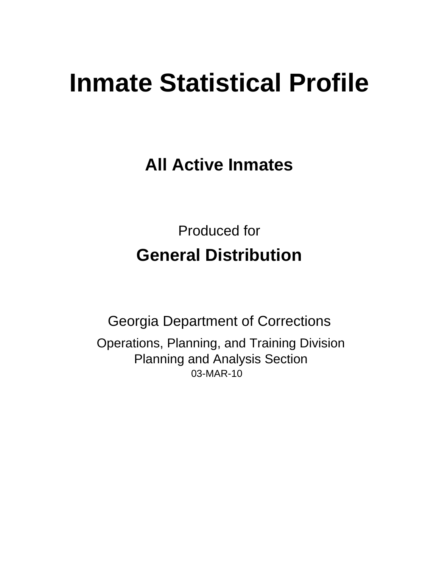# **Inmate Statistical Profile**

**All Active Inmates** 

**Produced for General Distribution** 

**Georgia Department of Corrections** Operations, Planning, and Training Division **Planning and Analysis Section** 03-MAR-10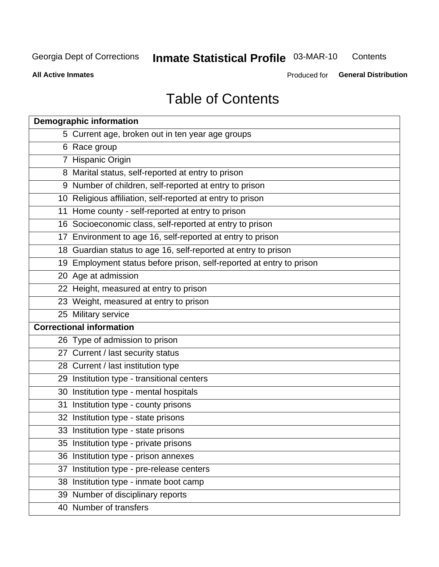**Inmate Statistical Profile 03-MAR-10** Contents

**All Active Inmates** 

Produced for General Distribution

# **Table of Contents**

| <b>Demographic information</b>                                       |
|----------------------------------------------------------------------|
| 5 Current age, broken out in ten year age groups                     |
| 6 Race group                                                         |
| 7 Hispanic Origin                                                    |
| 8 Marital status, self-reported at entry to prison                   |
| 9 Number of children, self-reported at entry to prison               |
| 10 Religious affiliation, self-reported at entry to prison           |
| 11 Home county - self-reported at entry to prison                    |
| 16 Socioeconomic class, self-reported at entry to prison             |
| 17 Environment to age 16, self-reported at entry to prison           |
| 18 Guardian status to age 16, self-reported at entry to prison       |
| 19 Employment status before prison, self-reported at entry to prison |
| 20 Age at admission                                                  |
| 22 Height, measured at entry to prison                               |
| 23 Weight, measured at entry to prison                               |
| 25 Military service                                                  |
| <b>Correctional information</b>                                      |
| 26 Type of admission to prison                                       |
| 27 Current / last security status                                    |
| 28 Current / last institution type                                   |
| 29 Institution type - transitional centers                           |
| 30 Institution type - mental hospitals                               |
| 31 Institution type - county prisons                                 |
| 32 Institution type - state prisons                                  |
| 33 Institution type - state prisons                                  |
| 35 Institution type - private prisons                                |
| 36 Institution type - prison annexes                                 |
| 37 Institution type - pre-release centers                            |
| 38 Institution type - inmate boot camp                               |
| 39 Number of disciplinary reports                                    |
| 40 Number of transfers                                               |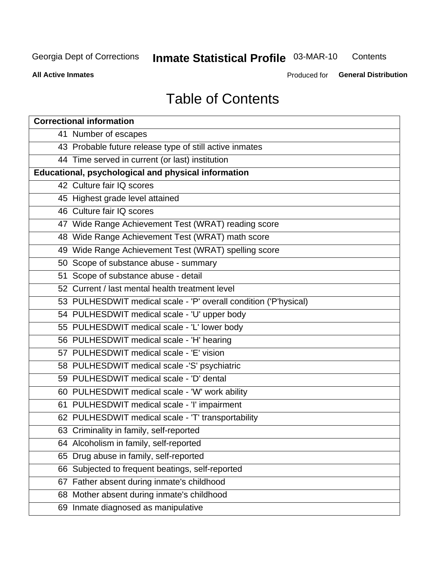#### **Inmate Statistical Profile 03-MAR-10** Contents

**All Active Inmates** 

Produced for General Distribution

# **Table of Contents**

|    | <b>Correctional information</b>                                  |
|----|------------------------------------------------------------------|
|    | 41 Number of escapes                                             |
|    | 43 Probable future release type of still active inmates          |
|    | 44 Time served in current (or last) institution                  |
|    | <b>Educational, psychological and physical information</b>       |
|    | 42 Culture fair IQ scores                                        |
|    | 45 Highest grade level attained                                  |
|    | 46 Culture fair IQ scores                                        |
|    | 47 Wide Range Achievement Test (WRAT) reading score              |
|    | 48 Wide Range Achievement Test (WRAT) math score                 |
|    | 49 Wide Range Achievement Test (WRAT) spelling score             |
|    | 50 Scope of substance abuse - summary                            |
|    | 51 Scope of substance abuse - detail                             |
|    | 52 Current / last mental health treatment level                  |
|    | 53 PULHESDWIT medical scale - 'P' overall condition ('P'hysical) |
|    | 54 PULHESDWIT medical scale - 'U' upper body                     |
|    | 55 PULHESDWIT medical scale - 'L' lower body                     |
|    | 56 PULHESDWIT medical scale - 'H' hearing                        |
|    | 57 PULHESDWIT medical scale - 'E' vision                         |
|    | 58 PULHESDWIT medical scale -'S' psychiatric                     |
|    | 59 PULHESDWIT medical scale - 'D' dental                         |
|    | 60 PULHESDWIT medical scale - 'W' work ability                   |
|    | 61 PULHESDWIT medical scale - 'I' impairment                     |
|    | 62 PULHESDWIT medical scale - 'T' transportability               |
|    | 63 Criminality in family, self-reported                          |
|    | 64 Alcoholism in family, self-reported                           |
|    | 65 Drug abuse in family, self-reported                           |
|    | 66 Subjected to frequent beatings, self-reported                 |
| 67 | Father absent during inmate's childhood                          |
|    | 68 Mother absent during inmate's childhood                       |
|    | 69 Inmate diagnosed as manipulative                              |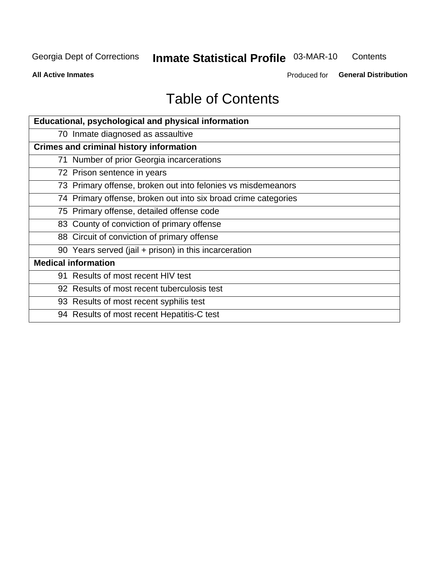#### **Inmate Statistical Profile 03-MAR-10** Contents

**All Active Inmates** 

Produced for General Distribution

# **Table of Contents**

| Educational, psychological and physical information            |
|----------------------------------------------------------------|
| 70 Inmate diagnosed as assaultive                              |
| <b>Crimes and criminal history information</b>                 |
| 71 Number of prior Georgia incarcerations                      |
| 72 Prison sentence in years                                    |
| 73 Primary offense, broken out into felonies vs misdemeanors   |
| 74 Primary offense, broken out into six broad crime categories |
| 75 Primary offense, detailed offense code                      |
| 83 County of conviction of primary offense                     |
| 88 Circuit of conviction of primary offense                    |
| 90 Years served (jail + prison) in this incarceration          |
| <b>Medical information</b>                                     |
| 91 Results of most recent HIV test                             |
| 92 Results of most recent tuberculosis test                    |
| 93 Results of most recent syphilis test                        |
| 94 Results of most recent Hepatitis-C test                     |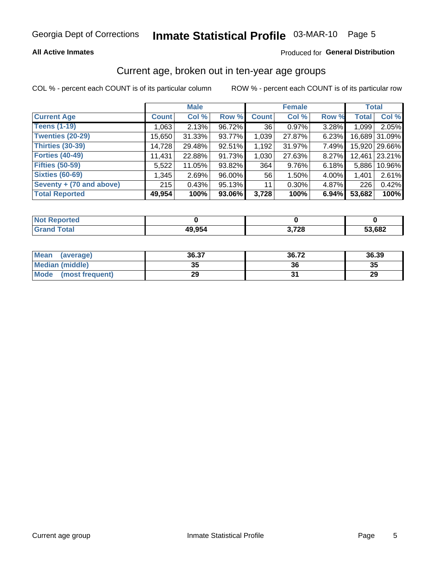#### **All Active Inmates**

### Produced for General Distribution

### Current age, broken out in ten-year age groups

COL % - percent each COUNT is of its particular column

|                          |              | <b>Male</b> |        |              | <b>Female</b> |          | <b>Total</b> |               |
|--------------------------|--------------|-------------|--------|--------------|---------------|----------|--------------|---------------|
| <b>Current Age</b>       | <b>Count</b> | Col %       | Row %  | <b>Count</b> | Col %         | Row %    | <b>Total</b> | Col %         |
| <b>Teens (1-19)</b>      | 1,063        | 2.13%       | 96.72% | 36           | 0.97%         | 3.28%    | 1,099        | 2.05%         |
| <b>Twenties (20-29)</b>  | 15,650       | $31.33\%$   | 93.77% | 1,039        | 27.87%        | 6.23%    |              | 16,689 31.09% |
| <b>Thirties (30-39)</b>  | 14,728       | 29.48%      | 92.51% | 1,192        | 31.97%        | 7.49%    |              | 15,920 29.66% |
| <b>Forties (40-49)</b>   | 11,431       | 22.88%      | 91.73% | 1,030        | 27.63%        | $8.27\%$ | 12,461       | 23.21%        |
| <b>Fifties (50-59)</b>   | 5,522        | 11.05%      | 93.82% | 364          | 9.76%         | 6.18%    | 5,886        | 10.96%        |
| <b>Sixties (60-69)</b>   | 1,345        | 2.69%       | 96.00% | 56           | 1.50%         | 4.00%    | 1,401        | 2.61%         |
| Seventy + (70 and above) | 215          | 0.43%       | 95.13% | 11           | $0.30\%$      | 4.87%    | 226          | 0.42%         |
| <b>Total Reported</b>    | 49,954       | 100%        | 93.06% | 3,728        | 100%          | 6.94%    | 53,682       | 100%          |

| <b>Not Reported</b> |        |                 |        |
|---------------------|--------|-----------------|--------|
| Total               | 49.954 | 2 720<br>74 Z O | 53,682 |

| <b>Mean</b><br>(average) | 36.37     | 36.72 | 36.39 |
|--------------------------|-----------|-------|-------|
| Median (middle)          | -25<br>vu | 36    | 35    |
| Mode<br>(most frequent)  | 29        |       | 29    |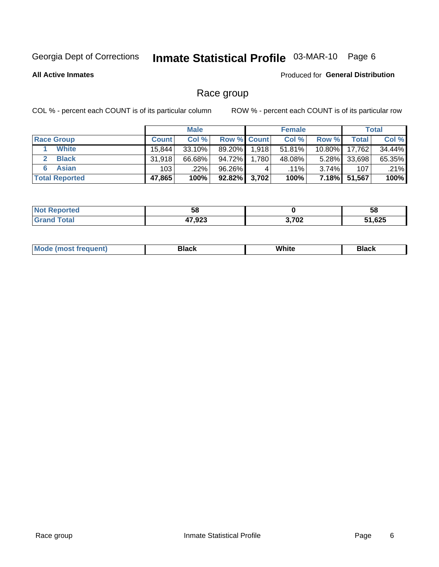# Inmate Statistical Profile 03-MAR-10 Page 6

**All Active Inmates** 

**Produced for General Distribution** 

### Race group

COL % - percent each COUNT is of its particular column

|                       |              | <b>Male</b> |                    |       | <b>Female</b> |           |        | <b>Total</b> |
|-----------------------|--------------|-------------|--------------------|-------|---------------|-----------|--------|--------------|
| <b>Race Group</b>     | <b>Count</b> | Col %       | <b>Row % Count</b> |       | Col %         | Row %     | Totall | Col %        |
| <b>White</b>          | 15.844       | $33.10\%$   | 89.20%             | 1,918 | 51.81%        | $10.80\%$ | 17,762 | 34.44%       |
| <b>Black</b>          | 31.918       | 66.68%      | 94.72%             | 1,780 | 48.08%        | $5.28\%$  | 33,698 | 65.35%       |
| <b>Asian</b>          | 103          | .22%        | 96.26%             | 4     | $.11\%$       | $3.74\%$  | 107    | .21%         |
| <b>Total Reported</b> | 47,865       | 100%        | $92.82\%$ 3,702    |       | 100%          | $7.18\%$  | 51,567 | 100%         |

| --<br>၁၀ |            | 58                    |
|----------|------------|-----------------------|
| 17.00    | 5700<br>VZ | $\sim$<br>.625<br>- - |

| Mc | 21のへん<br>. | Wh | .<br>┓╻<br>ำระเพ |
|----|------------|----|------------------|
|    |            |    |                  |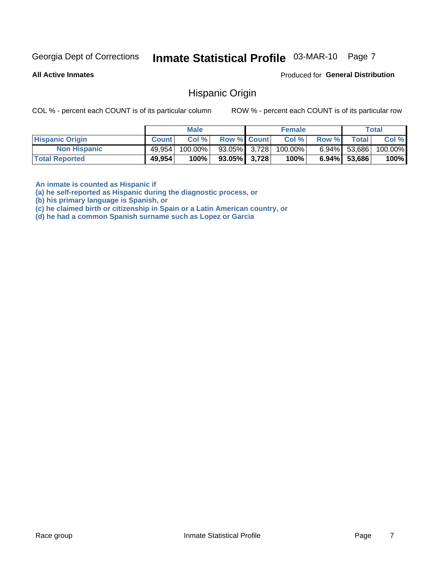# Inmate Statistical Profile 03-MAR-10 Page 7

**All Active Inmates** 

Produced for General Distribution

### **Hispanic Origin**

COL % - percent each COUNT is of its particular column

ROW % - percent each COUNT is of its particular row

|                        |              | <b>Male</b> |                    | <b>Female</b> |       |                 | Total   |
|------------------------|--------------|-------------|--------------------|---------------|-------|-----------------|---------|
| <b>Hispanic Origin</b> | <b>Count</b> | Col %       | <b>Row % Count</b> | Col %         | Row % | <b>Total</b>    | Col %   |
| <b>Non Hispanic</b>    | 49,954       | 100.00%     | 93.05% 3.728       | 100.00%       |       | $6.94\%$ 53,686 | 100.00% |
| <b>Total Reported</b>  | 49,954       | 100%        | $93.05\%$ 3,728    | 100%          |       | $6.94\%$ 53,686 | 100%    |

An inmate is counted as Hispanic if

(a) he self-reported as Hispanic during the diagnostic process, or

(b) his primary language is Spanish, or

(c) he claimed birth or citizenship in Spain or a Latin American country, or

(d) he had a common Spanish surname such as Lopez or Garcia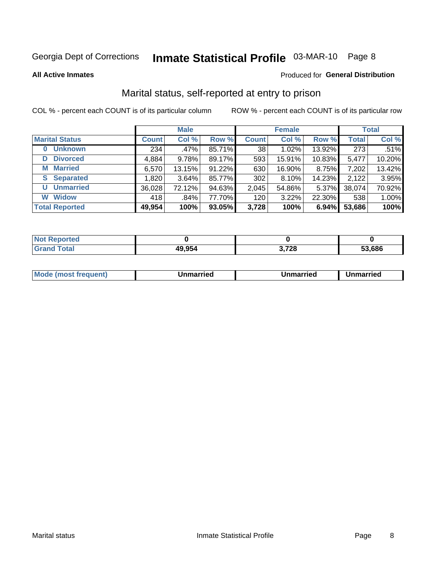# Inmate Statistical Profile 03-MAR-10 Page 8

**All Active Inmates** 

### Produced for General Distribution

### Marital status, self-reported at entry to prison

COL % - percent each COUNT is of its particular column

|                            |              | <b>Male</b> |        |              | <b>Female</b> |        |              | <b>Total</b> |
|----------------------------|--------------|-------------|--------|--------------|---------------|--------|--------------|--------------|
| <b>Marital Status</b>      | <b>Count</b> | Col %       | Row %  | <b>Count</b> | Col %         | Row %  | <b>Total</b> | Col %        |
| <b>Unknown</b><br>$\bf{0}$ | 234          | .47%        | 85.71% | 38           | 1.02%         | 13.92% | 273          | .51%         |
| <b>Divorced</b><br>D       | 4,884        | 9.78%       | 89.17% | 593          | 15.91%        | 10.83% | 5,477        | 10.20%       |
| <b>Married</b><br>M        | 6,570        | 13.15%      | 91.22% | 630          | 16.90%        | 8.75%  | 7,202        | 13.42%       |
| <b>S</b> Separated         | 1,820        | 3.64%       | 85.77% | 302          | 8.10%         | 14.23% | 2,122        | 3.95%        |
| <b>Unmarried</b><br>U      | 36,028       | 72.12%      | 94.63% | 2,045        | 54.86%        | 5.37%  | 38,074       | 70.92%       |
| <b>Widow</b><br>W          | 418          | $.84\%$     | 77.70% | 120          | 3.22%         | 22.30% | 538          | 1.00%        |
| <b>Total Reported</b>      | 49,954       | 100%        | 93.05% | 3,728        | 100%          | 6.94%  | 53,686       | 100%         |

| ----<br>rted<br>NO   |              |                 |        |
|----------------------|--------------|-----------------|--------|
| $\sim$ $\sim$ $\sim$ | 19,954<br>ДЧ | ההד ה<br>J.I LU | 53.686 |

|--|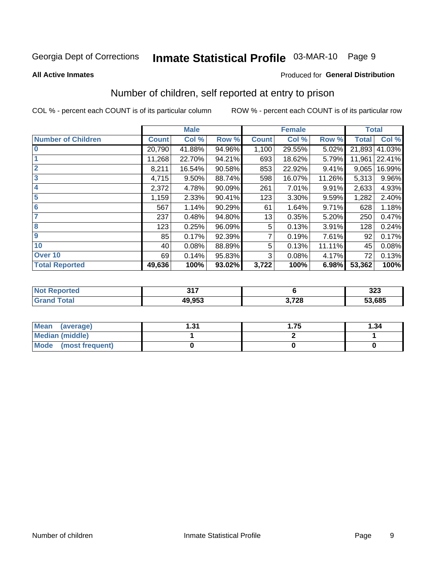# Inmate Statistical Profile 03-MAR-10 Page 9

#### **All Active Inmates**

### **Produced for General Distribution**

### Number of children, self reported at entry to prison

COL % - percent each COUNT is of its particular column

|                           |              | <b>Male</b> |        |              | <b>Female</b> |        | <b>Total</b> |        |  |
|---------------------------|--------------|-------------|--------|--------------|---------------|--------|--------------|--------|--|
| <b>Number of Children</b> | <b>Count</b> | Col %       | Row %  | <b>Count</b> | Col %         | Row %  | <b>Total</b> | Col %  |  |
| $\bf{0}$                  | 20,790       | 41.88%      | 94.96% | 1,100        | 29.55%        | 5.02%  | 21,893       | 41.03% |  |
|                           | 11,268       | 22.70%      | 94.21% | 693          | 18.62%        | 5.79%  | 11,961       | 22.41% |  |
| $\overline{2}$            | 8,211        | 16.54%      | 90.58% | 853          | 22.92%        | 9.41%  | 9,065        | 16.99% |  |
| 3                         | 4,715        | 9.50%       | 88.74% | 598          | 16.07%        | 11.26% | 5,313        | 9.96%  |  |
| 4                         | 2,372        | 4.78%       | 90.09% | 261          | 7.01%         | 9.91%  | 2,633        | 4.93%  |  |
| 5                         | 1,159        | 2.33%       | 90.41% | 123          | 3.30%         | 9.59%  | 1,282        | 2.40%  |  |
| 6                         | 567          | 1.14%       | 90.29% | 61           | 1.64%         | 9.71%  | 628          | 1.18%  |  |
|                           | 237          | 0.48%       | 94.80% | 13           | 0.35%         | 5.20%  | 250          | 0.47%  |  |
| 8                         | 123          | 0.25%       | 96.09% | 5            | 0.13%         | 3.91%  | 128          | 0.24%  |  |
| $\boldsymbol{9}$          | 85           | 0.17%       | 92.39% | 7            | 0.19%         | 7.61%  | 92           | 0.17%  |  |
| 10                        | 40           | 0.08%       | 88.89% | 5            | 0.13%         | 11.11% | 45           | 0.08%  |  |
| Over 10                   | 69           | 0.14%       | 95.83% | 3            | 0.08%         | 4.17%  | 72           | 0.13%  |  |
| <b>Total Reported</b>     | 49,636       | 100%        | 93.02% | 3,722        | 100%          | 6.98%  | 53,362       | 100%   |  |

|      | 247<br>U I I |       | $\sim$<br>ວ∠ວ |
|------|--------------|-------|---------------|
| υιαι | 10.052       | 3,728 | 53,685        |

| <b>Mean</b><br>(average)       | -24<br>ו ט.ו | . 75 | 1.34 |
|--------------------------------|--------------|------|------|
| Median (middle)                |              |      |      |
| <b>Mode</b><br>(most frequent) |              |      |      |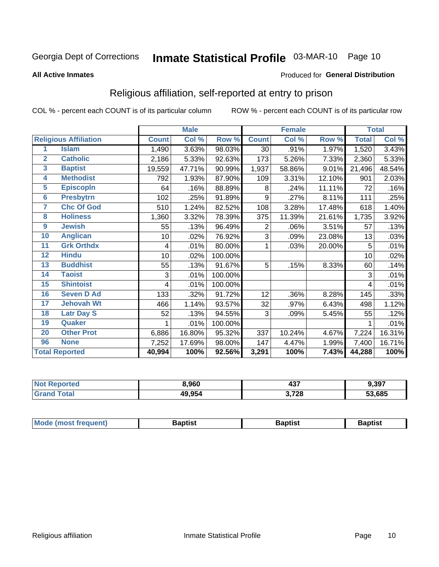# Inmate Statistical Profile 03-MAR-10 Page 10

#### **All Active Inmates**

### Produced for General Distribution

### Religious affiliation, self-reported at entry to prison

COL % - percent each COUNT is of its particular column

|                |                              | <b>Male</b>  |        | <b>Female</b> |              |        | <b>Total</b> |              |        |
|----------------|------------------------------|--------------|--------|---------------|--------------|--------|--------------|--------------|--------|
|                | <b>Religious Affiliation</b> | <b>Count</b> | Col %  | Row %         | <b>Count</b> | Col %  | Row %        | <b>Total</b> | Col %  |
| 1              | <b>Islam</b>                 | 1,490        | 3.63%  | 98.03%        | 30           | .91%   | 1.97%        | 1,520        | 3.43%  |
| $\overline{2}$ | <b>Catholic</b>              | 2,186        | 5.33%  | 92.63%        | 173          | 5.26%  | 7.33%        | 2,360        | 5.33%  |
| 3              | <b>Baptist</b>               | 19,559       | 47.71% | 90.99%        | 1,937        | 58.86% | 9.01%        | 21,496       | 48.54% |
| 4              | <b>Methodist</b>             | 792          | 1.93%  | 87.90%        | 109          | 3.31%  | 12.10%       | 901          | 2.03%  |
| 5              | <b>EpiscopIn</b>             | 64           | .16%   | 88.89%        | 8            | .24%   | 11.11%       | 72           | .16%   |
| $6\phantom{a}$ | <b>Presbytrn</b>             | 102          | .25%   | 91.89%        | 9            | .27%   | 8.11%        | 111          | .25%   |
| 7              | <b>Chc Of God</b>            | 510          | 1.24%  | 82.52%        | 108          | 3.28%  | 17.48%       | 618          | 1.40%  |
| 8              | <b>Holiness</b>              | 1,360        | 3.32%  | 78.39%        | 375          | 11.39% | 21.61%       | 1,735        | 3.92%  |
| 9              | <b>Jewish</b>                | 55           | .13%   | 96.49%        | 2            | .06%   | 3.51%        | 57           | .13%   |
| 10             | <b>Anglican</b>              | 10           | .02%   | 76.92%        | 3            | .09%   | 23.08%       | 13           | .03%   |
| 11             | <b>Grk Orthdx</b>            | 4            | .01%   | 80.00%        | 1            | .03%   | 20.00%       | 5            | .01%   |
| 12             | <b>Hindu</b>                 | 10           | .02%   | 100.00%       |              |        |              | 10           | .02%   |
| 13             | <b>Buddhist</b>              | 55           | .13%   | 91.67%        | 5            | .15%   | 8.33%        | 60           | .14%   |
| 14             | <b>Taoist</b>                | 3            | .01%   | 100.00%       |              |        |              | 3            | .01%   |
| 15             | <b>Shintoist</b>             | 4            | .01%   | 100.00%       |              |        |              | 4            | .01%   |
| 16             | <b>Seven D Ad</b>            | 133          | .32%   | 91.72%        | 12           | .36%   | 8.28%        | 145          | .33%   |
| 17             | <b>Jehovah Wt</b>            | 466          | 1.14%  | 93.57%        | 32           | .97%   | 6.43%        | 498          | 1.12%  |
| 18             | <b>Latr Day S</b>            | 52           | .13%   | 94.55%        | 3            | .09%   | 5.45%        | 55           | .12%   |
| 19             | Quaker                       |              | .01%   | 100.00%       |              |        |              |              | .01%   |
| 20             | <b>Other Prot</b>            | 6,886        | 16.80% | 95.32%        | 337          | 10.24% | 4.67%        | 7,224        | 16.31% |
| 96             | <b>None</b>                  | 7,252        | 17.69% | 98.00%        | 147          | 4.47%  | 1.99%        | 7,400        | 16.71% |
|                | <b>Total Reported</b>        | 40,994       | 100%   | 92.56%        | 3,291        | 100%   | 7.43%        | 44,288       | 100%   |

| orteo<br><b>N</b> | 8,960  | ィっフ<br>יט+ | 9,397  |
|-------------------|--------|------------|--------|
| <b>ota</b>        | 49,954 | 3,728      | 53,685 |

|  |  | <b>Mode (most frequent)</b> | Baptist | 3aptis | <b>Baptist</b> |
|--|--|-----------------------------|---------|--------|----------------|
|--|--|-----------------------------|---------|--------|----------------|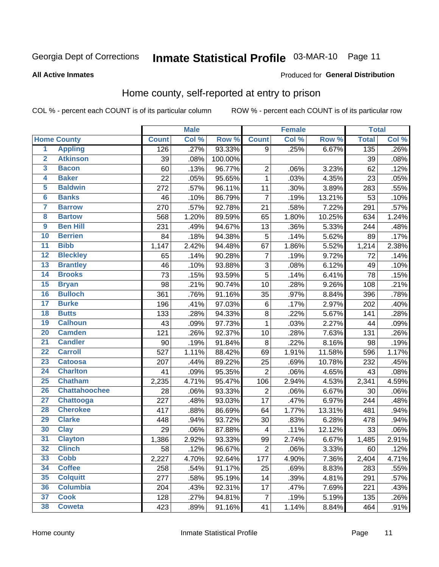# Inmate Statistical Profile 03-MAR-10 Page 11

Produced for General Distribution

#### **All Active Inmates**

### Home county, self-reported at entry to prison

COL % - percent each COUNT is of its particular column

|                         |                      |              | <b>Male</b> |         |                         | <b>Female</b> |        | <b>Total</b> |          |
|-------------------------|----------------------|--------------|-------------|---------|-------------------------|---------------|--------|--------------|----------|
|                         | <b>Home County</b>   | <b>Count</b> | Col %       | Row %   | <b>Count</b>            | Col %         | Row %  | <b>Total</b> | Col %    |
| $\overline{1}$          | <b>Appling</b>       | 126          | .27%        | 93.33%  | $\overline{9}$          | .25%          | 6.67%  | 135          | .26%     |
| $\overline{2}$          | <b>Atkinson</b>      | 39           | .08%        | 100.00% |                         |               |        | 39           | .08%     |
| $\overline{\mathbf{3}}$ | <b>Bacon</b>         | 60           | .13%        | 96.77%  | $\mathbf 2$             | .06%          | 3.23%  | 62           | .12%     |
| 4                       | <b>Baker</b>         | 22           | .05%        | 95.65%  | $\mathbf{1}$            | .03%          | 4.35%  | 23           | .05%     |
| 5                       | <b>Baldwin</b>       | 272          | .57%        | 96.11%  | 11                      | .30%          | 3.89%  | 283          | .55%     |
| $6\phantom{a}$          | <b>Banks</b>         | 46           | .10%        | 86.79%  | $\overline{7}$          | .19%          | 13.21% | 53           | .10%     |
| 7                       | <b>Barrow</b>        | 270          | .57%        | 92.78%  | 21                      | .58%          | 7.22%  | 291          | .57%     |
| 8                       | <b>Bartow</b>        | 568          | 1.20%       | 89.59%  | 65                      | 1.80%         | 10.25% | 634          | 1.24%    |
| $\overline{9}$          | <b>Ben Hill</b>      | 231          | .49%        | 94.67%  | 13                      | .36%          | 5.33%  | 244          | .48%     |
| 10                      | <b>Berrien</b>       | 84           | .18%        | 94.38%  | 5                       | .14%          | 5.62%  | 89           | .17%     |
| $\overline{11}$         | <b>Bibb</b>          | 1,147        | 2.42%       | 94.48%  | 67                      | 1.86%         | 5.52%  | 1,214        | 2.38%    |
| $\overline{12}$         | <b>Bleckley</b>      | 65           | .14%        | 90.28%  | $\overline{7}$          | .19%          | 9.72%  | 72           | .14%     |
| $\overline{13}$         | <b>Brantley</b>      | 46           | .10%        | 93.88%  | $\overline{3}$          | .08%          | 6.12%  | 49           | .10%     |
| 14                      | <b>Brooks</b>        | 73           | .15%        | 93.59%  | $\overline{5}$          | .14%          | 6.41%  | 78           | .15%     |
| 15                      | <b>Bryan</b>         | 98           | .21%        | 90.74%  | 10                      | .28%          | 9.26%  | 108          | .21%     |
| 16                      | <b>Bulloch</b>       | 361          | .76%        | 91.16%  | 35                      | .97%          | 8.84%  | 396          | .78%     |
| $\overline{17}$         | <b>Burke</b>         | 196          | .41%        | 97.03%  | 6                       | .17%          | 2.97%  | 202          | .40%     |
| 18                      | <b>Butts</b>         | 133          | .28%        | 94.33%  | $\overline{8}$          | .22%          | 5.67%  | 141          | .28%     |
| 19                      | <b>Calhoun</b>       | 43           | .09%        | 97.73%  | $\mathbf{1}$            | .03%          | 2.27%  | 44           | .09%     |
| 20                      | <b>Camden</b>        | 121          | .26%        | 92.37%  | 10                      | .28%          | 7.63%  | 131          | .26%     |
| $\overline{21}$         | <b>Candler</b>       | 90           | .19%        | 91.84%  | 8                       | .22%          | 8.16%  | 98           | .19%     |
| $\overline{22}$         | <b>Carroll</b>       | 527          | 1.11%       | 88.42%  | 69                      | 1.91%         | 11.58% | 596          | 1.17%    |
| $\overline{23}$         | <b>Catoosa</b>       | 207          | .44%        | 89.22%  | 25                      | .69%          | 10.78% | 232          | .45%     |
| $\overline{24}$         | <b>Charlton</b>      | 41           | .09%        | 95.35%  | $\overline{2}$          | .06%          | 4.65%  | 43           | .08%     |
| 25                      | <b>Chatham</b>       | 2,235        | 4.71%       | 95.47%  | 106                     | 2.94%         | 4.53%  | 2,341        | 4.59%    |
| 26                      | <b>Chattahoochee</b> | 28           | .06%        | 93.33%  | $\overline{2}$          | .06%          | 6.67%  | 30           | .06%     |
| $\overline{27}$         | <b>Chattooga</b>     | 227          | .48%        | 93.03%  | 17                      | .47%          | 6.97%  | 244          | .48%     |
| 28                      | <b>Cherokee</b>      | 417          | .88%        | 86.69%  | 64                      | 1.77%         | 13.31% | 481          | .94%     |
| 29                      | <b>Clarke</b>        | 448          | .94%        | 93.72%  | 30                      | .83%          | 6.28%  | 478          | .94%     |
| 30                      | <b>Clay</b>          | 29           | .06%        | 87.88%  | $\overline{\mathbf{4}}$ | .11%          | 12.12% | 33           | .06%     |
| 31                      | <b>Clayton</b>       | 1,386        | 2.92%       | 93.33%  | 99                      | 2.74%         | 6.67%  | 1,485        | $2.91\%$ |
| 32                      | <b>Clinch</b>        | 58           | .12%        | 96.67%  | $\overline{2}$          | .06%          | 3.33%  | 60           | .12%     |
| 33                      | <b>Cobb</b>          | 2,227        | 4.70%       | 92.64%  | 177                     | 4.90%         | 7.36%  | 2,404        | 4.71%    |
| 34                      | <b>Coffee</b>        | 258          | .54%        | 91.17%  | 25                      | .69%          | 8.83%  | 283          | .55%     |
| 35                      | <b>Colquitt</b>      | 277          | .58%        | 95.19%  | 14                      | .39%          | 4.81%  | 291          | .57%     |
| 36                      | <b>Columbia</b>      | 204          | .43%        | 92.31%  | 17                      | .47%          | 7.69%  | 221          | .43%     |
| 37                      | <b>Cook</b>          | 128          | .27%        | 94.81%  | $\overline{7}$          | .19%          | 5.19%  | 135          | .26%     |
| 38                      | <b>Coweta</b>        | 423          | .89%        | 91.16%  | 41                      | 1.14%         | 8.84%  | 464          | .91%     |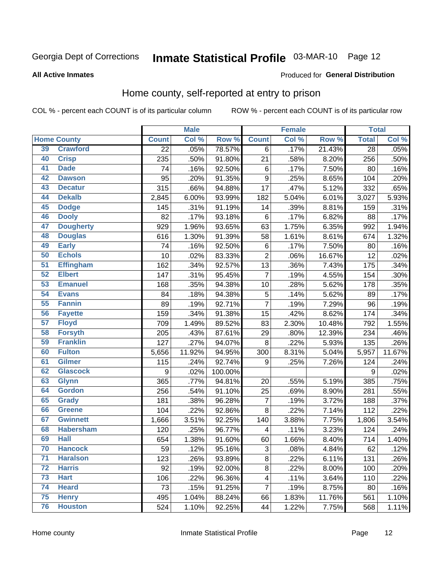# Inmate Statistical Profile 03-MAR-10 Page 12

#### **All Active Inmates**

#### Produced for General Distribution

### Home county, self-reported at entry to prison

COL % - percent each COUNT is of its particular column

|                 |                    |                  | <b>Male</b> |         |                         | <b>Female</b> |                  | <b>Total</b> |        |
|-----------------|--------------------|------------------|-------------|---------|-------------------------|---------------|------------------|--------------|--------|
|                 | <b>Home County</b> | <b>Count</b>     | Col %       | Row %   | <b>Count</b>            | Col %         | Row <sup>%</sup> | <b>Total</b> | Col%   |
| 39              | <b>Crawford</b>    | $\overline{22}$  | .05%        | 78.57%  | 6                       | .17%          | 21.43%           | 28           | .05%   |
| 40              | <b>Crisp</b>       | 235              | .50%        | 91.80%  | 21                      | .58%          | 8.20%            | 256          | .50%   |
| 41              | <b>Dade</b>        | 74               | .16%        | 92.50%  | $\,6$                   | .17%          | 7.50%            | 80           | .16%   |
| 42              | <b>Dawson</b>      | 95               | .20%        | 91.35%  | 9                       | .25%          | 8.65%            | 104          | .20%   |
| 43              | <b>Decatur</b>     | 315              | .66%        | 94.88%  | 17                      | .47%          | 5.12%            | 332          | .65%   |
| 44              | <b>Dekalb</b>      | 2,845            | 6.00%       | 93.99%  | 182                     | 5.04%         | 6.01%            | 3,027        | 5.93%  |
| 45              | <b>Dodge</b>       | 145              | .31%        | 91.19%  | 14                      | .39%          | 8.81%            | 159          | .31%   |
| 46              | <b>Dooly</b>       | 82               | .17%        | 93.18%  | $\,6$                   | .17%          | 6.82%            | 88           | .17%   |
| 47              | <b>Dougherty</b>   | 929              | 1.96%       | 93.65%  | 63                      | 1.75%         | 6.35%            | 992          | 1.94%  |
| 48              | <b>Douglas</b>     | 616              | 1.30%       | 91.39%  | 58                      | 1.61%         | 8.61%            | 674          | 1.32%  |
| 49              | <b>Early</b>       | 74               | .16%        | 92.50%  | $\,6$                   | .17%          | 7.50%            | 80           | .16%   |
| 50              | <b>Echols</b>      | 10               | .02%        | 83.33%  | $\overline{2}$          | .06%          | 16.67%           | 12           | .02%   |
| $\overline{51}$ | <b>Effingham</b>   | 162              | .34%        | 92.57%  | 13                      | .36%          | 7.43%            | 175          | .34%   |
| 52              | <b>Elbert</b>      | 147              | .31%        | 95.45%  | $\overline{7}$          | .19%          | 4.55%            | 154          | .30%   |
| 53              | <b>Emanuel</b>     | 168              | .35%        | 94.38%  | 10                      | .28%          | 5.62%            | 178          | .35%   |
| 54              | <b>Evans</b>       | 84               | .18%        | 94.38%  | $\sqrt{5}$              | .14%          | 5.62%            | 89           | .17%   |
| 55              | <b>Fannin</b>      | 89               | .19%        | 92.71%  | $\overline{7}$          | .19%          | 7.29%            | 96           | .19%   |
| 56              | <b>Fayette</b>     | 159              | .34%        | 91.38%  | 15                      | .42%          | 8.62%            | 174          | .34%   |
| 57              | <b>Floyd</b>       | 709              | 1.49%       | 89.52%  | 83                      | 2.30%         | 10.48%           | 792          | 1.55%  |
| 58              | <b>Forsyth</b>     | 205              | .43%        | 87.61%  | 29                      | .80%          | 12.39%           | 234          | .46%   |
| 59              | <b>Franklin</b>    | 127              | .27%        | 94.07%  | $\bf 8$                 | .22%          | 5.93%            | 135          | .26%   |
| 60              | <b>Fulton</b>      | 5,656            | 11.92%      | 94.95%  | 300                     | 8.31%         | 5.04%            | 5,957        | 11.67% |
| 61              | <b>Gilmer</b>      | 115              | .24%        | 92.74%  | $\boldsymbol{9}$        | .25%          | 7.26%            | 124          | .24%   |
| 62              | <b>Glascock</b>    | $\boldsymbol{9}$ | .02%        | 100.00% |                         |               |                  | 9            | .02%   |
| 63              | <b>Glynn</b>       | 365              | .77%        | 94.81%  | 20                      | .55%          | 5.19%            | 385          | .75%   |
| 64              | <b>Gordon</b>      | 256              | .54%        | 91.10%  | 25                      | .69%          | 8.90%            | 281          | .55%   |
| 65              | <b>Grady</b>       | 181              | .38%        | 96.28%  | $\overline{7}$          | .19%          | 3.72%            | 188          | .37%   |
| 66              | <b>Greene</b>      | 104              | .22%        | 92.86%  | 8                       | .22%          | 7.14%            | 112          | .22%   |
| 67              | <b>Gwinnett</b>    | 1,666            | 3.51%       | 92.25%  | 140                     | 3.88%         | 7.75%            | 1,806        | 3.54%  |
| 68              | <b>Habersham</b>   | 120              | .25%        | 96.77%  | $\overline{\mathbf{4}}$ | .11%          | 3.23%            | 124          | .24%   |
| 69              | <b>Hall</b>        | 654              | 1.38%       | 91.60%  | 60                      | 1.66%         | 8.40%            | 714          | 1.40%  |
| 70              | <b>Hancock</b>     | 59               | .12%        | 95.16%  | $\sqrt{3}$              | .08%          | 4.84%            | 62           | .12%   |
| $\overline{71}$ | <b>Haralson</b>    | 123              | .26%        | 93.89%  | $\bf 8$                 | .22%          | 6.11%            | 131          | .26%   |
| 72              | <b>Harris</b>      | 92               | .19%        | 92.00%  | $\bf 8$                 | .22%          | 8.00%            | 100          | .20%   |
| 73              | <b>Hart</b>        | 106              | .22%        | 96.36%  | $\overline{\mathbf{4}}$ | .11%          | 3.64%            | 110          | .22%   |
| 74              | <b>Heard</b>       | 73               | .15%        | 91.25%  | $\overline{7}$          | .19%          | 8.75%            | 80           | .16%   |
| 75              | <b>Henry</b>       | 495              | 1.04%       | 88.24%  | 66                      | 1.83%         | 11.76%           | 561          | 1.10%  |
| 76              | <b>Houston</b>     | 524              | 1.10%       | 92.25%  | 44                      | 1.22%         | 7.75%            | 568          | 1.11%  |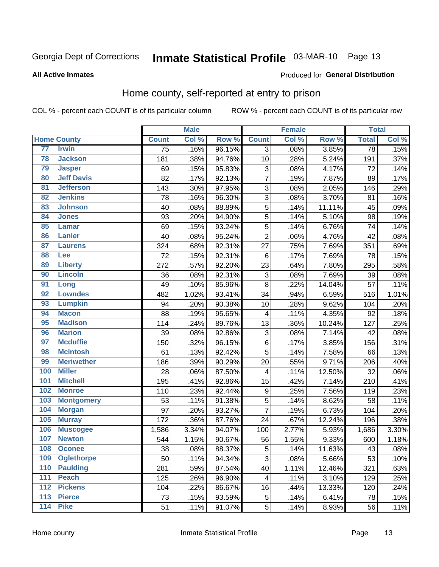# Inmate Statistical Profile 03-MAR-10 Page 13

#### **All Active Inmates**

#### Produced for General Distribution

### Home county, self-reported at entry to prison

COL % - percent each COUNT is of its particular column

|                  |                    |              | <b>Male</b> |        |                  | <b>Female</b> |        | <b>Total</b> |                     |
|------------------|--------------------|--------------|-------------|--------|------------------|---------------|--------|--------------|---------------------|
|                  | <b>Home County</b> | <b>Count</b> | Col %       | Row %  | <b>Count</b>     | Col %         | Row %  | <b>Total</b> | Col %               |
| 77               | <b>Irwin</b>       | 75           | .16%        | 96.15% | 3                | .08%          | 3.85%  | 78           | .15%                |
| 78               | <b>Jackson</b>     | 181          | .38%        | 94.76% | 10               | .28%          | 5.24%  | 191          | .37%                |
| 79               | <b>Jasper</b>      | 69           | .15%        | 95.83% | 3                | .08%          | 4.17%  | 72           | .14%                |
| 80               | <b>Jeff Davis</b>  | 82           | .17%        | 92.13% | $\overline{7}$   | .19%          | 7.87%  | 89           | .17%                |
| $\overline{81}$  | <b>Jefferson</b>   | 143          | .30%        | 97.95% | $\overline{3}$   | .08%          | 2.05%  | 146          | .29%                |
| 82               | <b>Jenkins</b>     | 78           | .16%        | 96.30% | 3                | .08%          | 3.70%  | 81           | .16%                |
| 83               | <b>Johnson</b>     | 40           | .08%        | 88.89% | $\overline{5}$   | .14%          | 11.11% | 45           | .09%                |
| 84               | <b>Jones</b>       | 93           | .20%        | 94.90% | 5                | .14%          | 5.10%  | 98           | .19%                |
| 85               | <b>Lamar</b>       | 69           | .15%        | 93.24% | 5                | .14%          | 6.76%  | 74           | .14%                |
| 86               | <b>Lanier</b>      | 40           | .08%        | 95.24% | $\overline{2}$   | .06%          | 4.76%  | 42           | .08%                |
| 87               | <b>Laurens</b>     | 324          | .68%        | 92.31% | 27               | .75%          | 7.69%  | 351          | .69%                |
| 88               | <b>Lee</b>         | 72           | .15%        | 92.31% | 6                | .17%          | 7.69%  | 78           | .15%                |
| 89               | <b>Liberty</b>     | 272          | .57%        | 92.20% | 23               | .64%          | 7.80%  | 295          | .58%                |
| 90               | <b>Lincoln</b>     | 36           | .08%        | 92.31% | 3                | .08%          | 7.69%  | 39           | .08%                |
| 91               | Long               | 49           | .10%        | 85.96% | 8                | .22%          | 14.04% | 57           | .11%                |
| 92               | <b>Lowndes</b>     | 482          | 1.02%       | 93.41% | 34               | .94%          | 6.59%  | 516          | 1.01%               |
| 93               | <b>Lumpkin</b>     | 94           | .20%        | 90.38% | 10               | .28%          | 9.62%  | 104          | .20%                |
| 94               | <b>Macon</b>       | 88           | .19%        | 95.65% | 4                | .11%          | 4.35%  | 92           | .18%                |
| 95               | <b>Madison</b>     | 114          | .24%        | 89.76% | 13               | .36%          | 10.24% | 127          | .25%                |
| 96               | <b>Marion</b>      | 39           | .08%        | 92.86% | 3                | .08%          | 7.14%  | 42           | .08%                |
| 97               | <b>Mcduffie</b>    | 150          | .32%        | 96.15% | $\,6$            | .17%          | 3.85%  | 156          | .31%                |
| 98               | <b>Mcintosh</b>    | 61           | .13%        | 92.42% | 5                | .14%          | 7.58%  | 66           | .13%                |
| 99               | <b>Meriwether</b>  | 186          | .39%        | 90.29% | 20               | .55%          | 9.71%  | 206          | .40%                |
| 100              | <b>Miller</b>      | 28           | .06%        | 87.50% | 4                | .11%          | 12.50% | 32           | .06%                |
| 101              | <b>Mitchell</b>    | 195          | .41%        | 92.86% | 15               | .42%          | 7.14%  | 210          | .41%                |
| 102              | <b>Monroe</b>      | 110          | .23%        | 92.44% | $\boldsymbol{9}$ | .25%          | 7.56%  | 119          | .23%                |
| 103              | <b>Montgomery</b>  | 53           | .11%        | 91.38% | $\overline{5}$   | .14%          | 8.62%  | 58           | .11%                |
| 104              | <b>Morgan</b>      | 97           | .20%        | 93.27% | $\overline{7}$   | .19%          | 6.73%  | 104          | .20%                |
| 105              | <b>Murray</b>      | 172          | .36%        | 87.76% | 24               | .67%          | 12.24% | 196          | .38%                |
| 106              | <b>Muscogee</b>    | 1,586        | 3.34%       | 94.07% | 100              | 2.77%         | 5.93%  | 1,686        | 3.30%               |
| 107              | <b>Newton</b>      | 544          | 1.15%       | 90.67% | 56               | 1.55%         | 9.33%  | 600          | $\overline{1.18\%}$ |
| 108              | <b>Oconee</b>      | 38           | .08%        | 88.37% | 5                | .14%          | 11.63% | 43           | .08%                |
| 109              | <b>Oglethorpe</b>  | 50           | .11%        | 94.34% | 3                | .08%          | 5.66%  | 53           | .10%                |
| 110              | <b>Paulding</b>    | 281          | .59%        | 87.54% | 40               | 1.11%         | 12.46% | 321          | .63%                |
| 111              | <b>Peach</b>       | 125          | .26%        | 96.90% | 4                | .11%          | 3.10%  | 129          | .25%                |
| 112              | <b>Pickens</b>     | 104          | .22%        | 86.67% | 16               | .44%          | 13.33% | 120          | .24%                |
| $\overline{113}$ | <b>Pierce</b>      | 73           | .15%        | 93.59% | 5                | .14%          | 6.41%  | 78           | .15%                |
| $\overline{114}$ | <b>Pike</b>        | 51           | .11%        | 91.07% | 5                | .14%          | 8.93%  | 56           | .11%                |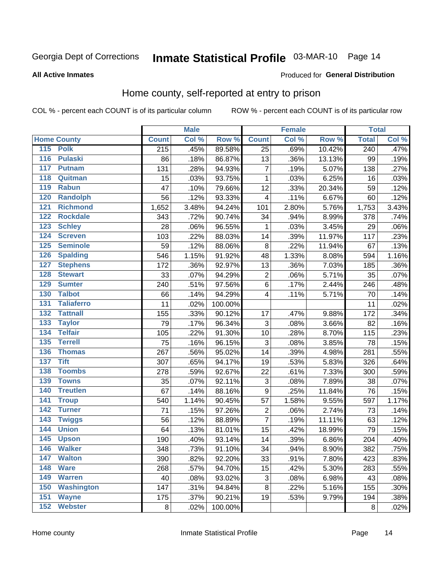# Inmate Statistical Profile 03-MAR-10 Page 14

#### **All Active Inmates**

### Produced for General Distribution

### Home county, self-reported at entry to prison

COL % - percent each COUNT is of its particular column

|                  |                    |                  | <b>Male</b> |         |                  | <b>Female</b> |        | <b>Total</b>     |       |
|------------------|--------------------|------------------|-------------|---------|------------------|---------------|--------|------------------|-------|
|                  | <b>Home County</b> | <b>Count</b>     | Col %       | Row %   | <b>Count</b>     | Col %         | Row %  | <b>Total</b>     | Col % |
| 115              | <b>Polk</b>        | $\overline{215}$ | .45%        | 89.58%  | $\overline{25}$  | .69%          | 10.42% | $\overline{240}$ | .47%  |
| $\overline{116}$ | <b>Pulaski</b>     | 86               | .18%        | 86.87%  | 13               | .36%          | 13.13% | 99               | .19%  |
| 117              | <b>Putnam</b>      | 131              | .28%        | 94.93%  | $\overline{7}$   | .19%          | 5.07%  | 138              | .27%  |
| 118              | Quitman            | 15               | .03%        | 93.75%  | 1                | .03%          | 6.25%  | 16               | .03%  |
| 119              | <b>Rabun</b>       | 47               | .10%        | 79.66%  | 12               | .33%          | 20.34% | 59               | .12%  |
| 120              | <b>Randolph</b>    | 56               | .12%        | 93.33%  | 4                | .11%          | 6.67%  | 60               | .12%  |
| 121              | <b>Richmond</b>    | 1,652            | 3.48%       | 94.24%  | 101              | 2.80%         | 5.76%  | 1,753            | 3.43% |
| 122              | <b>Rockdale</b>    | 343              | .72%        | 90.74%  | 34               | .94%          | 8.99%  | 378              | .74%  |
| 123              | <b>Schley</b>      | 28               | .06%        | 96.55%  | 1                | .03%          | 3.45%  | 29               | .06%  |
| 124              | <b>Screven</b>     | 103              | .22%        | 88.03%  | 14               | .39%          | 11.97% | 117              | .23%  |
| 125              | <b>Seminole</b>    | 59               | .12%        | 88.06%  | 8                | .22%          | 11.94% | 67               | .13%  |
| 126              | <b>Spalding</b>    | 546              | 1.15%       | 91.92%  | 48               | 1.33%         | 8.08%  | 594              | 1.16% |
| 127              | <b>Stephens</b>    | 172              | .36%        | 92.97%  | 13               | .36%          | 7.03%  | 185              | .36%  |
| 128              | <b>Stewart</b>     | 33               | .07%        | 94.29%  | $\overline{2}$   | .06%          | 5.71%  | 35               | .07%  |
| 129              | <b>Sumter</b>      | 240              | .51%        | 97.56%  | $\overline{6}$   | .17%          | 2.44%  | 246              | .48%  |
| 130              | <b>Talbot</b>      | 66               | .14%        | 94.29%  | 4                | .11%          | 5.71%  | 70               | .14%  |
| 131              | <b>Taliaferro</b>  | 11               | .02%        | 100.00% |                  |               |        | 11               | .02%  |
| 132              | <b>Tattnall</b>    | 155              | .33%        | 90.12%  | 17               | .47%          | 9.88%  | 172              | .34%  |
| 133              | <b>Taylor</b>      | 79               | .17%        | 96.34%  | 3                | .08%          | 3.66%  | 82               | .16%  |
| 134              | <b>Telfair</b>     | 105              | .22%        | 91.30%  | 10               | .28%          | 8.70%  | 115              | .23%  |
| 135              | <b>Terrell</b>     | 75               | .16%        | 96.15%  | 3                | .08%          | 3.85%  | 78               | .15%  |
| 136              | <b>Thomas</b>      | 267              | .56%        | 95.02%  | 14               | .39%          | 4.98%  | 281              | .55%  |
| 137              | <b>Tift</b>        | 307              | .65%        | 94.17%  | 19               | .53%          | 5.83%  | 326              | .64%  |
| 138              | <b>Toombs</b>      | 278              | .59%        | 92.67%  | 22               | .61%          | 7.33%  | 300              | .59%  |
| 139              | <b>Towns</b>       | 35               | .07%        | 92.11%  | 3                | .08%          | 7.89%  | 38               | .07%  |
| 140              | <b>Treutlen</b>    | 67               | .14%        | 88.16%  | $\boldsymbol{9}$ | .25%          | 11.84% | 76               | .15%  |
| 141              | <b>Troup</b>       | 540              | 1.14%       | 90.45%  | 57               | 1.58%         | 9.55%  | 597              | 1.17% |
| 142              | <b>Turner</b>      | 71               | .15%        | 97.26%  | $\overline{2}$   | .06%          | 2.74%  | 73               | .14%  |
| $\overline{143}$ | <b>Twiggs</b>      | 56               | .12%        | 88.89%  | $\overline{7}$   | .19%          | 11.11% | 63               | .12%  |
| 144              | <b>Union</b>       | 64               | .13%        | 81.01%  | 15               | .42%          | 18.99% | 79               | .15%  |
| 145              | <b>Upson</b>       | 190              | .40%        | 93.14%  | 14               | .39%          | 6.86%  | 204              | .40%  |
| 146              | <b>Walker</b>      | 348              | .73%        | 91.10%  | 34               | .94%          | 8.90%  | 382              | .75%  |
| 147              | <b>Walton</b>      | 390              | .82%        | 92.20%  | 33               | .91%          | 7.80%  | 423              | .83%  |
| 148              | <b>Ware</b>        | 268              | .57%        | 94.70%  | 15               | .42%          | 5.30%  | 283              | .55%  |
| 149              | <b>Warren</b>      | 40               | .08%        | 93.02%  | 3                | .08%          | 6.98%  | 43               | .08%  |
| 150              | <b>Washington</b>  | 147              | .31%        | 94.84%  | 8                | .22%          | 5.16%  | 155              | .30%  |
| 151              | <b>Wayne</b>       | 175              | .37%        | 90.21%  | 19               | .53%          | 9.79%  | 194              | .38%  |
| 152              | <b>Webster</b>     | 8                | .02%        | 100.00% |                  |               |        | 8                | .02%  |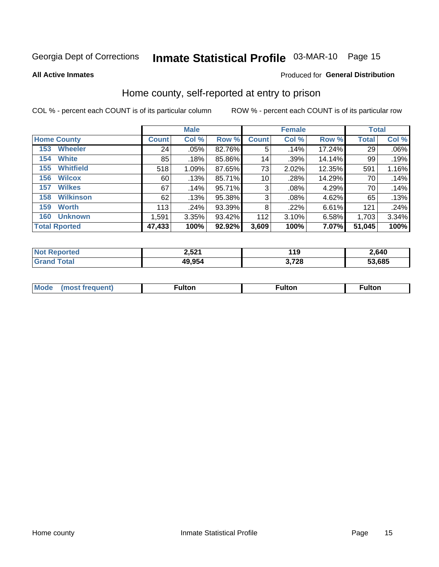# Inmate Statistical Profile 03-MAR-10 Page 15

**All Active Inmates** 

#### Produced for General Distribution

### Home county, self-reported at entry to prison

COL % - percent each COUNT is of its particular column

|                         |              | <b>Male</b> |        |                 | <b>Female</b> |          | <b>Total</b> |       |
|-------------------------|--------------|-------------|--------|-----------------|---------------|----------|--------------|-------|
| <b>Home County</b>      | <b>Count</b> | Col %       | Row %  | <b>Count</b>    | Col %         | Row %    | <b>Total</b> | Col % |
| <b>Wheeler</b><br>153   | 24           | .05%        | 82.76% | 5               | .14%          | 17.24%   | 29           | .06%  |
| <b>White</b><br>154     | 85           | .18%        | 85.86% | 14 <sub>1</sub> | .39%          | 14.14%   | 99           | .19%  |
| <b>Whitfield</b><br>155 | 518          | 1.09%       | 87.65% | 73              | 2.02%         | 12.35%   | 591          | 1.16% |
| <b>Wilcox</b><br>156    | 60           | .13%        | 85.71% | 10 <sup>1</sup> | .28%          | 14.29%   | 70           | .14%  |
| <b>Wilkes</b><br>157    | 67           | .14%        | 95.71% | 3               | .08%          | 4.29%    | 70           | .14%  |
| <b>Wilkinson</b><br>158 | 62           | .13%        | 95.38% | 3               | $.08\%$       | 4.62%    | 65           | .13%  |
| 159<br><b>Worth</b>     | 113          | .24%        | 93.39% | 8               | .22%          | $6.61\%$ | 121          | .24%  |
| <b>Unknown</b><br>160   | 1,591        | 3.35%       | 93.42% | 112             | 3.10%         | 6.58%    | 1,703        | 3.34% |
| <b>Total Rported</b>    | 47,433       | 100%        | 92.92% | 3,609           | 100%          | 7.07%    | 51,045       | 100%  |

| rted<br>NO  | 2,521  | 119<br>$\sim$ | 2,640          |
|-------------|--------|---------------|----------------|
| <b>otal</b> | 49,954 | ספי י         | 53.685<br>D.S. |

|  | Mode | ™ulton | ∶ulton | ™ulton |
|--|------|--------|--------|--------|
|--|------|--------|--------|--------|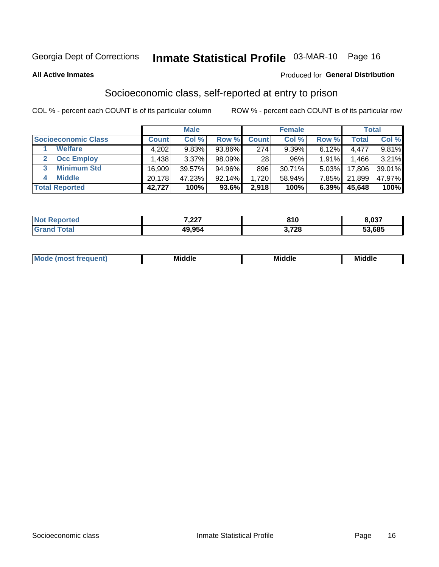# Inmate Statistical Profile 03-MAR-10 Page 16

#### **All Active Inmates**

#### **Produced for General Distribution**

### Socioeconomic class, self-reported at entry to prison

COL % - percent each COUNT is of its particular column

|                            |        | <b>Male</b> |           |                 | <b>Female</b> |       |        | <b>Total</b> |
|----------------------------|--------|-------------|-----------|-----------------|---------------|-------|--------|--------------|
| <b>Socioeconomic Class</b> | Count⊺ | Col %       | Row %     | <b>Count</b>    | Col %         | Row % | Total  | Col %        |
| <b>Welfare</b>             | 4,202  | 9.83%       | 93.86%    | 274             | 9.39%         | 6.12% | 4,477  | 9.81%        |
| <b>Occ Employ</b>          | .438   | 3.37%       | $98.09\%$ | 28 <sub>1</sub> | .96%          | 1.91% | .466 ا | 3.21%        |
| <b>Minimum Std</b>         | 16,909 | 39.57%      | 94.96%    | 896             | 30.71%        | 5.03% | 17,806 | 39.01%       |
| <b>Middle</b>              | 20.178 | 47.23%      | 92.14%    | 1.720           | 58.94%        | 7.85% | 21,899 | 47.97%       |
| <b>Total Reported</b>      | 42,727 | 100%        | 93.6%     | 2,918           | 100%          | 6.39% | 45,648 | 100%         |

| <b>Not Reported</b> | 7.22<br>1.ZZ 1 | <b>040</b> | 8,037  |
|---------------------|----------------|------------|--------|
|                     | 49,954         | 3,728      | 53,685 |

| .<br>____<br>____ |
|-------------------|
|-------------------|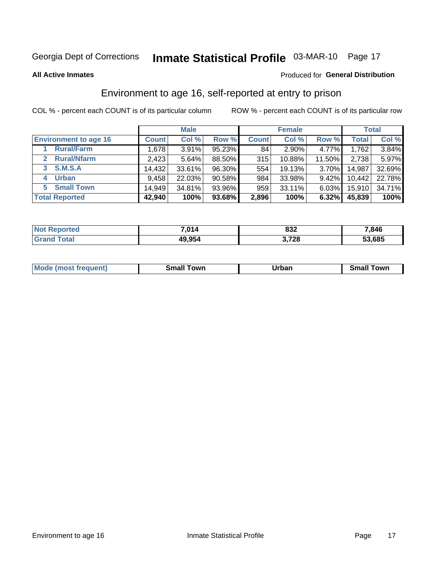# Inmate Statistical Profile 03-MAR-10 Page 17

**All Active Inmates** 

#### Produced for General Distribution

### Environment to age 16, self-reported at entry to prison

COL % - percent each COUNT is of its particular column

|                                   | <b>Male</b>  |        |        | <b>Female</b> |        |          | <b>Total</b> |        |
|-----------------------------------|--------------|--------|--------|---------------|--------|----------|--------------|--------|
| <b>Environment to age 16</b>      | <b>Count</b> | Col %  | Row %  | <b>Count</b>  | Col %  | Row %    | Total        | Col %  |
| <b>Rural/Farm</b>                 | 1,678        | 3.91%  | 95.23% | 84            | 2.90%  | 4.77%    | 1,762        | 3.84%  |
| <b>Rural/Nfarm</b><br>$2^{\circ}$ | 2,423        | 5.64%  | 88.50% | 315           | 10.88% | 11.50%   | 2,738        | 5.97%  |
| <b>S.M.S.A</b><br>3               | 14,432       | 33.61% | 96.30% | 554           | 19.13% | $3.70\%$ | 14,987       | 32.69% |
| <b>Urban</b><br>4                 | 9,458        | 22.03% | 90.58% | 984           | 33.98% | 9.42%    | 10,442       | 22.78% |
| <b>Small Town</b><br>5.           | 14.949       | 34.81% | 93.96% | 959           | 33.11% | $6.03\%$ | 15,910       | 34.71% |
| <b>Total Reported</b>             | 42,940       | 100%   | 93.68% | 2,896         | 100%   | 6.32%    | 45,839       | 100%   |

| <b>Not Reported</b> | 7,014  | 832   | 7,846  |
|---------------------|--------|-------|--------|
| <b>Total</b>        | 49,954 | 3,728 | 53,685 |

| <b>Mode</b><br>auent)<br>ns. | owr<br>Small | Jrban<br>____ | <b>LOWE</b><br>51 |
|------------------------------|--------------|---------------|-------------------|
|                              |              |               |                   |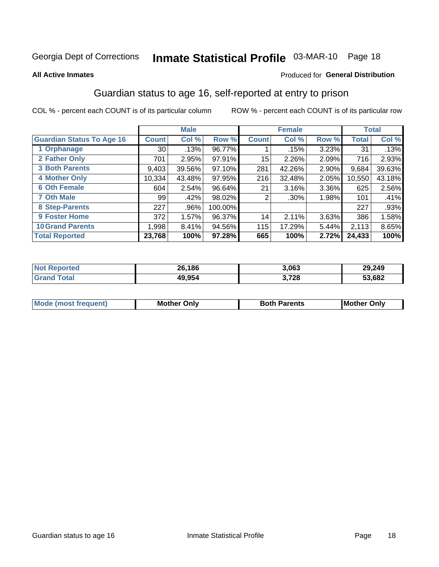# Inmate Statistical Profile 03-MAR-10 Page 18

#### **All Active Inmates**

#### Produced for General Distribution

### Guardian status to age 16, self-reported at entry to prison

COL % - percent each COUNT is of its particular column

|                                  |              | <b>Male</b> |         |              | <b>Female</b> |       |              | <b>Total</b> |
|----------------------------------|--------------|-------------|---------|--------------|---------------|-------|--------------|--------------|
| <b>Guardian Status To Age 16</b> | <b>Count</b> | Col %       | Row %   | <b>Count</b> | Col %         | Row % | <b>Total</b> | Col %        |
| 1 Orphanage                      | 30           | .13%        | 96.77%  |              | .15%          | 3.23% | 31           | .13%         |
| 2 Father Only                    | 701          | 2.95%       | 97.91%  | 15           | 2.26%         | 2.09% | 716          | 2.93%        |
| <b>3 Both Parents</b>            | 9,403        | 39.56%      | 97.10%  | 281          | 42.26%        | 2.90% | 9,684        | 39.63%       |
| <b>4 Mother Only</b>             | 10,334       | 43.48%      | 97.95%  | 216          | 32.48%        | 2.05% | 10,550       | 43.18%       |
| <b>6 Oth Female</b>              | 604          | 2.54%       | 96.64%  | 21           | 3.16%         | 3.36% | 625          | 2.56%        |
| <b>7 Oth Male</b>                | 99           | .42%        | 98.02%  | 2            | .30%          | 1.98% | 101          | .41%         |
| 8 Step-Parents                   | 227          | .96%        | 100.00% |              |               |       | 227          | .93%         |
| 9 Foster Home                    | 372          | 1.57%       | 96.37%  | 14           | 2.11%         | 3.63% | 386          | 1.58%        |
| <b>10 Grand Parents</b>          | 1,998        | 8.41%       | 94.56%  | 115          | 17.29%        | 5.44% | 2,113        | 8.65%        |
| <b>Total Reported</b>            | 23,768       | 100%        | 97.28%  | 665          | 100%          | 2.72% | 24,433       | 100%         |

| <b>Not</b><br><b>Reported</b> | 26,186 | 3,063 | 29,249 |
|-------------------------------|--------|-------|--------|
| ⊺otal                         | 49,954 | 3,728 | 53,682 |

| Mode | วทIv<br>Mot | <b>Both Parents</b><br>Parents | lM.<br>Only<br>. |
|------|-------------|--------------------------------|------------------|
|      |             |                                |                  |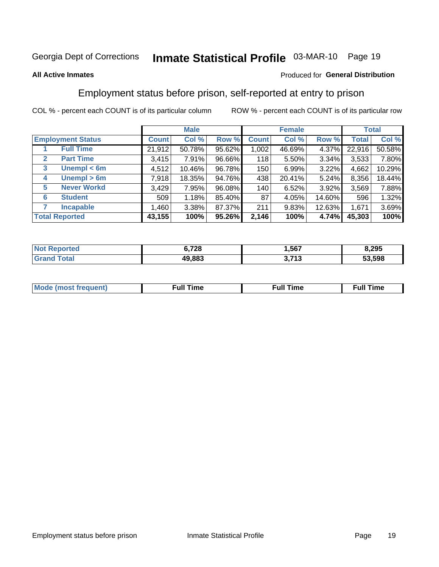# Inmate Statistical Profile 03-MAR-10 Page 19

#### **All Active Inmates**

#### Produced for General Distribution

### Employment status before prison, self-reported at entry to prison

COL % - percent each COUNT is of its particular column

|                                  |         | <b>Male</b> |        |              | <b>Female</b> |        |        | <b>Total</b> |
|----------------------------------|---------|-------------|--------|--------------|---------------|--------|--------|--------------|
| <b>Employment Status</b>         | Count l | Col %       | Row %  | <b>Count</b> | Col %         | Row %  | Total  | Col %        |
| <b>Full Time</b>                 | 21,912  | 50.78%      | 95.62% | 1,002        | 46.69%        | 4.37%  | 22,916 | 50.58%       |
| <b>Part Time</b><br>$\mathbf{2}$ | 3,415   | 7.91%       | 96.66% | 118          | 5.50%         | 3.34%  | 3,533  | 7.80%        |
| Unempl $<$ 6m<br>3               | 4,512   | 10.46%      | 96.78% | 150          | 6.99%         | 3.22%  | 4,662  | 10.29%       |
| Unempl > 6m<br>4                 | 7,918   | 18.35%      | 94.76% | 438          | 20.41%        | 5.24%  | 8,356  | 18.44%       |
| <b>Never Workd</b><br>5          | 3,429   | 7.95%       | 96.08% | 140          | 6.52%         | 3.92%  | 3,569  | 7.88%        |
| <b>Student</b><br>6              | 509     | 1.18%       | 85.40% | 87           | 4.05%         | 14.60% | 596    | 1.32%        |
| <b>Incapable</b>                 | 1,460   | $3.38\%$    | 87.37% | 211          | 9.83%         | 12.63% | 1,671  | 3.69%        |
| <b>Total Reported</b>            | 43,155  | 100%        | 95.26% | 2,146        | 100%          | 4.74%  | 45,303 | 100%         |

| 'enorted | 6.728  | .567                          | 8,295  |
|----------|--------|-------------------------------|--------|
| ota      | 49.883 | <b>1 74 מ</b><br>. I J<br>. . | 53.598 |

| Mc | ----<br>me<br>ш | nc<br>. |
|----|-----------------|---------|
|    |                 |         |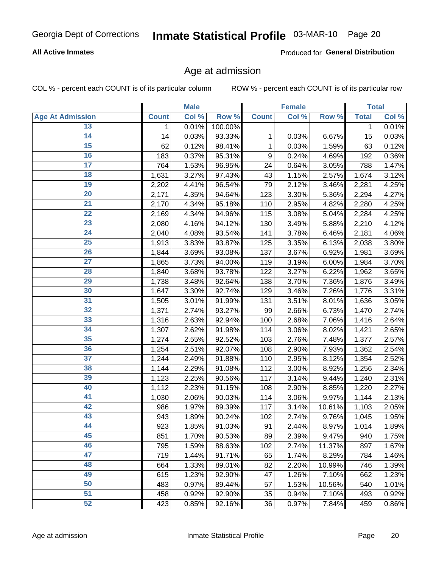### **All Active Inmates**

Produced for General Distribution

### Age at admission

COL % - percent each COUNT is of its particular column

|                         |              | <b>Male</b> |         |              | <b>Female</b> |        |              | <b>Total</b> |
|-------------------------|--------------|-------------|---------|--------------|---------------|--------|--------------|--------------|
| <b>Age At Admission</b> | <b>Count</b> | Col %       | Row %   | <b>Count</b> | Col %         | Row %  | <b>Total</b> | Col %        |
| 13                      | 1            | 0.01%       | 100.00% |              |               |        | 1            | 0.01%        |
| 14                      | 14           | 0.03%       | 93.33%  | 1            | 0.03%         | 6.67%  | 15           | 0.03%        |
| 15                      | 62           | 0.12%       | 98.41%  | 1            | 0.03%         | 1.59%  | 63           | 0.12%        |
| 16                      | 183          | 0.37%       | 95.31%  | 9            | 0.24%         | 4.69%  | 192          | 0.36%        |
| $\overline{17}$         | 764          | 1.53%       | 96.95%  | 24           | 0.64%         | 3.05%  | 788          | 1.47%        |
| 18                      | 1,631        | 3.27%       | 97.43%  | 43           | 1.15%         | 2.57%  | 1,674        | 3.12%        |
| 19                      | 2,202        | 4.41%       | 96.54%  | 79           | 2.12%         | 3.46%  | 2,281        | 4.25%        |
| 20                      | 2,171        | 4.35%       | 94.64%  | 123          | 3.30%         | 5.36%  | 2,294        | 4.27%        |
| $\overline{21}$         | 2,170        | 4.34%       | 95.18%  | 110          | 2.95%         | 4.82%  | 2,280        | 4.25%        |
| $\overline{22}$         | 2,169        | 4.34%       | 94.96%  | 115          | 3.08%         | 5.04%  | 2,284        | 4.25%        |
| 23                      | 2,080        | 4.16%       | 94.12%  | 130          | 3.49%         | 5.88%  | 2,210        | 4.12%        |
| $\overline{24}$         | 2,040        | 4.08%       | 93.54%  | 141          | 3.78%         | 6.46%  | 2,181        | 4.06%        |
| 25                      | 1,913        | 3.83%       | 93.87%  | 125          | 3.35%         | 6.13%  | 2,038        | 3.80%        |
| $\overline{26}$         | 1,844        | 3.69%       | 93.08%  | 137          | 3.67%         | 6.92%  | 1,981        | 3.69%        |
| $\overline{27}$         | 1,865        | 3.73%       | 94.00%  | 119          | 3.19%         | 6.00%  | 1,984        | 3.70%        |
| 28                      | 1,840        | 3.68%       | 93.78%  | 122          | 3.27%         | 6.22%  | 1,962        | 3.65%        |
| 29                      | 1,738        | 3.48%       | 92.64%  | 138          | 3.70%         | 7.36%  | 1,876        | 3.49%        |
| 30                      | 1,647        | 3.30%       | 92.74%  | 129          | 3.46%         | 7.26%  | 1,776        | 3.31%        |
| 31                      | 1,505        | 3.01%       | 91.99%  | 131          | 3.51%         | 8.01%  | 1,636        | 3.05%        |
| $\overline{32}$         | 1,371        | 2.74%       | 93.27%  | 99           | 2.66%         | 6.73%  | 1,470        | 2.74%        |
| 33                      | 1,316        | 2.63%       | 92.94%  | 100          | 2.68%         | 7.06%  | 1,416        | 2.64%        |
| 34                      | 1,307        | 2.62%       | 91.98%  | 114          | 3.06%         | 8.02%  | 1,421        | 2.65%        |
| 35                      | 1,274        | 2.55%       | 92.52%  | 103          | 2.76%         | 7.48%  | 1,377        | 2.57%        |
| 36                      | 1,254        | 2.51%       | 92.07%  | 108          | 2.90%         | 7.93%  | 1,362        | 2.54%        |
| $\overline{37}$         | 1,244        | 2.49%       | 91.88%  | 110          | 2.95%         | 8.12%  | 1,354        | 2.52%        |
| 38                      | 1,144        | 2.29%       | 91.08%  | 112          | 3.00%         | 8.92%  | 1,256        | 2.34%        |
| 39                      | 1,123        | 2.25%       | 90.56%  | 117          | 3.14%         | 9.44%  | 1,240        | 2.31%        |
| 40                      | 1,112        | 2.23%       | 91.15%  | 108          | 2.90%         | 8.85%  | 1,220        | 2.27%        |
| 41                      | 1,030        | 2.06%       | 90.03%  | 114          | 3.06%         | 9.97%  | 1,144        | 2.13%        |
| 42                      | 986          | 1.97%       | 89.39%  | 117          | 3.14%         | 10.61% | 1,103        | 2.05%        |
| 43                      | 943          | 1.89%       | 90.24%  | 102          | 2.74%         | 9.76%  | 1,045        | 1.95%        |
| 44                      | 923          | 1.85%       | 91.03%  | 91           | 2.44%         | 8.97%  | 1,014        | 1.89%        |
| 45                      | 851          | 1.70%       | 90.53%  | 89           | 2.39%         | 9.47%  | 940          | 1.75%        |
| 46                      | 795          | 1.59%       | 88.63%  | 102          | 2.74%         | 11.37% | 897          | 1.67%        |
| 47                      | 719          | 1.44%       | 91.71%  | 65           | 1.74%         | 8.29%  | 784          | 1.46%        |
| 48                      | 664          | 1.33%       | 89.01%  | 82           | 2.20%         | 10.99% | 746          | 1.39%        |
| 49                      | 615          | 1.23%       | 92.90%  | 47           | 1.26%         | 7.10%  | 662          | 1.23%        |
| 50                      | 483          | 0.97%       | 89.44%  | 57           | 1.53%         | 10.56% | 540          | 1.01%        |
| $\overline{51}$         | 458          | 0.92%       | 92.90%  | 35           | 0.94%         | 7.10%  | 493          | 0.92%        |
| 52                      | 423          | 0.85%       | 92.16%  | 36           | 0.97%         | 7.84%  | 459          | 0.86%        |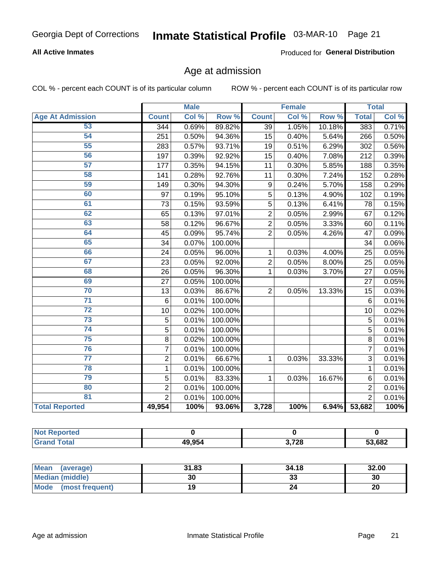### **All Active Inmates**

Produced for General Distribution

### Age at admission

COL % - percent each COUNT is of its particular column

|                         |                 | <b>Male</b> |         |                | <b>Female</b> |        |                | <b>Total</b> |
|-------------------------|-----------------|-------------|---------|----------------|---------------|--------|----------------|--------------|
| <b>Age At Admission</b> | <b>Count</b>    | Col %       | Row %   | <b>Count</b>   | Col %         | Row %  | <b>Total</b>   | Col %        |
| 53                      | 344             | 0.69%       | 89.82%  | 39             | 1.05%         | 10.18% | 383            | 0.71%        |
| 54                      | 251             | 0.50%       | 94.36%  | 15             | 0.40%         | 5.64%  | 266            | 0.50%        |
| 55                      | 283             | 0.57%       | 93.71%  | 19             | 0.51%         | 6.29%  | 302            | 0.56%        |
| 56                      | 197             | 0.39%       | 92.92%  | 15             | 0.40%         | 7.08%  | 212            | 0.39%        |
| 57                      | 177             | 0.35%       | 94.15%  | 11             | 0.30%         | 5.85%  | 188            | 0.35%        |
| 58                      | 141             | 0.28%       | 92.76%  | 11             | 0.30%         | 7.24%  | 152            | 0.28%        |
| 59                      | 149             | 0.30%       | 94.30%  | 9              | 0.24%         | 5.70%  | 158            | 0.29%        |
| 60                      | 97              | 0.19%       | 95.10%  | 5              | 0.13%         | 4.90%  | 102            | 0.19%        |
| 61                      | 73              | 0.15%       | 93.59%  | 5              | 0.13%         | 6.41%  | 78             | 0.15%        |
| 62                      | 65              | 0.13%       | 97.01%  | $\overline{2}$ | 0.05%         | 2.99%  | 67             | 0.12%        |
| 63                      | 58              | 0.12%       | 96.67%  | $\overline{2}$ | 0.05%         | 3.33%  | 60             | 0.11%        |
| 64                      | 45              | 0.09%       | 95.74%  | $\overline{2}$ | 0.05%         | 4.26%  | 47             | 0.09%        |
| 65                      | 34              | 0.07%       | 100.00% |                |               |        | 34             | 0.06%        |
| 66                      | 24              | 0.05%       | 96.00%  | 1              | 0.03%         | 4.00%  | 25             | 0.05%        |
| 67                      | 23              | 0.05%       | 92.00%  | $\overline{2}$ | 0.05%         | 8.00%  | 25             | 0.05%        |
| 68                      | 26              | 0.05%       | 96.30%  | 1              | 0.03%         | 3.70%  | 27             | 0.05%        |
| 69                      | 27              | 0.05%       | 100.00% |                |               |        | 27             | 0.05%        |
| 70                      | 13              | 0.03%       | 86.67%  | $\overline{2}$ | 0.05%         | 13.33% | 15             | 0.03%        |
| $\overline{71}$         | $6\phantom{1}6$ | 0.01%       | 100.00% |                |               |        | 6              | 0.01%        |
| $\overline{72}$         | 10              | 0.02%       | 100.00% |                |               |        | 10             | 0.02%        |
| $\overline{73}$         | 5               | 0.01%       | 100.00% |                |               |        | 5              | 0.01%        |
| 74                      | $\overline{5}$  | 0.01%       | 100.00% |                |               |        | 5              | 0.01%        |
| $\overline{75}$         | 8               | 0.02%       | 100.00% |                |               |        | 8              | 0.01%        |
| 76                      | $\overline{7}$  | 0.01%       | 100.00% |                |               |        | 7              | 0.01%        |
| $\overline{77}$         | $\overline{2}$  | 0.01%       | 66.67%  | 1              | 0.03%         | 33.33% | $\overline{3}$ | 0.01%        |
| 78                      | 1               | 0.01%       | 100.00% |                |               |        | $\mathbf{1}$   | 0.01%        |
| 79                      | 5               | 0.01%       | 83.33%  | 1              | 0.03%         | 16.67% | 6              | 0.01%        |
| 80                      | $\overline{2}$  | 0.01%       | 100.00% |                |               |        | $\overline{2}$ | 0.01%        |
| $\overline{81}$         | $\overline{2}$  | 0.01%       | 100.00% |                |               |        | $\overline{2}$ | 0.01%        |
| <b>Total Reported</b>   | 49,954          | 100%        | 93.06%  | 3,728          | 100%          | 6.94%  | 53,682         | 100%         |

| N<br>тет |        |                                    |        |
|----------|--------|------------------------------------|--------|
| ______   | 49.954 | 2700<br>$\cdot$ 120 $\cdot$<br>. . | 53,682 |

| Mean (average)         | 31.83 | 34.18   | 32.00 |
|------------------------|-------|---------|-------|
| <b>Median (middle)</b> | 30    | ົ<br>دد | 30    |
| Mode (most frequent)   |       |         | 20    |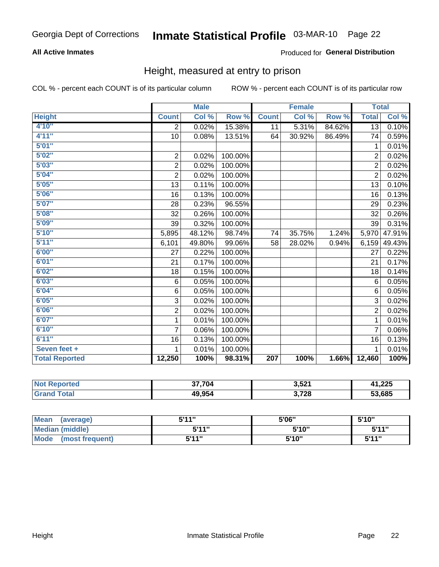### **All Active Inmates**

#### Produced for General Distribution

### Height, measured at entry to prison

COL % - percent each COUNT is of its particular column

|                       |                         | <b>Male</b> |         |              | <b>Female</b> |        | <b>Total</b>   |        |
|-----------------------|-------------------------|-------------|---------|--------------|---------------|--------|----------------|--------|
| <b>Height</b>         | <b>Count</b>            | Col %       | Row %   | <b>Count</b> | Col %         | Row %  | <b>Total</b>   | Col %  |
| 4'10"                 | $\overline{2}$          | 0.02%       | 15.38%  | 11           | 5.31%         | 84.62% | 13             | 0.10%  |
| 4'11''                | 10                      | 0.08%       | 13.51%  | 64           | 30.92%        | 86.49% | 74             | 0.59%  |
| 5'01''                |                         |             |         |              |               |        | 1              | 0.01%  |
| 5'02''                | $\mathbf 2$             | 0.02%       | 100.00% |              |               |        | $\overline{2}$ | 0.02%  |
| 5'03''                | $\overline{\mathbf{c}}$ | 0.02%       | 100.00% |              |               |        | $\overline{2}$ | 0.02%  |
| 5'04''                | $\overline{2}$          | 0.02%       | 100.00% |              |               |        | $\overline{2}$ | 0.02%  |
| 5'05''                | 13                      | 0.11%       | 100.00% |              |               |        | 13             | 0.10%  |
| 5'06''                | 16                      | 0.13%       | 100.00% |              |               |        | 16             | 0.13%  |
| 5'07''                | 28                      | 0.23%       | 96.55%  |              |               |        | 29             | 0.23%  |
| 5'08''                | 32                      | 0.26%       | 100.00% |              |               |        | 32             | 0.26%  |
| 5'09''                | 39                      | 0.32%       | 100.00% |              |               |        | 39             | 0.31%  |
| 5'10''                | 5,895                   | 48.12%      | 98.74%  | 74           | 35.75%        | 1.24%  | 5,970          | 47.91% |
| 5'11''                | 6,101                   | 49.80%      | 99.06%  | 58           | 28.02%        | 0.94%  | 6,159          | 49.43% |
| 6'00''                | 27                      | 0.22%       | 100.00% |              |               |        | 27             | 0.22%  |
| 6'01''                | 21                      | 0.17%       | 100.00% |              |               |        | 21             | 0.17%  |
| 6'02''                | 18                      | 0.15%       | 100.00% |              |               |        | 18             | 0.14%  |
| 6'03''                | $\,6$                   | 0.05%       | 100.00% |              |               |        | 6              | 0.05%  |
| 6'04''                | 6                       | 0.05%       | 100.00% |              |               |        | 6              | 0.05%  |
| 6'05''                | 3                       | 0.02%       | 100.00% |              |               |        | 3              | 0.02%  |
| 6'06''                | $\overline{c}$          | 0.02%       | 100.00% |              |               |        | $\overline{2}$ | 0.02%  |
| 6'07''                | 1                       | 0.01%       | 100.00% |              |               |        | 1              | 0.01%  |
| 6'10''                | $\overline{7}$          | 0.06%       | 100.00% |              |               |        | $\overline{7}$ | 0.06%  |
| 6'11''                | 16                      | 0.13%       | 100.00% |              |               |        | 16             | 0.13%  |
| Seven feet +          | 1                       | 0.01%       | 100.00% |              |               |        | 1              | 0.01%  |
| <b>Total Reported</b> | 12,250                  | 100%        | 98.31%  | 207          | 100%          | 1.66%  | 12,460         | 100%   |

| <b>o</b> rted            | 37.704 | 3,521 | 41,225 |
|--------------------------|--------|-------|--------|
| <sup>™</sup> ota⊾<br>Gra | 49,954 | 3,728 | 53,685 |

| <b>Mean</b><br>(average) | 5'11" | 5'06" | 5'10"  |
|--------------------------|-------|-------|--------|
| Median (middle)          | 544"  | 5'10" | 5'11'' |
| Mode<br>(most frequent)  | 5'11" | 5'10" | 5'11"  |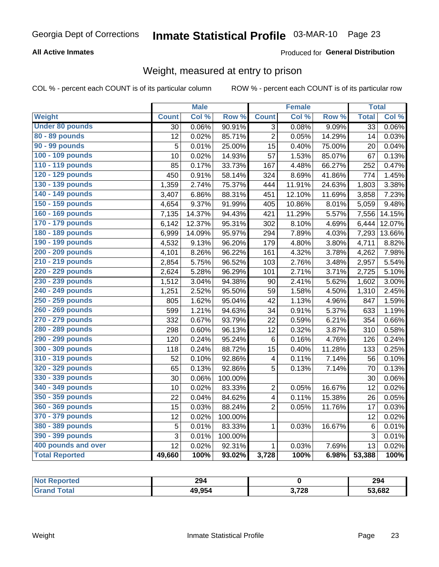### **All Active Inmates**

### Produced for General Distribution

### Weight, measured at entry to prison

COL % - percent each COUNT is of its particular column

|                        |              | <b>Male</b> |                  |                         | <b>Female</b> |        | <b>Total</b>    |        |
|------------------------|--------------|-------------|------------------|-------------------------|---------------|--------|-----------------|--------|
| <b>Weight</b>          | <b>Count</b> | Col %       | Row <sup>%</sup> | <b>Count</b>            | Col %         | Row %  | <b>Total</b>    | Col %  |
| <b>Under 80 pounds</b> | 30           | 0.06%       | 90.91%           | $\overline{3}$          | 0.08%         | 9.09%  | $\overline{33}$ | 0.06%  |
| 80 - 89 pounds         | 12           | 0.02%       | 85.71%           | $\overline{2}$          | 0.05%         | 14.29% | 14              | 0.03%  |
| <b>90 - 99 pounds</b>  | 5            | 0.01%       | 25.00%           | $\overline{15}$         | 0.40%         | 75.00% | 20              | 0.04%  |
| 100 - 109 pounds       | 10           | 0.02%       | 14.93%           | 57                      | 1.53%         | 85.07% | 67              | 0.13%  |
| 110 - 119 pounds       | 85           | 0.17%       | 33.73%           | 167                     | 4.48%         | 66.27% | 252             | 0.47%  |
| 120 - 129 pounds       | 450          | 0.91%       | 58.14%           | 324                     | 8.69%         | 41.86% | 774             | 1.45%  |
| 130 - 139 pounds       | 1,359        | 2.74%       | 75.37%           | 444                     | 11.91%        | 24.63% | 1,803           | 3.38%  |
| 140 - 149 pounds       | 3,407        | 6.86%       | 88.31%           | 451                     | 12.10%        | 11.69% | 3,858           | 7.23%  |
| 150 - 159 pounds       | 4,654        | 9.37%       | 91.99%           | 405                     | 10.86%        | 8.01%  | 5,059           | 9.48%  |
| 160 - 169 pounds       | 7,135        | 14.37%      | 94.43%           | 421                     | 11.29%        | 5.57%  | 7,556           | 14.15% |
| 170 - 179 pounds       | 6,142        | 12.37%      | 95.31%           | 302                     | 8.10%         | 4.69%  | 6,444           | 12.07% |
| 180 - 189 pounds       | 6,999        | 14.09%      | 95.97%           | 294                     | 7.89%         | 4.03%  | 7,293           | 13.66% |
| 190 - 199 pounds       | 4,532        | 9.13%       | 96.20%           | 179                     | 4.80%         | 3.80%  | 4,711           | 8.82%  |
| 200 - 209 pounds       | 4,101        | 8.26%       | 96.22%           | 161                     | 4.32%         | 3.78%  | 4,262           | 7.98%  |
| 210 - 219 pounds       | 2,854        | 5.75%       | 96.52%           | 103                     | 2.76%         | 3.48%  | 2,957           | 5.54%  |
| 220 - 229 pounds       | 2,624        | 5.28%       | 96.29%           | 101                     | 2.71%         | 3.71%  | 2,725           | 5.10%  |
| 230 - 239 pounds       | 1,512        | 3.04%       | 94.38%           | 90                      | 2.41%         | 5.62%  | 1,602           | 3.00%  |
| 240 - 249 pounds       | 1,251        | 2.52%       | 95.50%           | 59                      | 1.58%         | 4.50%  | 1,310           | 2.45%  |
| 250 - 259 pounds       | 805          | 1.62%       | 95.04%           | 42                      | 1.13%         | 4.96%  | 847             | 1.59%  |
| 260 - 269 pounds       | 599          | 1.21%       | 94.63%           | 34                      | 0.91%         | 5.37%  | 633             | 1.19%  |
| 270 - 279 pounds       | 332          | 0.67%       | 93.79%           | 22                      | 0.59%         | 6.21%  | 354             | 0.66%  |
| 280 - 289 pounds       | 298          | 0.60%       | 96.13%           | 12                      | 0.32%         | 3.87%  | 310             | 0.58%  |
| 290 - 299 pounds       | 120          | 0.24%       | 95.24%           | 6                       | 0.16%         | 4.76%  | 126             | 0.24%  |
| 300 - 309 pounds       | 118          | 0.24%       | 88.72%           | 15                      | 0.40%         | 11.28% | 133             | 0.25%  |
| 310 - 319 pounds       | 52           | 0.10%       | 92.86%           | 4                       | 0.11%         | 7.14%  | 56              | 0.10%  |
| 320 - 329 pounds       | 65           | 0.13%       | 92.86%           | $\overline{5}$          | 0.13%         | 7.14%  | 70              | 0.13%  |
| 330 - 339 pounds       | 30           | 0.06%       | 100.00%          |                         |               |        | 30              | 0.06%  |
| 340 - 349 pounds       | 10           | 0.02%       | 83.33%           | $\overline{2}$          | 0.05%         | 16.67% | 12              | 0.02%  |
| 350 - 359 pounds       | 22           | 0.04%       | 84.62%           | $\overline{\mathbf{4}}$ | 0.11%         | 15.38% | 26              | 0.05%  |
| 360 - 369 pounds       | 15           | 0.03%       | 88.24%           | $\overline{2}$          | 0.05%         | 11.76% | 17              | 0.03%  |
| 370 - 379 pounds       | 12           | 0.02%       | 100.00%          |                         |               |        | 12              | 0.02%  |
| 380 - 389 pounds       | 5            | 0.01%       | 83.33%           | $\mathbf{1}$            | 0.03%         | 16.67% | $\,6$           | 0.01%  |
| 390 - 399 pounds       | 3            | 0.01%       | 100.00%          |                         |               |        | 3               | 0.01%  |
| 400 pounds and over    | 12           | 0.02%       | 92.31%           | $\mathbf{1}$            | 0.03%         | 7.69%  | 13              | 0.02%  |
| <b>Total Reported</b>  | 49,660       | 100%        | 93.02%           | 3,728                   | 100%          | 6.98%  | 53,388          | 100%   |

| Reported<br>' NOT | 294    |       | 294    |
|-------------------|--------|-------|--------|
| ⊺otal<br>"Gra.    | 49,954 | 3,728 | 53,682 |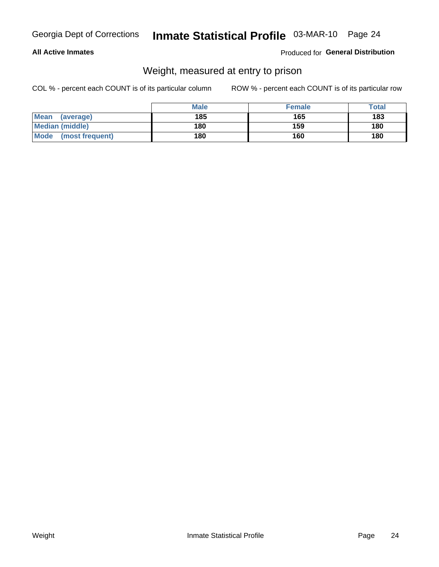#### **All Active Inmates**

#### Produced for General Distribution

### Weight, measured at entry to prison

COL % - percent each COUNT is of its particular column

|                          | <b>Male</b> | <b>Female</b> | Total |
|--------------------------|-------------|---------------|-------|
| <b>Mean</b><br>(average) | 185         | 165           | 183   |
| <b>Median (middle)</b>   | 180         | 159           | 180   |
| Mode<br>(most frequent)  | 180         | 160           | 180   |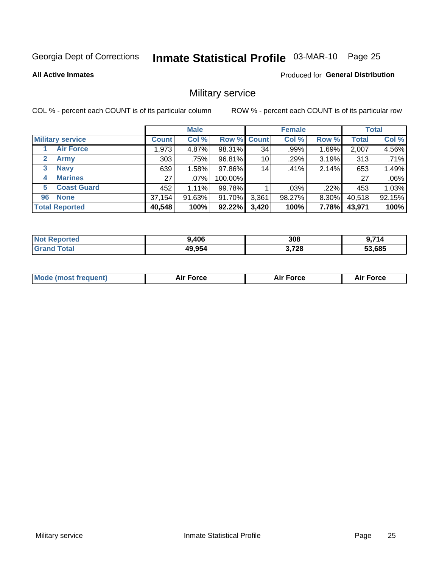# Inmate Statistical Profile 03-MAR-10 Page 25

**Produced for General Distribution** 

#### **All Active Inmates**

### Military service

COL % - percent each COUNT is of its particular column

|                             |              | <b>Male</b> |         |                    | <b>Female</b> |        |              | <b>Total</b> |
|-----------------------------|--------------|-------------|---------|--------------------|---------------|--------|--------------|--------------|
| <b>Military service</b>     | <b>Count</b> | Col %       |         | <b>Row % Count</b> | Col %         | Row %  | <b>Total</b> | Col %        |
| <b>Air Force</b>            | .973         | 4.87%       | 98.31%  | 34                 | .99%          | 1.69%  | 2,007        | 4.56%        |
| $\mathbf{2}$<br><b>Army</b> | 303          | .75%        | 96.81%  | 10                 | .29%          | 3.19%  | 313          | .71%         |
| <b>Navy</b><br>3            | 639          | 1.58%       | 97.86%  | 14                 | .41%          | 2.14%  | 653          | 1.49%        |
| <b>Marines</b><br>4         | 27           | $.07\%$     | 100.00% |                    |               |        | 27           | .06%         |
| <b>Coast Guard</b><br>5.    | 452          | 1.11%       | 99.78%  |                    | .03%          | .22%   | 453          | 1.03%        |
| <b>None</b><br>96           | 37,154       | 91.63%      | 91.70%  | 3,361              | 98.27%        | 8.30%  | 40,518       | 92.15%       |
| <b>Total Reported</b>       | 40,548       | 100%        | 92.22%  | 3,420              | 100%          | 7.78%I | 43,971       | 100%         |

| тео<br>N | .406   | 308   | 741<br>14 |
|----------|--------|-------|-----------|
| ' Gra    | 49,954 | 3,728 | 53,685    |

|  | <b>Mode (most frequent)</b> | Force | <b>Force</b><br>Л і Р | <b>Force</b><br>ΑL |
|--|-----------------------------|-------|-----------------------|--------------------|
|--|-----------------------------|-------|-----------------------|--------------------|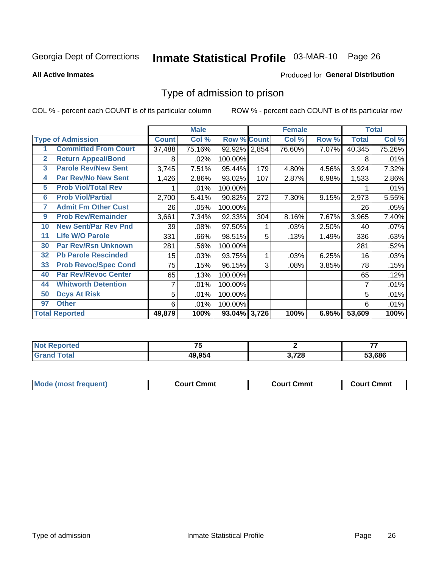# Inmate Statistical Profile 03-MAR-10 Page 26

**All Active Inmates** 

#### **Produced for General Distribution**

### Type of admission to prison

COL % - percent each COUNT is of its particular column

|              |                             |                 | <b>Male</b> |                    |     | <b>Female</b> |       |              | <b>Total</b> |
|--------------|-----------------------------|-----------------|-------------|--------------------|-----|---------------|-------|--------------|--------------|
|              | <b>Type of Admission</b>    | <b>Count</b>    | Col %       | <b>Row % Count</b> |     | Col %         | Row % | <b>Total</b> | Col %        |
|              | <b>Committed From Court</b> | 37,488          | 75.16%      | 92.92% 2,854       |     | 76.60%        | 7.07% | 40,345       | 75.26%       |
| $\mathbf{2}$ | <b>Return Appeal/Bond</b>   | 8               | .02%        | 100.00%            |     |               |       | 8            | .01%         |
| 3            | <b>Parole Rev/New Sent</b>  | 3,745           | 7.51%       | 95.44%             | 179 | 4.80%         | 4.56% | 3,924        | 7.32%        |
| 4            | <b>Par Rev/No New Sent</b>  | 1,426           | 2.86%       | 93.02%             | 107 | 2.87%         | 6.98% | 1,533        | 2.86%        |
| 5            | <b>Prob Viol/Total Rev</b>  |                 | .01%        | 100.00%            |     |               |       |              | .01%         |
| 6            | <b>Prob Viol/Partial</b>    | 2,700           | 5.41%       | 90.82%             | 272 | 7.30%         | 9.15% | 2,973        | 5.55%        |
| 7            | <b>Admit Fm Other Cust</b>  | 26              | .05%        | 100.00%            |     |               |       | 26           | .05%         |
| 9            | <b>Prob Rev/Remainder</b>   | 3,661           | 7.34%       | 92.33%             | 304 | 8.16%         | 7.67% | 3,965        | 7.40%        |
| 10           | <b>New Sent/Par Rev Pnd</b> | 39              | .08%        | 97.50%             |     | .03%          | 2.50% | 40           | .07%         |
| 11           | <b>Life W/O Parole</b>      | 331             | .66%        | 98.51%             | 5   | .13%          | 1.49% | 336          | .63%         |
| 30           | <b>Par Rev/Rsn Unknown</b>  | 281             | .56%        | 100.00%            |     |               |       | 281          | .52%         |
| 32           | <b>Pb Parole Rescinded</b>  | 15 <sub>1</sub> | .03%        | 93.75%             | 1   | .03%          | 6.25% | 16           | .03%         |
| 33           | <b>Prob Revoc/Spec Cond</b> | 75              | .15%        | 96.15%             | 3   | .08%          | 3.85% | 78           | .15%         |
| 40           | <b>Par Rev/Revoc Center</b> | 65              | .13%        | 100.00%            |     |               |       | 65           | .12%         |
| 44           | <b>Whitworth Detention</b>  | 7               | .01%        | 100.00%            |     |               |       | 7            | .01%         |
| 50           | <b>Dcys At Risk</b>         | 5               | .01%        | 100.00%            |     |               |       | 5            | .01%         |
| 97           | <b>Other</b>                | 6               | .01%        | 100.00%            |     |               |       | 6            | .01%         |
|              | <b>Total Reported</b>       | 49,879          | 100%        | 93.04% 3,726       |     | 100%          | 6.95% | 53,609       | 100%         |

| <b>Not</b><br><b>ported</b> | --     |       | --     |
|-----------------------------|--------|-------|--------|
| <b>Fotal</b>                | 49.954 | 3,728 | 53.686 |

| <b>Mode (most frequent)</b> | Court Cmmt | <b>Court Cmmt</b> | Court Cmmt |
|-----------------------------|------------|-------------------|------------|
|                             |            |                   |            |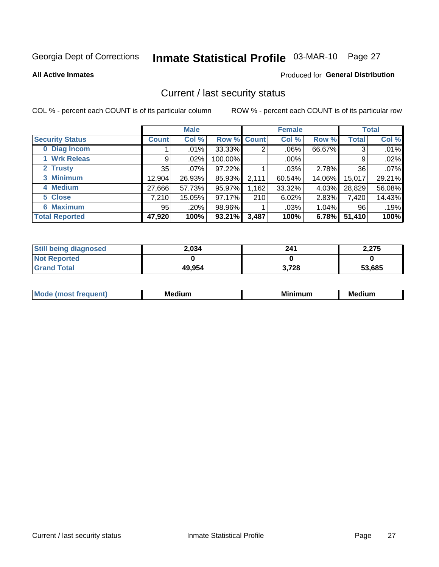# Inmate Statistical Profile 03-MAR-10 Page 27

**Produced for General Distribution** 

#### **All Active Inmates**

### Current / last security status

COL % - percent each COUNT is of its particular column

|                        |              | <b>Male</b> |                    |       | <b>Female</b> |          |        | <b>Total</b> |
|------------------------|--------------|-------------|--------------------|-------|---------------|----------|--------|--------------|
| <b>Security Status</b> | <b>Count</b> | Col %       | <b>Row % Count</b> |       | Col %         | Row %    | Total  | Col %        |
| 0 Diag Incom           |              | .01%        | 33.33%             | 2     | $.06\%$       | 66.67%   | 3      | .01%         |
| 1 Wrk Releas           | 9            | .02%        | 100.00%            |       | .00%          |          | 9      | .02%         |
| 2 Trusty               | 35           | .07%        | 97.22%             |       | $.03\%$       | 2.78%    | 36     | .07%         |
| 3 Minimum              | 12,904       | 26.93%      | 85.93%             | 2,111 | 60.54%        | 14.06%   | 15,017 | 29.21%       |
| 4 Medium               | 27,666       | 57.73%      | 95.97%             | 1,162 | 33.32%        | 4.03%    | 28,829 | 56.08%       |
| 5 Close                | 7,210        | 15.05%      | 97.17%             | 210   | 6.02%         | 2.83%    | 7,420  | 14.43%       |
| <b>Maximum</b><br>6.   | 95           | .20%        | 98.96%             |       | .03%          | $1.04\%$ | 96     | .19%         |
| <b>Total Reported</b>  | 47,920       | 100%        | 93.21%             | 3,487 | 100%          | 6.78%    | 51,410 | 100%         |

| <b>Still being diagnosed</b> | 2,034  | 241   | 2,275  |
|------------------------------|--------|-------|--------|
| <b>Not Reported</b>          |        |       |        |
| <b>Grand Total</b>           | 49,954 | 3,728 | 53,685 |

| <b>Mode</b><br>auent<br>∽ | <b>Medium</b> | ---<br>mum<br>м. | <b>Medium</b> |
|---------------------------|---------------|------------------|---------------|
|                           |               |                  |               |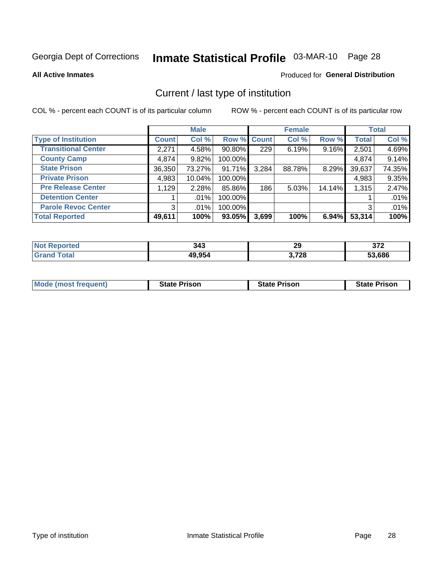# Inmate Statistical Profile 03-MAR-10 Page 28

**All Active Inmates** 

#### **Produced for General Distribution**

### Current / last type of institution

COL % - percent each COUNT is of its particular column

|                            |                | <b>Male</b> |             |       | <b>Female</b> |        |              | <b>Total</b> |
|----------------------------|----------------|-------------|-------------|-------|---------------|--------|--------------|--------------|
| <b>Type of Institution</b> | <b>Count</b>   | Col %       | Row % Count |       | Col %         | Row %  | <b>Total</b> | Col %        |
| <b>Transitional Center</b> | 2,271          | 4.58%       | 90.80%      | 229   | 6.19%         | 9.16%  | 2,501        | 4.69%        |
| <b>County Camp</b>         | 4,874          | 9.82%       | 100.00%     |       |               |        | 4,874        | 9.14%        |
| <b>State Prison</b>        | 36,350         | 73.27%      | $91.71\%$   | 3,284 | 88.78%        | 8.29%  | 39,637       | 74.35%       |
| <b>Private Prison</b>      | 4,983          | 10.04%      | 100.00%     |       |               |        | 4,983        | 9.35%        |
| <b>Pre Release Center</b>  | 1,129          | 2.28%       | 85.86%      | 186   | 5.03%         | 14.14% | 1,315        | 2.47%        |
| <b>Detention Center</b>    |                | .01%        | 100.00%     |       |               |        |              | .01%         |
| <b>Parole Revoc Center</b> | 3 <sub>l</sub> | .01%        | 100.00%     |       |               |        | 3            | .01%         |
| <b>Total Reported</b>      | 49,611         | 100%        | 93.05%      | 3,699 | 100%          | 6.94%  | 53,314       | 100%         |

| N<br>тес | 343    | 29    | ヘフヘ<br>JI L |
|----------|--------|-------|-------------|
|          | 49,954 | 3,728 | 53.686      |

| <b>Mode (most frequent)</b> | <b>State Prison</b> | <b>State Prison</b> | <b>State Prison</b> |
|-----------------------------|---------------------|---------------------|---------------------|
|                             |                     |                     |                     |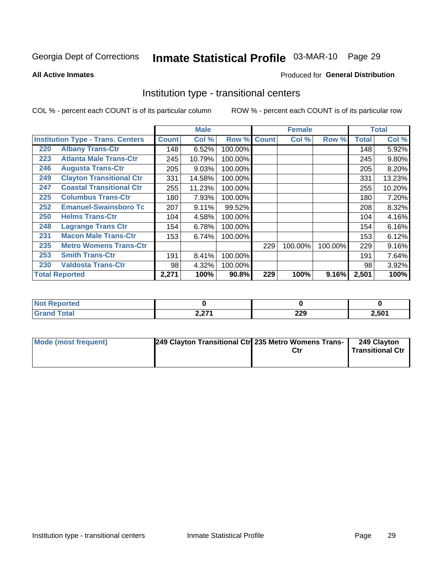# Inmate Statistical Profile 03-MAR-10 Page 29

**All Active Inmates** 

### Produced for General Distribution

### Institution type - transitional centers

COL % - percent each COUNT is of its particular column

|     |                                          |              | <b>Male</b> |         |              | <b>Female</b> |         |              | <b>Total</b> |
|-----|------------------------------------------|--------------|-------------|---------|--------------|---------------|---------|--------------|--------------|
|     | <b>Institution Type - Trans. Centers</b> | <b>Count</b> | Col %       | Row %   | <b>Count</b> | Col %         | Row %   | <b>Total</b> | Col %        |
| 220 | <b>Albany Trans-Ctr</b>                  | 148          | 6.52%       | 100.00% |              |               |         | 148          | 5.92%        |
| 223 | <b>Atlanta Male Trans-Ctr</b>            | 245          | 10.79%      | 100.00% |              |               |         | 245          | 9.80%        |
| 246 | <b>Augusta Trans-Ctr</b>                 | 205          | 9.03%       | 100.00% |              |               |         | 205          | 8.20%        |
| 249 | <b>Clayton Transitional Ctr</b>          | 331          | 14.58%      | 100.00% |              |               |         | 331          | 13.23%       |
| 247 | <b>Coastal Transitional Ctr</b>          | 255          | 11.23%      | 100.00% |              |               |         | 255          | 10.20%       |
| 225 | <b>Columbus Trans-Ctr</b>                | 180          | 7.93%       | 100.00% |              |               |         | 180          | 7.20%        |
| 252 | <b>Emanuel-Swainsboro Tc</b>             | 207          | 9.11%       | 99.52%  |              |               |         | 208          | 8.32%        |
| 250 | <b>Helms Trans-Ctr</b>                   | 104          | 4.58%       | 100.00% |              |               |         | 104          | 4.16%        |
| 248 | <b>Lagrange Trans Ctr</b>                | 154          | 6.78%       | 100.00% |              |               |         | 154          | 6.16%        |
| 231 | <b>Macon Male Trans-Ctr</b>              | 153          | 6.74%       | 100.00% |              |               |         | 153          | 6.12%        |
| 235 | <b>Metro Womens Trans-Ctr</b>            |              |             |         | 229          | 100.00%       | 100.00% | 229          | 9.16%        |
| 253 | <b>Smith Trans-Ctr</b>                   | 191          | 8.41%       | 100.00% |              |               |         | 191          | 7.64%        |
| 230 | <b>Valdosta Trans-Ctr</b>                | 98           | 4.32%       | 100.00% |              |               |         | 98           | 3.92%        |
|     | <b>Total Reported</b>                    | 2,271        | 100%        | 90.8%   | 229          | 100%          | 9.16%   | 2,501        | 100%         |

| rteo<br>m. |                 |            |       |
|------------|-----------------|------------|-------|
| υιαι       | 0.274<br>4,41 I | ה ה<br>LLJ | 2,501 |

| Mode (most frequent) | 249 Clayton Transitional Ctrl 235 Metro Womens Trans- | 249 Clayton<br><b>Transitional Ctr</b> |
|----------------------|-------------------------------------------------------|----------------------------------------|
|                      |                                                       |                                        |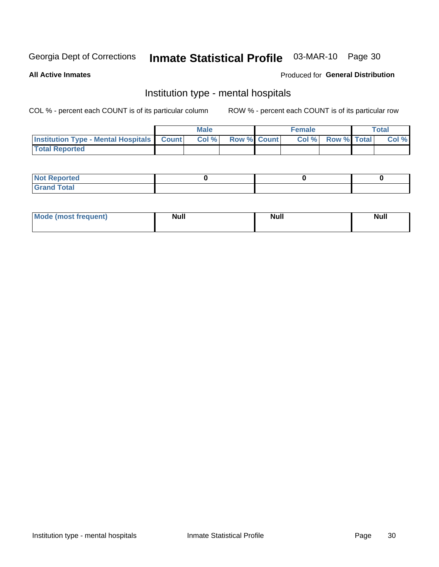# Inmate Statistical Profile 03-MAR-10 Page 30

#### **All Active Inmates**

#### Produced for General Distribution

### Institution type - mental hospitals

COL % - percent each COUNT is of its particular column

|                                                  | Male  |                    | <b>Female</b> |                   | <b>Total</b> |
|--------------------------------------------------|-------|--------------------|---------------|-------------------|--------------|
| <b>Institution Type - Mental Hospitals Count</b> | Col % | <b>Row % Count</b> |               | Col % Row % Total | Col %        |
| <b>Total Reported</b>                            |       |                    |               |                   |              |

| <b>Not Reported</b>   |  |  |
|-----------------------|--|--|
| <b>Total</b><br>_____ |  |  |

| Mode.<br>frequent) | <b>Nul</b><br>_____ | <b>Null</b> | <b>Null</b> |
|--------------------|---------------------|-------------|-------------|
|                    |                     |             |             |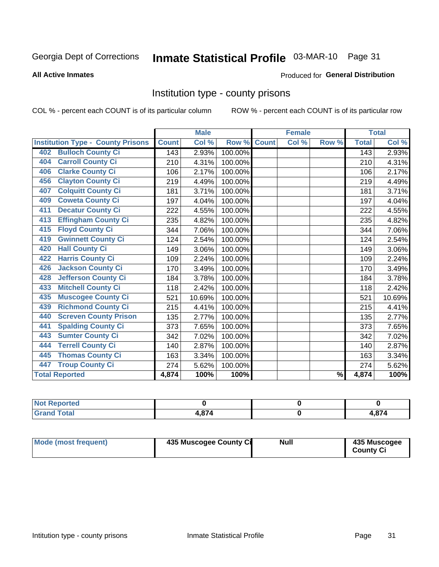# Inmate Statistical Profile 03-MAR-10 Page 31

#### **All Active Inmates**

#### **Produced for General Distribution**

### Institution type - county prisons

COL % - percent each COUNT is of its particular column

|                                          |              | <b>Male</b> |         |              | <b>Female</b> |               |              | <b>Total</b> |
|------------------------------------------|--------------|-------------|---------|--------------|---------------|---------------|--------------|--------------|
| <b>Institution Type - County Prisons</b> | <b>Count</b> | Col %       | Row %   | <b>Count</b> | Col %         | Row %         | <b>Total</b> | Col %        |
| <b>Bulloch County Ci</b><br>402          | 143          | 2.93%       | 100.00% |              |               |               | 143          | 2.93%        |
| <b>Carroll County Ci</b><br>404          | 210          | 4.31%       | 100.00% |              |               |               | 210          | 4.31%        |
| <b>Clarke County Ci</b><br>406           | 106          | 2.17%       | 100.00% |              |               |               | 106          | 2.17%        |
| <b>Clayton County Ci</b><br>456          | 219          | 4.49%       | 100.00% |              |               |               | 219          | 4.49%        |
| <b>Colquitt County Ci</b><br>407         | 181          | 3.71%       | 100.00% |              |               |               | 181          | 3.71%        |
| <b>Coweta County Ci</b><br>409           | 197          | 4.04%       | 100.00% |              |               |               | 197          | 4.04%        |
| <b>Decatur County Ci</b><br>411          | 222          | 4.55%       | 100.00% |              |               |               | 222          | 4.55%        |
| <b>Effingham County Ci</b><br>413        | 235          | 4.82%       | 100.00% |              |               |               | 235          | 4.82%        |
| <b>Floyd County Ci</b><br>415            | 344          | 7.06%       | 100.00% |              |               |               | 344          | 7.06%        |
| <b>Gwinnett County Ci</b><br>419         | 124          | 2.54%       | 100.00% |              |               |               | 124          | 2.54%        |
| <b>Hall County Ci</b><br>420             | 149          | 3.06%       | 100.00% |              |               |               | 149          | 3.06%        |
| <b>Harris County Ci</b><br>422           | 109          | 2.24%       | 100.00% |              |               |               | 109          | 2.24%        |
| <b>Jackson County Ci</b><br>426          | 170          | 3.49%       | 100.00% |              |               |               | 170          | 3.49%        |
| <b>Jefferson County Ci</b><br>428        | 184          | 3.78%       | 100.00% |              |               |               | 184          | 3.78%        |
| <b>Mitchell County Ci</b><br>433         | 118          | 2.42%       | 100.00% |              |               |               | 118          | 2.42%        |
| <b>Muscogee County Ci</b><br>435         | 521          | 10.69%      | 100.00% |              |               |               | 521          | 10.69%       |
| <b>Richmond County Ci</b><br>439         | 215          | 4.41%       | 100.00% |              |               |               | 215          | 4.41%        |
| <b>Screven County Prison</b><br>440      | 135          | 2.77%       | 100.00% |              |               |               | 135          | 2.77%        |
| <b>Spalding County Ci</b><br>441         | 373          | 7.65%       | 100.00% |              |               |               | 373          | 7.65%        |
| <b>Sumter County Ci</b><br>443           | 342          | 7.02%       | 100.00% |              |               |               | 342          | 7.02%        |
| <b>Terrell County Ci</b><br>444          | 140          | 2.87%       | 100.00% |              |               |               | 140          | 2.87%        |
| <b>Thomas County Ci</b><br>445           | 163          | 3.34%       | 100.00% |              |               |               | 163          | 3.34%        |
| <b>Troup County Ci</b><br>447            | 274          | 5.62%       | 100.00% |              |               |               | 274          | 5.62%        |
| <b>Total Reported</b>                    | 4,874        | 100%        | 100%    |              |               | $\frac{9}{6}$ | 4,874        | 100%         |

| <b>Not Reported</b>     |        |            |
|-------------------------|--------|------------|
| <b>Total</b><br>' Grand | $\sim$ | <b>874</b> |

| <b>Mode (most frequent)</b> | 435 Muscogee County Ci | <b>Null</b> | 435 Muscogee<br><b>County Ci</b> |
|-----------------------------|------------------------|-------------|----------------------------------|
|                             |                        |             |                                  |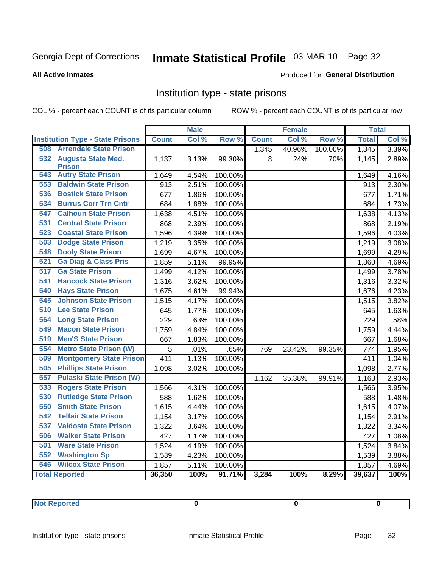# Inmate Statistical Profile 03-MAR-10 Page 32

#### **All Active Inmates**

#### **Produced for General Distribution**

### Institution type - state prisons

COL % - percent each COUNT is of its particular column

|                                         |              | <b>Male</b> |                  |              | <b>Female</b> |         | <b>Total</b> |       |
|-----------------------------------------|--------------|-------------|------------------|--------------|---------------|---------|--------------|-------|
| <b>Institution Type - State Prisons</b> | <b>Count</b> | Col %       | Row <sup>%</sup> | <b>Count</b> | Col %         | Row %   | <b>Total</b> | Col % |
| <b>Arrendale State Prison</b><br>508    |              |             |                  | 1,345        | 40.96%        | 100.00% | 1,345        | 3.39% |
| 532 Augusta State Med.                  | 1,137        | 3.13%       | 99.30%           | 8            | .24%          | .70%    | 1,145        | 2.89% |
| <b>Prison</b>                           |              |             |                  |              |               |         |              |       |
| <b>Autry State Prison</b><br>543        | 1,649        | 4.54%       | 100.00%          |              |               |         | 1,649        | 4.16% |
| <b>Baldwin State Prison</b><br>553      | 913          | 2.51%       | 100.00%          |              |               |         | 913          | 2.30% |
| <b>Bostick State Prison</b><br>536      | 677          | 1.86%       | 100.00%          |              |               |         | 677          | 1.71% |
| <b>Burrus Corr Trn Cntr</b><br>534      | 684          | 1.88%       | 100.00%          |              |               |         | 684          | 1.73% |
| <b>Calhoun State Prison</b><br>547      | 1,638        | 4.51%       | 100.00%          |              |               |         | 1,638        | 4.13% |
| <b>Central State Prison</b><br>531      | 868          | 2.39%       | 100.00%          |              |               |         | 868          | 2.19% |
| 523<br><b>Coastal State Prison</b>      | 1,596        | 4.39%       | 100.00%          |              |               |         | 1,596        | 4.03% |
| <b>Dodge State Prison</b><br>503        | 1,219        | 3.35%       | 100.00%          |              |               |         | 1,219        | 3.08% |
| <b>Dooly State Prison</b><br>548        | 1,699        | 4.67%       | 100.00%          |              |               |         | 1,699        | 4.29% |
| <b>Ga Diag &amp; Class Pris</b><br>521  | 1,859        | 5.11%       | 99.95%           |              |               |         | 1,860        | 4.69% |
| 517<br><b>Ga State Prison</b>           | 1,499        | 4.12%       | 100.00%          |              |               |         | 1,499        | 3.78% |
| <b>Hancock State Prison</b><br>541      | 1,316        | 3.62%       | 100.00%          |              |               |         | 1,316        | 3.32% |
| 540<br><b>Hays State Prison</b>         | 1,675        | 4.61%       | 99.94%           |              |               |         | 1,676        | 4.23% |
| <b>Johnson State Prison</b><br>545      | 1,515        | 4.17%       | 100.00%          |              |               |         | 1,515        | 3.82% |
| 510<br><b>Lee State Prison</b>          | 645          | 1.77%       | 100.00%          |              |               |         | 645          | 1.63% |
| <b>Long State Prison</b><br>564         | 229          | .63%        | 100.00%          |              |               |         | 229          | .58%  |
| <b>Macon State Prison</b><br>549        | 1,759        | 4.84%       | 100.00%          |              |               |         | 1,759        | 4.44% |
| <b>Men'S State Prison</b><br>519        | 667          | 1.83%       | 100.00%          |              |               |         | 667          | 1.68% |
| 554<br><b>Metro State Prison (W)</b>    | 5            | .01%        | .65%             | 769          | 23.42%        | 99.35%  | 774          | 1.95% |
| <b>Montgomery State Prison</b><br>509   | 411          | 1.13%       | 100.00%          |              |               |         | 411          | 1.04% |
| <b>Phillips State Prison</b><br>505     | 1,098        | 3.02%       | 100.00%          |              |               |         | 1,098        | 2.77% |
| <b>Pulaski State Prison (W)</b><br>557  |              |             |                  | 1,162        | 35.38%        | 99.91%  | 1,163        | 2.93% |
| 533<br><b>Rogers State Prison</b>       | 1,566        | 4.31%       | 100.00%          |              |               |         | 1,566        | 3.95% |
| <b>Rutledge State Prison</b><br>530     | 588          | 1.62%       | 100.00%          |              |               |         | 588          | 1.48% |
| 550<br><b>Smith State Prison</b>        | 1,615        | 4.44%       | 100.00%          |              |               |         | 1,615        | 4.07% |
| 542<br><b>Telfair State Prison</b>      | 1,154        | 3.17%       | 100.00%          |              |               |         | 1,154        | 2.91% |
| 537<br><b>Valdosta State Prison</b>     | 1,322        | 3.64%       | 100.00%          |              |               |         | 1,322        | 3.34% |
| <b>Walker State Prison</b><br>506       | 427          | 1.17%       | 100.00%          |              |               |         | 427          | 1.08% |
| <b>Ware State Prison</b><br>501         | 1,524        | 4.19%       | 100.00%          |              |               |         | 1,524        | 3.84% |
| 552<br><b>Washington Sp</b>             | 1,539        | 4.23%       | 100.00%          |              |               |         | 1,539        | 3.88% |
| <b>Wilcox State Prison</b><br>546       | 1,857        | 5.11%       | 100.00%          |              |               |         | 1,857        | 4.69% |
| <b>Total Reported</b>                   | 36,350       | 100%        | 91.71%           | 3,284        | 100%          | 8.29%   | 39,637       | 100%  |

| <b>Not Reported</b> |  |  |
|---------------------|--|--|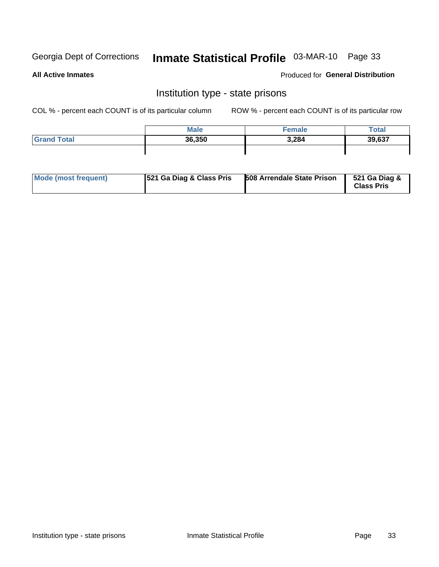# Inmate Statistical Profile 03-MAR-10 Page 33

**All Active Inmates** 

**Produced for General Distribution** 

### Institution type - state prisons

COL % - percent each COUNT is of its particular column

|                    | <b>Male</b> | Female | Total  |
|--------------------|-------------|--------|--------|
| <b>Grand Total</b> | 36,350      | 3,284  | 39,637 |
|                    |             |        |        |

| Mode (most frequent) | <b>521 Ga Diag &amp; Class Pris</b> | <b>508 Arrendale State Prison</b> | 521 Ga Diag &<br><b>Class Pris</b> |
|----------------------|-------------------------------------|-----------------------------------|------------------------------------|
|----------------------|-------------------------------------|-----------------------------------|------------------------------------|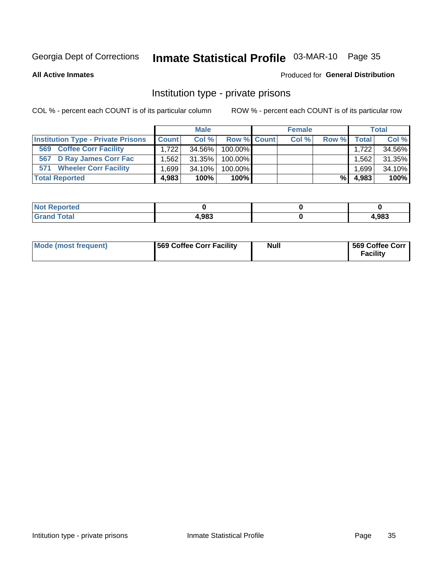# Inmate Statistical Profile 03-MAR-10 Page 35

**All Active Inmates** 

#### **Produced for General Distribution**

### Institution type - private prisons

COL % - percent each COUNT is of its particular column

|                                           |              | <b>Male</b> |             | <b>Female</b> |       |         | <b>Total</b> |
|-------------------------------------------|--------------|-------------|-------------|---------------|-------|---------|--------------|
| <b>Institution Type - Private Prisons</b> | <b>Count</b> | Col %       | Row % Count | Col %         | Row % | Total I | Col %        |
| <b>Coffee Corr Facility</b><br>569        | 1.722        | 34.56%      | $100.00\%$  |               |       | 1.722   | 34.56%       |
| 567 D Ray James Corr Fac                  | 1.562        | $31.35\%$   | 100.00%     |               |       | .562    | 31.35%       |
| <b>Wheeler Corr Facility</b><br>571       | 1.699        | 34.10%      | 100.00%     |               |       | .699    | 34.10%       |
| <b>Total Reported</b>                     | 4,983        | 100%        | 100%        |               | %     | 4,983   | 100%         |

| <b>Reported</b><br><b>NOT</b> |       |      |
|-------------------------------|-------|------|
| Total                         | 4,983 | ,983 |

| Mode (most frequent) | 569 Coffee Corr Facility | <b>Null</b> | 569 Coffee Corr<br><b>Facility</b> |
|----------------------|--------------------------|-------------|------------------------------------|
|----------------------|--------------------------|-------------|------------------------------------|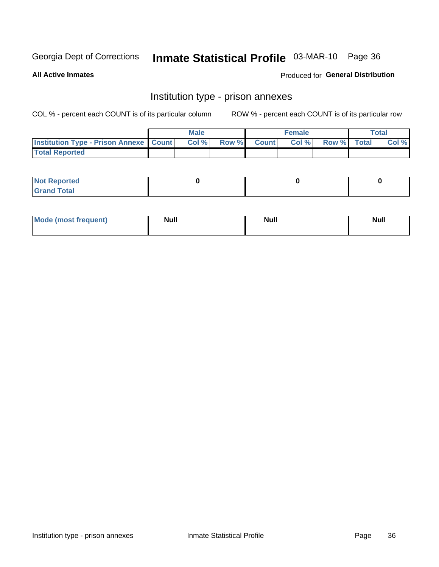# Inmate Statistical Profile 03-MAR-10 Page 36

**All Active Inmates** 

Produced for General Distribution

## Institution type - prison annexes

COL % - percent each COUNT is of its particular column

|                                                   | <b>Male</b> |       |              | <b>Female</b> |             | <b>Total</b> |
|---------------------------------------------------|-------------|-------|--------------|---------------|-------------|--------------|
| <b>Institution Type - Prison Annexe   Count  </b> | Col %       | Row % | <b>Count</b> | Col %         | Row % Total | Col %        |
| <b>Total Reported</b>                             |             |       |              |               |             |              |

| <b>Reported</b><br>I NOT |  |  |
|--------------------------|--|--|
| <b>Total</b><br>$C$ ren  |  |  |

| $^{\circ}$ Mo<br>frequent)<br>⊥(mos* | <b>Null</b> | Noll<br><b>vull</b> | <b>Null</b> |
|--------------------------------------|-------------|---------------------|-------------|
|                                      |             |                     |             |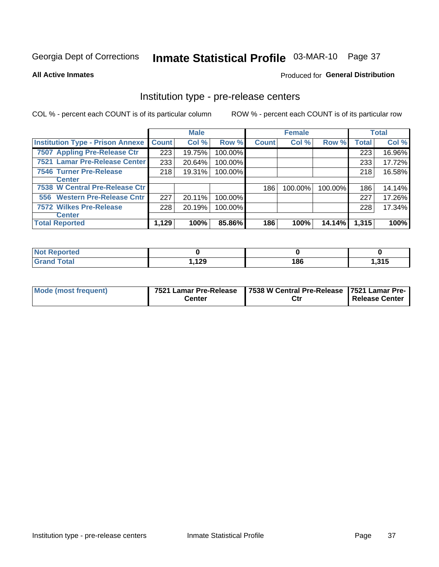# Inmate Statistical Profile 03-MAR-10 Page 37

**All Active Inmates** 

Produced for General Distribution

# Institution type - pre-release centers

COL % - percent each COUNT is of its particular column

|                                         |              | <b>Male</b> |         |              | <b>Female</b> |         |              | <b>Total</b> |
|-----------------------------------------|--------------|-------------|---------|--------------|---------------|---------|--------------|--------------|
| <b>Institution Type - Prison Annexe</b> | <b>Count</b> | Col %       | Row %   | <b>Count</b> | Col %         | Row %   | <b>Total</b> | Col %        |
| 7507 Appling Pre-Release Ctr            | 223          | 19.75%      | 100.00% |              |               |         | 223          | 16.96%       |
| 7521 Lamar Pre-Release Center           | 233          | 20.64%      | 100.00% |              |               |         | 233          | 17.72%       |
| <b>7546 Turner Pre-Release</b>          | 218          | 19.31%      | 100.00% |              |               |         | 218          | 16.58%       |
| <b>Center</b>                           |              |             |         |              |               |         |              |              |
| 7538 W Central Pre-Release Ctr          |              |             |         | 186          | 100.00%       | 100.00% | 186          | 14.14%       |
| 556 Western Pre-Release Cntr            | 227          | 20.11%      | 100.00% |              |               |         | 227          | 17.26%       |
| <b>7572 Wilkes Pre-Release</b>          | 228          | 20.19%      | 100.00% |              |               |         | 228          | 17.34%       |
| <b>Center</b>                           |              |             |         |              |               |         |              |              |
| <b>Total Reported</b>                   | 1,129        | 100%        | 85.86%  | 186          | 100%          | 14.14%  | 1,315        | 100%         |

| oorted<br>N. |       |     |              |
|--------------|-------|-----|--------------|
| <b>otal</b>  | 1,129 | 186 | 24E<br>1.31J |

| Mode (most frequent) | Center | 7521 Lamar Pre-Release   7538 W Central Pre-Release   7521 Lamar Pre- | Release Center |
|----------------------|--------|-----------------------------------------------------------------------|----------------|
|                      |        | Ctr                                                                   |                |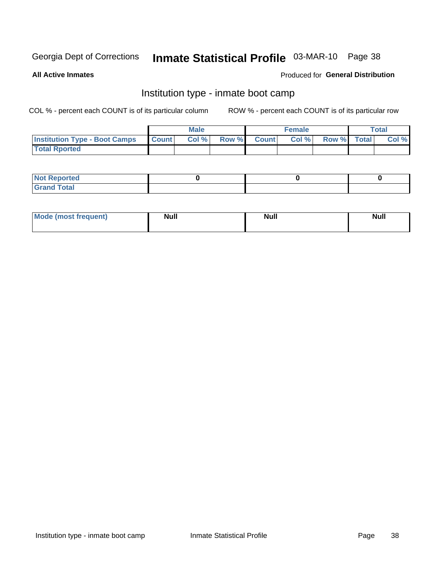# Inmate Statistical Profile 03-MAR-10 Page 38

**All Active Inmates** 

#### Produced for General Distribution

## Institution type - inmate boot camp

COL % - percent each COUNT is of its particular column

|                                      |              | <b>Male</b> |             | <b>Female</b> |             | Total |
|--------------------------------------|--------------|-------------|-------------|---------------|-------------|-------|
| <b>Institution Type - Boot Camps</b> | <b>Count</b> | Col %       | Row % Count | Col%          | Row % Total | Col % |
| <b>Total Rported</b>                 |              |             |             |               |             |       |

| <b>Not Reported</b>                   |  |  |
|---------------------------------------|--|--|
| <b>Total</b><br><b>C HAM</b><br>_____ |  |  |

| <b>Mode (most frequent)</b> | <b>Null</b> | <b>Null</b> | <b>Null</b> |
|-----------------------------|-------------|-------------|-------------|
|                             |             |             |             |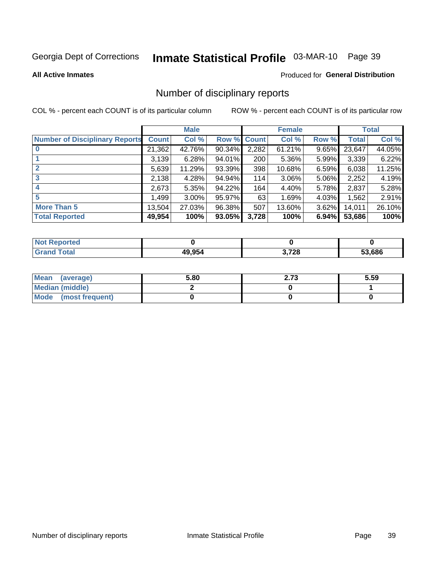# Inmate Statistical Profile 03-MAR-10 Page 39

#### **All Active Inmates**

#### Produced for General Distribution

## Number of disciplinary reports

COL % - percent each COUNT is of its particular column

|                                       |              | <b>Male</b> |        |       | <b>Female</b> |          |        | <b>Total</b> |
|---------------------------------------|--------------|-------------|--------|-------|---------------|----------|--------|--------------|
| <b>Number of Disciplinary Reports</b> | <b>Count</b> | Col %       | Row %  | Count | Col %         | Row %    | Total  | Col %        |
|                                       | 21,362       | 42.76%      | 90.34% | 2,282 | 61.21%        | 9.65%    | 23,647 | 44.05%       |
|                                       | 3,139        | 6.28%       | 94.01% | 200   | 5.36%         | 5.99%    | 3,339  | 6.22%        |
|                                       | 5,639        | 11.29%      | 93.39% | 398   | 10.68%        | 6.59%    | 6,038  | 11.25%       |
| 3                                     | 2,138        | 4.28%       | 94.94% | 114   | $3.06\%$      | 5.06%    | 2,252  | 4.19%        |
| 4                                     | 2,673        | 5.35%       | 94.22% | 164   | 4.40%         | 5.78%    | 2,837  | 5.28%        |
| 5                                     | 1.499        | $3.00\%$    | 95.97% | 63    | 1.69%         | $4.03\%$ | 1,562  | 2.91%        |
| <b>More Than 5</b>                    | 13,504       | 27.03%      | 96.38% | 507   | 13.60%        | $3.62\%$ | 14,011 | 26.10%       |
| <b>Total Reported</b>                 | 49,954       | 100%        | 93.05% | 3,728 | 100%          | 6.94%    | 53,686 | 100%         |

| orted<br>NO1 |        |                       |        |
|--------------|--------|-----------------------|--------|
| Total        | 49 954 | 2 72R<br>. I 20<br>v. | 53.686 |

| Mean (average)       | 5.80 | 2.73 | 5.59 |
|----------------------|------|------|------|
| Median (middle)      |      |      |      |
| Mode (most frequent) |      |      |      |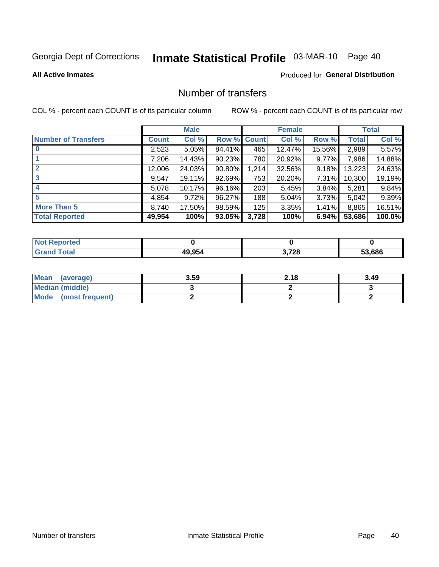# Inmate Statistical Profile 03-MAR-10 Page 40

#### **All Active Inmates**

#### **Produced for General Distribution**

## Number of transfers

COL % - percent each COUNT is of its particular column

|                            |         | <b>Male</b> |        |              | <b>Female</b> |          |              | <b>Total</b> |
|----------------------------|---------|-------------|--------|--------------|---------------|----------|--------------|--------------|
| <b>Number of Transfers</b> | Count l | Col %       | Row %  | <b>Count</b> | Col %         | Row %    | <b>Total</b> | Col %        |
|                            | 2,523   | 5.05%       | 84.41% | 465          | 12.47%        | 15.56%   | 2,989        | 5.57%        |
|                            | 7,206   | 14.43%      | 90.23% | 780          | 20.92%        | $9.77\%$ | 7,986        | 14.88%       |
| $\mathbf{2}$               | 12,006  | 24.03%      | 90.80% | 1,214        | 32.56%        | 9.18%    | 13,223       | 24.63%       |
| 3                          | 9,547   | 19.11%      | 92.69% | 753          | 20.20%        | $7.31\%$ | 10,300       | 19.19%       |
|                            | 5,078   | 10.17%      | 96.16% | 203          | 5.45%         | $3.84\%$ | 5,281        | 9.84%        |
| 5                          | 4,854   | 9.72%       | 96.27% | 188          | 5.04%         | 3.73%    | 5,042        | 9.39%        |
| <b>More Than 5</b>         | 8,740   | 17.50%      | 98.59% | 125          | 3.35%         | $1.41\%$ | 8,865        | 16.51%       |
| <b>Total Reported</b>      | 49,954  | 100%        | 93.05% | 3,728        | 100%          | 6.94%    | 53,686       | 100.0%       |

| orted<br>NO1 |            |       |        |
|--------------|------------|-------|--------|
| Гоtal        | $AO$ $05/$ | 3,728 | 53.686 |

| Mean (average)       | 3.59 | 2.18 | 3.49 |
|----------------------|------|------|------|
| Median (middle)      |      |      |      |
| Mode (most frequent) |      |      |      |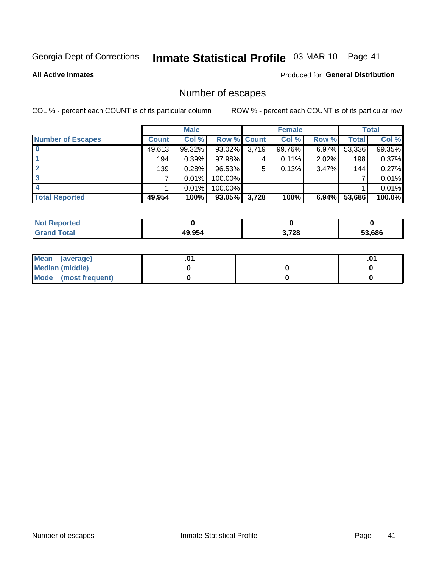# Inmate Statistical Profile 03-MAR-10 Page 41

**All Active Inmates** 

#### **Produced for General Distribution**

## Number of escapes

COL % - percent each COUNT is of its particular column

|                          |              | <b>Male</b> |             |       | <b>Female</b> |          |        | <b>Total</b> |
|--------------------------|--------------|-------------|-------------|-------|---------------|----------|--------|--------------|
| <b>Number of Escapes</b> | <b>Count</b> | Col %       | Row % Count |       | Col %         | Row %    | Total  | Col %        |
|                          | 49,613       | 99.32%      | 93.02%      | 3,719 | 99.76%        | 6.97%    | 53,336 | 99.35%       |
|                          | 194          | 0.39%       | $97.98\%$   | 4     | 0.11%         | 2.02%    | 198    | 0.37%        |
| 2                        | 139          | 0.28%       | 96.53%      | 5     | 0.13%         | 3.47%    | 144    | 0.27%        |
| 3                        |              | 0.01%       | 100.00%     |       |               |          |        | 0.01%        |
|                          |              | 0.01%       | 100.00%     |       |               |          |        | 0.01%        |
| <b>Total Reported</b>    | 49,954       | 100%        | 93.05%      | 3,728 | 100%          | $6.94\%$ | 53,686 | 100.0%       |

| Reported<br>Not. |        |       |        |
|------------------|--------|-------|--------|
| Total            | 49.954 | 3,728 | 53,686 |

| Mean (average)       |  | .0 <sup>1</sup> |
|----------------------|--|-----------------|
| Median (middle)      |  |                 |
| Mode (most frequent) |  |                 |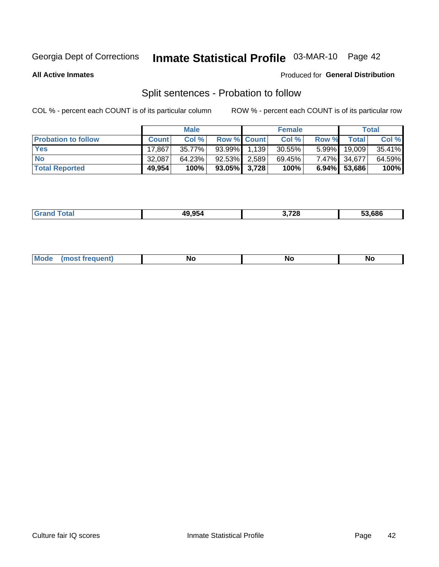# Inmate Statistical Profile 03-MAR-10 Page 42

**All Active Inmates** 

#### Produced for General Distribution

## Split sentences - Probation to follow

COL % - percent each COUNT is of its particular column

|                            |              | <b>Male</b> |                    | <b>Female</b> |          |                 | <b>Total</b> |
|----------------------------|--------------|-------------|--------------------|---------------|----------|-----------------|--------------|
| <b>Probation to follow</b> | <b>Count</b> | Col%        | <b>Row % Count</b> | Col %         | Row %    | Total           | Col %        |
| <b>Yes</b>                 | 17,867       | 35.77%      | 93.99% 1.139       | $30.55\%$     | $5.99\%$ | 19,009          | 35.41%       |
| <b>No</b>                  | 32.087       | 64.23%      | 92.53% 2.589       | 69.45%        |          | 7.47% 34,677    | 64.59%       |
| <b>Total Reported</b>      | 49,954       | 100%        | $93.05\%$ 3,728    | 100%          |          | $6.94\%$ 53,686 | 100%         |

| ______ | ו הבי<br>- 50 | 2 72R<br>1 LU<br>__ | 53.686 |
|--------|---------------|---------------------|--------|
|        |               |                     |        |

| $M_{\odot}$<br><b>requent</b><br><b>No</b><br>Nr<br><b>No</b><br>טיי |
|----------------------------------------------------------------------|
|----------------------------------------------------------------------|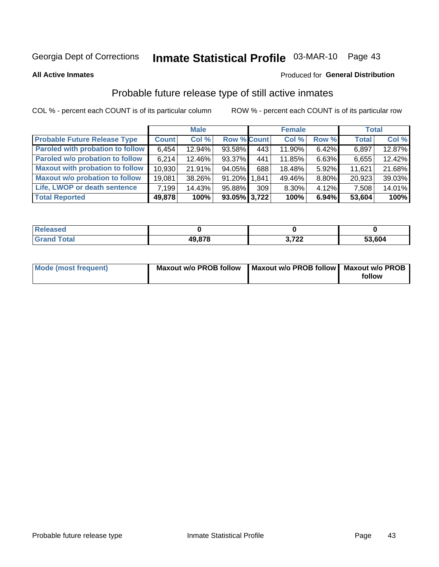# Inmate Statistical Profile 03-MAR-10 Page 43

**All Active Inmates** 

#### Produced for General Distribution

## Probable future release type of still active inmates

COL % - percent each COUNT is of its particular column

|                                         |              | <b>Male</b> |                    |     | <b>Female</b> |          | <b>Total</b> |        |
|-----------------------------------------|--------------|-------------|--------------------|-----|---------------|----------|--------------|--------|
| <b>Probable Future Release Type</b>     | <b>Count</b> | Col %       | <b>Row % Count</b> |     | Col %         | Row %    | <b>Total</b> | Col %  |
| <b>Paroled with probation to follow</b> | 6,454        | 12.94%      | 93.58%             | 443 | 11.90%        | 6.42%    | 6,897        | 12.87% |
| Paroled w/o probation to follow         | 6,214        | 12.46%      | 93.37%             | 441 | 11.85%        | 6.63%    | 6,655        | 12.42% |
| <b>Maxout with probation to follow</b>  | 10,930       | 21.91%      | 94.05%             | 688 | 18.48%        | 5.92%    | 11,621       | 21.68% |
| <b>Maxout w/o probation to follow</b>   | 19,081       | 38.26%      | 91.20% 1.841       |     | 49.46%        | 8.80%    | 20,923       | 39.03% |
| Life, LWOP or death sentence            | 7,199        | 14.43%      | 95.88%             | 309 | 8.30%         | $4.12\%$ | 7,508        | 14.01% |
| <b>Total Reported</b>                   | 49,878       | 100%        | 93.05% 3,722       |     | 100%          | 6.94%    | 53,604       | 100%   |

| eleased     |               |                         |              |
|-------------|---------------|-------------------------|--------------|
| <b>otal</b> | <b>10.878</b> | フヘヘ<br>$\sqrt{2}$<br>v. | 53,604<br>აა |

| Mode (most frequent) | Maxout w/o PROB follow   Maxout w/o PROB follow   Maxout w/o PROB |        |
|----------------------|-------------------------------------------------------------------|--------|
|                      |                                                                   | follow |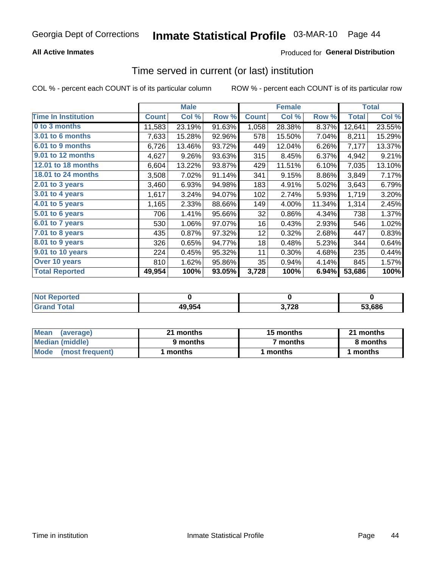#### **All Active Inmates**

### **Produced for General Distribution**

## Time served in current (or last) institution

COL % - percent each COUNT is of its particular column

|                            |              | <b>Male</b> |        |              | <b>Female</b> |        |              | <b>Total</b> |
|----------------------------|--------------|-------------|--------|--------------|---------------|--------|--------------|--------------|
| <b>Time In Institution</b> | <b>Count</b> | Col %       | Row %  | <b>Count</b> | Col %         | Row %  | <b>Total</b> | Col %        |
| 0 to 3 months              | 11,583       | 23.19%      | 91.63% | 1,058        | 28.38%        | 8.37%  | 12,641       | 23.55%       |
| <b>3.01 to 6 months</b>    | 7,633        | 15.28%      | 92.96% | 578          | 15.50%        | 7.04%  | 8,211        | 15.29%       |
| 6.01 to 9 months           | 6,726        | 13.46%      | 93.72% | 449          | 12.04%        | 6.26%  | 7,177        | 13.37%       |
| 9.01 to 12 months          | 4,627        | 9.26%       | 93.63% | 315          | 8.45%         | 6.37%  | 4,942        | 9.21%        |
| <b>12.01 to 18 months</b>  | 6,604        | 13.22%      | 93.87% | 429          | 11.51%        | 6.10%  | 7,035        | 13.10%       |
| <b>18.01 to 24 months</b>  | 3,508        | 7.02%       | 91.14% | 341          | 9.15%         | 8.86%  | 3,849        | 7.17%        |
| 2.01 to 3 years            | 3,460        | 6.93%       | 94.98% | 183          | 4.91%         | 5.02%  | 3,643        | 6.79%        |
| $3.01$ to 4 years          | 1,617        | 3.24%       | 94.07% | 102          | 2.74%         | 5.93%  | 1,719        | 3.20%        |
| 4.01 to 5 years            | 1,165        | 2.33%       | 88.66% | 149          | 4.00%         | 11.34% | 1,314        | 2.45%        |
| 5.01 to 6 years            | 706          | 1.41%       | 95.66% | 32           | 0.86%         | 4.34%  | 738          | 1.37%        |
| 6.01 to 7 years            | 530          | 1.06%       | 97.07% | 16           | 0.43%         | 2.93%  | 546          | 1.02%        |
| $7.01$ to 8 years          | 435          | 0.87%       | 97.32% | 12           | 0.32%         | 2.68%  | 447          | 0.83%        |
| 8.01 to 9 years            | 326          | 0.65%       | 94.77% | 18           | 0.48%         | 5.23%  | 344          | 0.64%        |
| 9.01 to 10 years           | 224          | 0.45%       | 95.32% | 11           | 0.30%         | 4.68%  | 235          | 0.44%        |
| Over 10 years              | 810          | 1.62%       | 95.86% | 35           | 0.94%         | 4.14%  | 845          | 1.57%        |
| <b>Total Reported</b>      | 49,954       | 100%        | 93.05% | 3,728        | 100%          | 6.94%  | 53,686       | 100%         |

| <b>Penorted</b><br><b>Not</b> |        |       |        |
|-------------------------------|--------|-------|--------|
| intal                         | 49,954 | המד י | 53.686 |

| <b>Mean</b><br>(average) | 21 months | 15 months | 21 months |  |
|--------------------------|-----------|-----------|-----------|--|
| Median (middle)          | 9 months  | 7 months  | 8 months  |  |
| Mode (most frequent)     | ' months  | months    | l months  |  |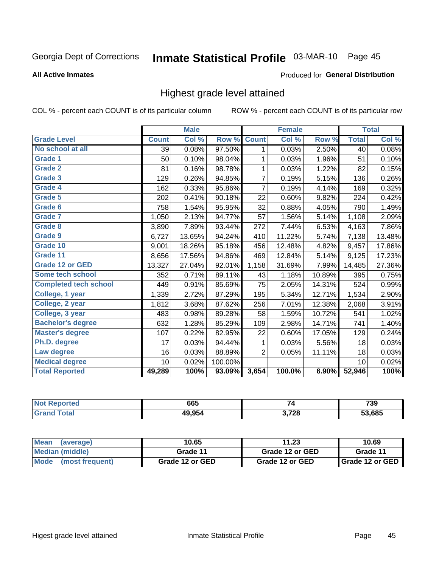# Inmate Statistical Profile 03-MAR-10 Page 45

#### **All Active Inmates**

#### Produced for General Distribution

## Highest grade level attained

COL % - percent each COUNT is of its particular column

|                              |              | <b>Male</b> |         |                | <b>Female</b> |        |              | <b>Total</b> |
|------------------------------|--------------|-------------|---------|----------------|---------------|--------|--------------|--------------|
| <b>Grade Level</b>           | <b>Count</b> | Col %       | Row %   | <b>Count</b>   | Col %         | Row %  | <b>Total</b> | Col %        |
| No school at all             | 39           | 0.08%       | 97.50%  | 1              | 0.03%         | 2.50%  | 40           | 0.08%        |
| <b>Grade 1</b>               | 50           | 0.10%       | 98.04%  | 1              | 0.03%         | 1.96%  | 51           | 0.10%        |
| <b>Grade 2</b>               | 81           | 0.16%       | 98.78%  | 1              | 0.03%         | 1.22%  | 82           | 0.15%        |
| Grade 3                      | 129          | 0.26%       | 94.85%  | 7              | 0.19%         | 5.15%  | 136          | 0.26%        |
| Grade 4                      | 162          | 0.33%       | 95.86%  | $\overline{7}$ | 0.19%         | 4.14%  | 169          | 0.32%        |
| Grade 5                      | 202          | 0.41%       | 90.18%  | 22             | 0.60%         | 9.82%  | 224          | 0.42%        |
| Grade 6                      | 758          | 1.54%       | 95.95%  | 32             | 0.88%         | 4.05%  | 790          | 1.49%        |
| <b>Grade 7</b>               | 1,050        | 2.13%       | 94.77%  | 57             | 1.56%         | 5.14%  | 1,108        | 2.09%        |
| <b>Grade 8</b>               | 3,890        | 7.89%       | 93.44%  | 272            | 7.44%         | 6.53%  | 4,163        | 7.86%        |
| Grade 9                      | 6,727        | 13.65%      | 94.24%  | 410            | 11.22%        | 5.74%  | 7,138        | 13.48%       |
| Grade 10                     | 9,001        | 18.26%      | 95.18%  | 456            | 12.48%        | 4.82%  | 9,457        | 17.86%       |
| Grade 11                     | 8,656        | 17.56%      | 94.86%  | 469            | 12.84%        | 5.14%  | 9,125        | 17.23%       |
| <b>Grade 12 or GED</b>       | 13,327       | 27.04%      | 92.01%  | 1,158          | 31.69%        | 7.99%  | 14,485       | 27.36%       |
| Some tech school             | 352          | 0.71%       | 89.11%  | 43             | 1.18%         | 10.89% | 395          | 0.75%        |
| <b>Completed tech school</b> | 449          | 0.91%       | 85.69%  | 75             | 2.05%         | 14.31% | 524          | 0.99%        |
| College, 1 year              | 1,339        | 2.72%       | 87.29%  | 195            | 5.34%         | 12.71% | 1,534        | 2.90%        |
| College, 2 year              | 1,812        | 3.68%       | 87.62%  | 256            | 7.01%         | 12.38% | 2,068        | 3.91%        |
| College, 3 year              | 483          | 0.98%       | 89.28%  | 58             | 1.59%         | 10.72% | 541          | 1.02%        |
| <b>Bachelor's degree</b>     | 632          | 1.28%       | 85.29%  | 109            | 2.98%         | 14.71% | 741          | 1.40%        |
| <b>Master's degree</b>       | 107          | 0.22%       | 82.95%  | 22             | 0.60%         | 17.05% | 129          | 0.24%        |
| Ph.D. degree                 | 17           | 0.03%       | 94.44%  | 1              | 0.03%         | 5.56%  | 18           | 0.03%        |
| Law degree                   | 16           | 0.03%       | 88.89%  | 2              | 0.05%         | 11.11% | 18           | 0.03%        |
| <b>Medical degree</b>        | 10           | 0.02%       | 100.00% |                |               |        | 10           | 0.02%        |
| <b>Total Reported</b>        | 49,289       | 100%        | 93.09%  | 3,654          | 100.0%        | 6.90%  | 52,946       | 100%         |

| N<br>11 L O | 665    |                  | 730<br>7 J J<br>$ -$ |
|-------------|--------|------------------|----------------------|
|             | 10 Q51 | 0מד י<br>), I ZO | 53.685               |

| <b>Mean</b><br>(average)       | 10.65           | 11.23           | 10.69             |
|--------------------------------|-----------------|-----------------|-------------------|
| Median (middle)                | Grade 11        | Grade 12 or GED | Grade 11          |
| <b>Mode</b><br>(most frequent) | Grade 12 or GED | Grade 12 or GED | I Grade 12 or GED |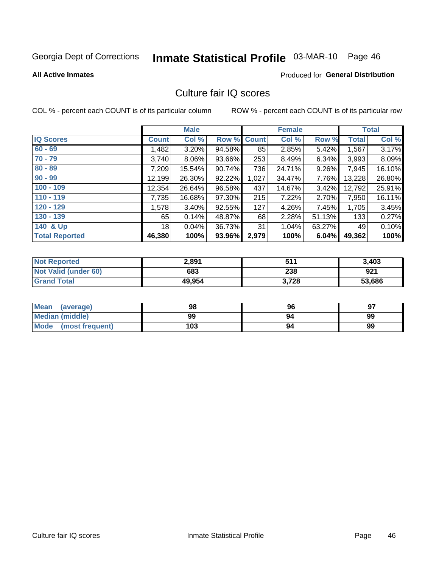# Inmate Statistical Profile 03-MAR-10 Page 46

**All Active Inmates** 

#### **Produced for General Distribution**

## Culture fair IQ scores

COL % - percent each COUNT is of its particular column

|                       |              | <b>Male</b> |        |              | <b>Female</b> |          |              | <b>Total</b> |
|-----------------------|--------------|-------------|--------|--------------|---------------|----------|--------------|--------------|
| <b>IQ Scores</b>      | <b>Count</b> | Col %       | Row %  | <b>Count</b> | Col %         | Row %    | <b>Total</b> | Col %        |
| $60 - 69$             | 1,482        | $3.20\%$    | 94.58% | 85           | 2.85%         | 5.42%    | 1,567        | 3.17%        |
| $70 - 79$             | 3,740        | 8.06%       | 93.66% | 253          | 8.49%         | $6.34\%$ | 3,993        | 8.09%        |
| $80 - 89$             | 7,209        | 15.54%      | 90.74% | 736          | 24.71%        | $9.26\%$ | 7,945        | 16.10%       |
| $90 - 99$             | 12,199       | 26.30%      | 92.22% | 1,027        | 34.47%        | 7.76%    | 13,228       | 26.80%       |
| $100 - 109$           | 12,354       | 26.64%      | 96.58% | 437          | 14.67%        | 3.42%    | 12,792       | 25.91%       |
| $110 - 119$           | 7,735        | 16.68%      | 97.30% | 215          | 7.22%         | 2.70%    | 7,950        | 16.11%       |
| $120 - 129$           | 1,578        | $3.40\%$    | 92.55% | 127          | 4.26%         | 7.45%    | 1,705        | 3.45%        |
| $130 - 139$           | 65           | 0.14%       | 48.87% | 68           | 2.28%         | 51.13%   | 133          | 0.27%        |
| 140 & Up              | 18           | 0.04%       | 36.73% | 31           | 1.04%         | 63.27%   | 49           | 0.10%        |
| <b>Total Reported</b> | 46,380       | 100%        | 93.96% | 2,979        | 100%          | 6.04%    | 49,362       | 100%         |

| <b>Not Reported</b>         | 2,891  | 511   | 3,403  |
|-----------------------------|--------|-------|--------|
| <b>Not Valid (under 60)</b> | 683    | 238   | 921    |
| <b>Grand Total</b>          | 49,954 | 3,728 | 53,686 |

| <b>Mean</b><br>(average) | 98  | 96 | 97 |
|--------------------------|-----|----|----|
| <b>Median (middle)</b>   | 99  | 94 | 99 |
| Mode<br>(most frequent)  | 103 | 94 | 99 |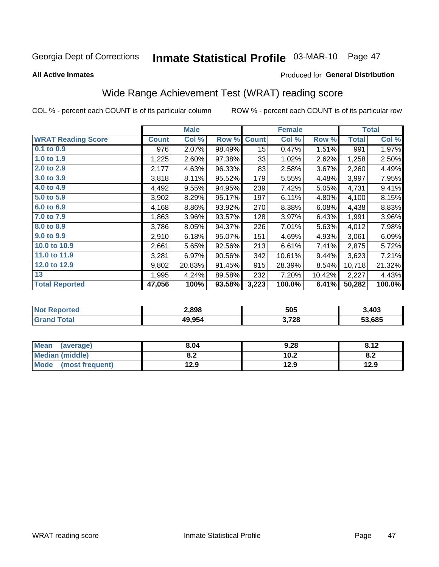# Inmate Statistical Profile 03-MAR-10 Page 47

**All Active Inmates** 

#### Produced for General Distribution

## Wide Range Achievement Test (WRAT) reading score

COL % - percent each COUNT is of its particular column

|                           |              | <b>Male</b> |        |              | <b>Female</b> |        |              | <b>Total</b> |
|---------------------------|--------------|-------------|--------|--------------|---------------|--------|--------------|--------------|
| <b>WRAT Reading Score</b> | <b>Count</b> | Col %       | Row %  | <b>Count</b> | Col %         | Row %  | <b>Total</b> | Col %        |
| 0.1 to 0.9                | 976          | 2.07%       | 98.49% | 15           | 0.47%         | 1.51%  | 991          | 1.97%        |
| 1.0 to 1.9                | 1,225        | 2.60%       | 97.38% | 33           | 1.02%         | 2.62%  | 1,258        | 2.50%        |
| 2.0 to 2.9                | 2,177        | 4.63%       | 96.33% | 83           | 2.58%         | 3.67%  | 2,260        | 4.49%        |
| 3.0 to 3.9                | 3,818        | 8.11%       | 95.52% | 179          | 5.55%         | 4.48%  | 3,997        | 7.95%        |
| 4.0 to 4.9                | 4,492        | 9.55%       | 94.95% | 239          | 7.42%         | 5.05%  | 4,731        | 9.41%        |
| 5.0 to 5.9                | 3,902        | 8.29%       | 95.17% | 197          | 6.11%         | 4.80%  | 4,100        | 8.15%        |
| 6.0 to 6.9                | 4,168        | 8.86%       | 93.92% | 270          | 8.38%         | 6.08%  | 4,438        | 8.83%        |
| 7.0 to 7.9                | 1,863        | 3.96%       | 93.57% | 128          | 3.97%         | 6.43%  | 1,991        | 3.96%        |
| 8.0 to 8.9                | 3,786        | 8.05%       | 94.37% | 226          | 7.01%         | 5.63%  | 4,012        | 7.98%        |
| 9.0 to 9.9                | 2,910        | 6.18%       | 95.07% | 151          | 4.69%         | 4.93%  | 3,061        | 6.09%        |
| 10.0 to 10.9              | 2,661        | 5.65%       | 92.56% | 213          | 6.61%         | 7.41%  | 2,875        | 5.72%        |
| 11.0 to 11.9              | 3,281        | 6.97%       | 90.56% | 342          | 10.61%        | 9.44%  | 3,623        | 7.21%        |
| 12.0 to 12.9              | 9,802        | 20.83%      | 91.45% | 915          | 28.39%        | 8.54%  | 10,718       | 21.32%       |
| 13                        | 1,995        | 4.24%       | 89.58% | 232          | 7.20%         | 10.42% | 2,227        | 4.43%        |
| <b>Total Reported</b>     | 47,056       | 100%        | 93.58% | 3,223        | 100.0%        | 6.41%  | 50,282       | 100.0%       |

| NO | 2,898  | 505   | 3,403  |
|----|--------|-------|--------|
|    | 49.954 | 3,728 | 53.685 |

| <b>Mean</b><br>(average) | 8.04       | 9.28 | 8.12 |
|--------------------------|------------|------|------|
| Median (middle)          | י ה<br>o.z | 10.2 | o.z  |
| Mode (most frequent)     | 12.9       | 12.9 | 12.9 |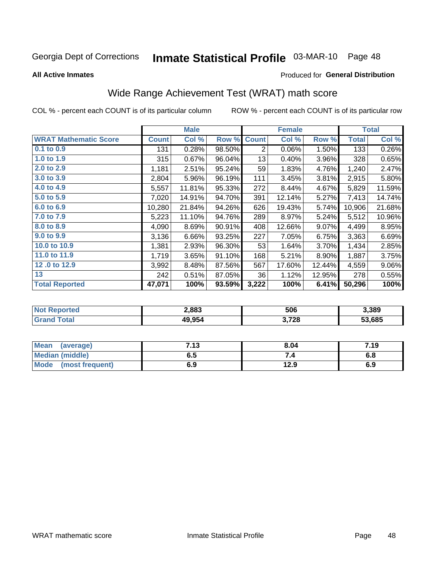# Inmate Statistical Profile 03-MAR-10 Page 48

**All Active Inmates** 

#### Produced for General Distribution

## Wide Range Achievement Test (WRAT) math score

COL % - percent each COUNT is of its particular column

|                              |              | <b>Male</b> |        |                | <b>Female</b> |        |              | <b>Total</b> |
|------------------------------|--------------|-------------|--------|----------------|---------------|--------|--------------|--------------|
| <b>WRAT Mathematic Score</b> | <b>Count</b> | Col %       | Row %  | <b>Count</b>   | Col %         | Row %  | <b>Total</b> | Col %        |
| $0.1$ to $0.9$               | 131          | 0.28%       | 98.50% | $\overline{2}$ | 0.06%         | 1.50%  | 133          | 0.26%        |
| 1.0 to 1.9                   | 315          | 0.67%       | 96.04% | 13             | 0.40%         | 3.96%  | 328          | 0.65%        |
| 2.0 to 2.9                   | 1,181        | 2.51%       | 95.24% | 59             | 1.83%         | 4.76%  | 1,240        | 2.47%        |
| 3.0 to 3.9                   | 2,804        | 5.96%       | 96.19% | 111            | 3.45%         | 3.81%  | 2,915        | 5.80%        |
| 4.0 to 4.9                   | 5,557        | 11.81%      | 95.33% | 272            | 8.44%         | 4.67%  | 5,829        | 11.59%       |
| 5.0 to 5.9                   | 7,020        | 14.91%      | 94.70% | 391            | 12.14%        | 5.27%  | 7,413        | 14.74%       |
| 6.0 to 6.9                   | 10,280       | 21.84%      | 94.26% | 626            | 19.43%        | 5.74%  | 10,906       | 21.68%       |
| 7.0 to 7.9                   | 5,223        | 11.10%      | 94.76% | 289            | 8.97%         | 5.24%  | 5,512        | 10.96%       |
| 8.0 to 8.9                   | 4,090        | 8.69%       | 90.91% | 408            | 12.66%        | 9.07%  | 4,499        | 8.95%        |
| 9.0 to 9.9                   | 3,136        | 6.66%       | 93.25% | 227            | 7.05%         | 6.75%  | 3,363        | 6.69%        |
| 10.0 to 10.9                 | 1,381        | 2.93%       | 96.30% | 53             | 1.64%         | 3.70%  | 1,434        | 2.85%        |
| 11.0 to 11.9                 | 1,719        | 3.65%       | 91.10% | 168            | 5.21%         | 8.90%  | 1,887        | 3.75%        |
| 12.0 to 12.9                 | 3,992        | 8.48%       | 87.56% | 567            | 17.60%        | 12.44% | 4,559        | $9.06\%$     |
| 13                           | 242          | 0.51%       | 87.05% | 36             | 1.12%         | 12.95% | 278          | 0.55%        |
| <b>Total Reported</b>        | 47,071       | 100%        | 93.59% | 3,222          | 100%          | 6.41%  | 50,296       | 100%         |

| orted<br>NO. | 2,883  | 506   | 3.389  |
|--------------|--------|-------|--------|
| ota          | 49,954 | 3,728 | 53.685 |

| Mean<br>(average)    | 7.13 | 8.04 | 7.19 |
|----------------------|------|------|------|
| Median (middle)      | 6.5  |      | o.o  |
| Mode (most frequent) | 6.9  | 12.9 | 6.9  |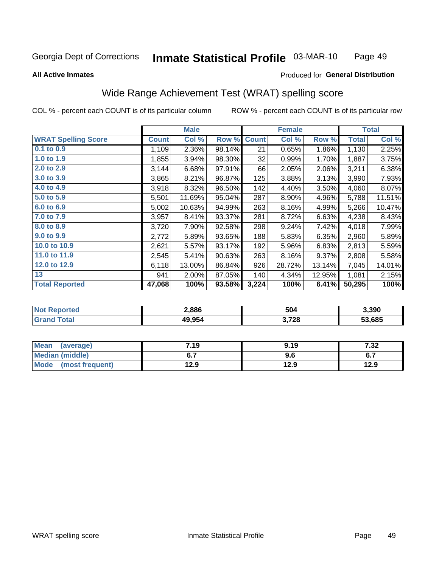#### Inmate Statistical Profile 03-MAR-10 Page 49

#### **All Active Inmates**

#### Produced for General Distribution

## Wide Range Achievement Test (WRAT) spelling score

COL % - percent each COUNT is of its particular column

|                            |              | <b>Male</b> |        |              | <b>Female</b> |        |              | <b>Total</b> |
|----------------------------|--------------|-------------|--------|--------------|---------------|--------|--------------|--------------|
| <b>WRAT Spelling Score</b> | <b>Count</b> | Col %       | Row %  | <b>Count</b> | Col %         | Row %  | <b>Total</b> | Col %        |
| $0.1$ to $0.9$             | 1,109        | 2.36%       | 98.14% | 21           | 0.65%         | 1.86%  | 1,130        | 2.25%        |
| 1.0 to 1.9                 | 1,855        | 3.94%       | 98.30% | 32           | 0.99%         | 1.70%  | 1,887        | 3.75%        |
| 2.0 to 2.9                 | 3,144        | 6.68%       | 97.91% | 66           | 2.05%         | 2.06%  | 3,211        | 6.38%        |
| 3.0 to 3.9                 | 3,865        | 8.21%       | 96.87% | 125          | 3.88%         | 3.13%  | 3,990        | 7.93%        |
| 4.0 to 4.9                 | 3,918        | 8.32%       | 96.50% | 142          | 4.40%         | 3.50%  | 4,060        | 8.07%        |
| 5.0 to 5.9                 | 5,501        | 11.69%      | 95.04% | 287          | 8.90%         | 4.96%  | 5,788        | 11.51%       |
| 6.0 to 6.9                 | 5,002        | 10.63%      | 94.99% | 263          | 8.16%         | 4.99%  | 5,266        | 10.47%       |
| 7.0 to 7.9                 | 3,957        | 8.41%       | 93.37% | 281          | 8.72%         | 6.63%  | 4,238        | 8.43%        |
| 8.0 to 8.9                 | 3,720        | 7.90%       | 92.58% | 298          | 9.24%         | 7.42%  | 4,018        | 7.99%        |
| 9.0 to 9.9                 | 2,772        | 5.89%       | 93.65% | 188          | 5.83%         | 6.35%  | 2,960        | 5.89%        |
| 10.0 to 10.9               | 2,621        | 5.57%       | 93.17% | 192          | 5.96%         | 6.83%  | 2,813        | 5.59%        |
| 11.0 to 11.9               | 2,545        | 5.41%       | 90.63% | 263          | 8.16%         | 9.37%  | 2,808        | 5.58%        |
| 12.0 to 12.9               | 6,118        | 13.00%      | 86.84% | 926          | 28.72%        | 13.14% | 7,045        | 14.01%       |
| 13                         | 941          | 2.00%       | 87.05% | 140          | 4.34%         | 12.95% | 1,081        | 2.15%        |
| <b>Total Reported</b>      | 47,068       | 100%        | 93.58% | 3,224        | 100%          | 6.41%  | 50,295       | 100%         |

| <b>nted</b><br>NO | 2,886  | 504   | 3,390  |
|-------------------|--------|-------|--------|
| $-401$            | 49,954 | 3,728 | 53.685 |

| Mean<br>(average)    | 7.19 | 9.19 | 7.32 |
|----------------------|------|------|------|
| Median (middle)      |      | 9.6  | י.ט  |
| Mode (most frequent) | 12.9 | 12.9 | 12.9 |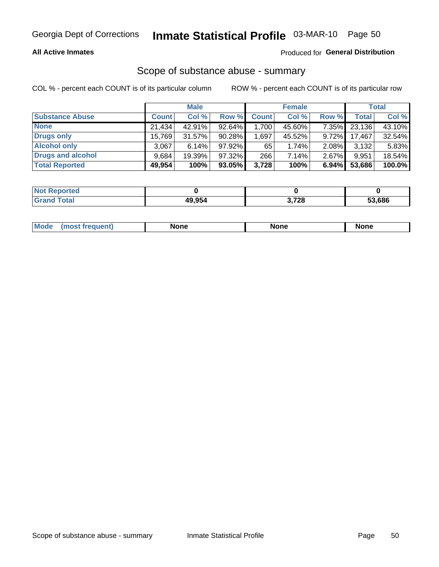#### **All Active Inmates**

### Produced for General Distribution

# Scope of substance abuse - summary

COL % - percent each COUNT is of its particular column

|                        |              | <b>Male</b> |           |                                     | <b>Female</b> |          |              | <b>Total</b> |
|------------------------|--------------|-------------|-----------|-------------------------------------|---------------|----------|--------------|--------------|
| <b>Substance Abuse</b> | <b>Count</b> | Col %       | Row %     | <b>Count</b>                        | Col %         | Row %    | <b>Total</b> | Col %        |
| <b>None</b>            | 21.434       | 42.91%      | 92.64%    | $,700$ <sup><math>\mid</math></sup> | 45.60%        | 7.35%    | 23,136       | 43.10%       |
| <b>Drugs only</b>      | 15,769       | $31.57\%$   | $90.28\%$ | .697                                | 45.52%        | $9.72\%$ | 17,467       | 32.54%       |
| <b>Alcohol only</b>    | 3.067        | $6.14\%$    | $97.92\%$ | 65                                  | $1.74\%$      | $2.08\%$ | 3,132        | 5.83%        |
| Drugs and alcohol      | 9,684        | 19.39%      | 97.32%    | 266                                 | 7.14%         | 2.67%    | 9,951        | 18.54%       |
| <b>Total Reported</b>  | 49,954       | 100%        | $93.05\%$ | 3,728                               | 100%          | 6.94%    | 53,686       | 100.0%       |

| <b>Not</b><br><b>Reported</b> |              |       |        |
|-------------------------------|--------------|-------|--------|
| Total                         | 49.954<br>ΔU | 3,728 | 53.686 |

|  | Mode<br>auenu | None | None | None |
|--|---------------|------|------|------|
|--|---------------|------|------|------|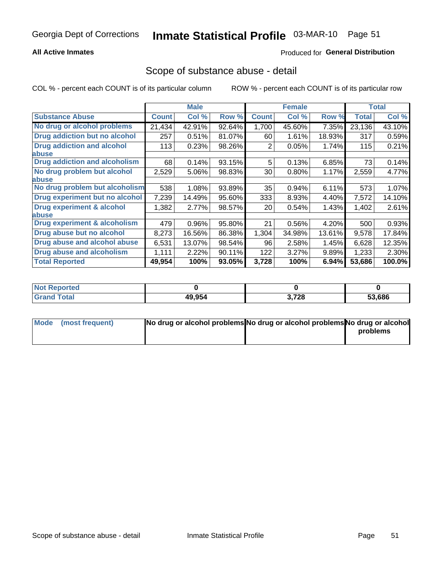#### **All Active Inmates**

### **Produced for General Distribution**

### Scope of substance abuse - detail

COL % - percent each COUNT is of its particular column

|                                      |              | <b>Male</b> |        |                 | <b>Female</b> |        |              | <b>Total</b> |
|--------------------------------------|--------------|-------------|--------|-----------------|---------------|--------|--------------|--------------|
| <b>Substance Abuse</b>               | <b>Count</b> | Col %       | Row %  | <b>Count</b>    | Col %         | Row %  | <b>Total</b> | Col %        |
| No drug or alcohol problems          | 21,434       | 42.91%      | 92.64% | 1,700           | 45.60%        | 7.35%  | 23,136       | 43.10%       |
| <b>Drug addiction but no alcohol</b> | 257          | 0.51%       | 81.07% | 60              | 1.61%         | 18.93% | 317          | 0.59%        |
| <b>Drug addiction and alcohol</b>    | 113          | 0.23%       | 98.26% | 2               | 0.05%         | 1.74%  | 115          | 0.21%        |
| <b>labuse</b>                        |              |             |        |                 |               |        |              |              |
| <b>Drug addiction and alcoholism</b> | 68           | 0.14%       | 93.15% | 5               | 0.13%         | 6.85%  | 73           | 0.14%        |
| No drug problem but alcohol          | 2,529        | 5.06%       | 98.83% | 30 <sup>°</sup> | $0.80\%$      | 1.17%  | 2,559        | 4.77%        |
| <b>labuse</b>                        |              |             |        |                 |               |        |              |              |
| No drug problem but alcoholism       | 538          | 1.08%       | 93.89% | 35              | 0.94%         | 6.11%  | 573          | 1.07%        |
| Drug experiment but no alcohol       | 7,239        | 14.49%      | 95.60% | 333             | 8.93%         | 4.40%  | 7,572        | 14.10%       |
| <b>Drug experiment &amp; alcohol</b> | 1,382        | 2.77%       | 98.57% | 20 <sub>1</sub> | 0.54%         | 1.43%  | 1,402        | 2.61%        |
| <b>labuse</b>                        |              |             |        |                 |               |        |              |              |
| Drug experiment & alcoholism         | 479          | 0.96%       | 95.80% | 21              | 0.56%         | 4.20%  | 500          | 0.93%        |
| Drug abuse but no alcohol            | 8,273        | 16.56%      | 86.38% | 1,304           | 34.98%        | 13.61% | 9,578        | 17.84%       |
| Drug abuse and alcohol abuse         | 6,531        | 13.07%      | 98.54% | 96              | 2.58%         | 1.45%  | 6,628        | 12.35%       |
| <b>Drug abuse and alcoholism</b>     | 1,111        | 2.22%       | 90.11% | 122             | 3.27%         | 9.89%  | 1,233        | 2.30%        |
| <b>Total Reported</b>                | 49,954       | 100%        | 93.05% | 3,728           | 100%          | 6.94%  | 53,686       | 100.0%       |

| Reported<br>-NO) |        |             |        |
|------------------|--------|-------------|--------|
| <b>c</b> otal    | 49.954 | 3,728<br>u. | 53,686 |

| Mode (most frequent) | No drug or alcohol problems No drug or alcohol problems No drug or alcohol |          |
|----------------------|----------------------------------------------------------------------------|----------|
|                      |                                                                            | problems |
|                      |                                                                            |          |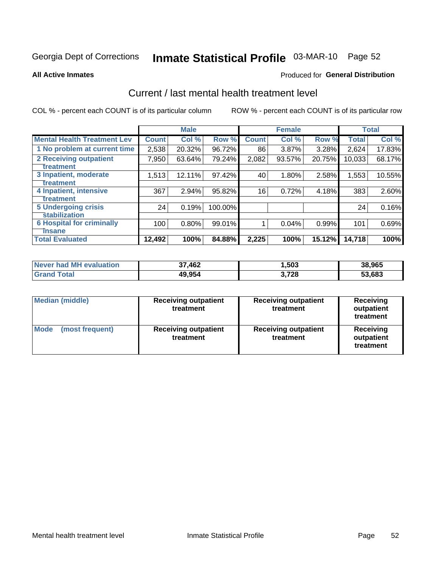# Inmate Statistical Profile 03-MAR-10 Page 52

#### **All Active Inmates**

#### **Produced for General Distribution**

## Current / last mental health treatment level

COL % - percent each COUNT is of its particular column

|                                    |              | <b>Male</b> |         |              | <b>Female</b> |        |              | <b>Total</b> |
|------------------------------------|--------------|-------------|---------|--------------|---------------|--------|--------------|--------------|
| <b>Mental Health Treatment Lev</b> | <b>Count</b> | Col %       | Row %   | <b>Count</b> | Col%          | Row %  | <b>Total</b> | Col %        |
| 1 No problem at current time       | 2,538        | 20.32%      | 96.72%  | 86           | $3.87\%$      | 3.28%  | 2,624        | 17.83%       |
| <b>2 Receiving outpatient</b>      | 7,950        | 63.64%      | 79.24%  | 2,082        | 93.57%        | 20.75% | 10,033       | 68.17%       |
| <b>Treatment</b>                   |              |             |         |              |               |        |              |              |
| 3 Inpatient, moderate              | 1,513        | 12.11%      | 97.42%  | 40           | 1.80%         | 2.58%  | 1,553        | 10.55%       |
| <b>Treatment</b>                   |              |             |         |              |               |        |              |              |
| 4 Inpatient, intensive             | 367          | 2.94%       | 95.82%  | 16           | 0.72%         | 4.18%  | 383          | 2.60%        |
| <b>Treatment</b>                   |              |             |         |              |               |        |              |              |
| <b>5 Undergoing crisis</b>         | 24           | 0.19%       | 100.00% |              |               |        | 24           | 0.16%        |
| <b>stabilization</b>               |              |             |         |              |               |        |              |              |
| <b>6 Hospital for criminally</b>   | 100          | 0.80%       | 99.01%  |              | 0.04%         | 0.99%  | 101          | 0.69%        |
| <b>Tinsane</b>                     |              |             |         |              |               |        |              |              |
| <b>Total Evaluated</b>             | 12,492       | 100%        | 84.88%  | 2,225        | 100%          | 15.12% | 14,718       | 100%         |

| Never had MH evaluation | 37,462 | 1,503 | 38,965 |
|-------------------------|--------|-------|--------|
| Total<br>Grand          | 49,954 | 3,728 | 53,683 |

| <b>Median (middle)</b>         | <b>Receiving outpatient</b><br>treatment | <b>Receiving outpatient</b><br>treatment | <b>Receiving</b><br>outpatient<br>treatment |
|--------------------------------|------------------------------------------|------------------------------------------|---------------------------------------------|
| <b>Mode</b><br>(most frequent) | <b>Receiving outpatient</b><br>treatment | <b>Receiving outpatient</b><br>treatment | Receiving<br>outpatient<br>treatment        |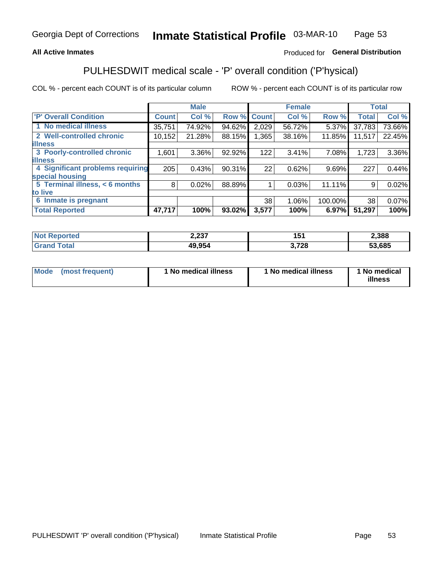#### **All Active Inmates**

### Produced for General Distribution

## PULHESDWIT medical scale - 'P' overall condition ('P'hysical)

COL % - percent each COUNT is of its particular column

|                                  |              | <b>Male</b> |        |              | <b>Female</b> |         |              | <b>Total</b> |
|----------------------------------|--------------|-------------|--------|--------------|---------------|---------|--------------|--------------|
| 'P' Overall Condition            | <b>Count</b> | Col %       | Row %  | <b>Count</b> | Col %         | Row %   | <b>Total</b> | Col %        |
| 1 No medical illness             | 35,751       | 74.92%      | 94.62% | 2,029        | 56.72%        | 5.37%   | 37,783       | 73.66%       |
| 2 Well-controlled chronic        | 10,152       | 21.28%      | 88.15% | 1,365        | 38.16%        | 11.85%  | 11,517       | 22.45%       |
| <b>lillness</b>                  |              |             |        |              |               |         |              |              |
| 3 Poorly-controlled chronic      | 1,601        | $3.36\%$    | 92.92% | 122          | 3.41%         | 7.08%   | 1,723        | 3.36%        |
| <b>lillness</b>                  |              |             |        |              |               |         |              |              |
| 4 Significant problems requiring | 205          | 0.43%       | 90.31% | 22           | 0.62%         | 9.69%   | 227          | 0.44%        |
| special housing                  |              |             |        |              |               |         |              |              |
| 5 Terminal illness, < 6 months   | 8            | 0.02%       | 88.89% |              | 0.03%         | 11.11%  | 9            | 0.02%        |
| to live                          |              |             |        |              |               |         |              |              |
| 6 Inmate is pregnant             |              |             |        | 38           | 1.06%         | 100.00% | 38           | 0.07%        |
| <b>Total Reported</b>            | 47,717       | 100%        | 93.02% | 3,577        | 100%          | 6.97%   | 51,297       | 100%         |

| тео | דמה ה<br>ا دے, ے  |                                                                  | 2,388  |
|-----|-------------------|------------------------------------------------------------------|--------|
|     | ה הו<br>дu<br>чn, | 700<br>1 Z O<br>$\sim$ $\sim$ $\sim$ $\sim$ $\sim$ $\sim$ $\sim$ | 53,685 |

| Mode<br>(most frequent) |  | <sup>1</sup> No medical illness | 1 No medical illness | 1 No medical<br>illness |
|-------------------------|--|---------------------------------|----------------------|-------------------------|
|-------------------------|--|---------------------------------|----------------------|-------------------------|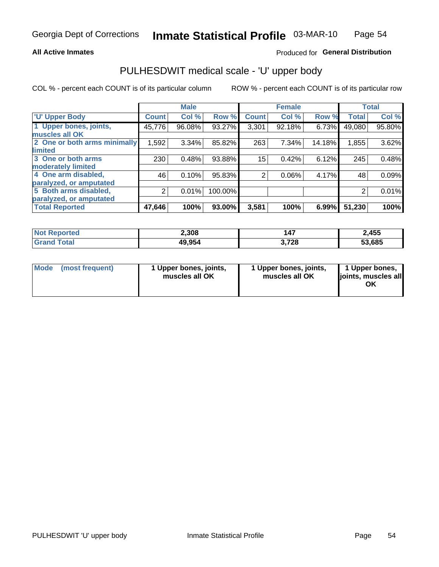#### **All Active Inmates**

### Produced for General Distribution

# PULHESDWIT medical scale - 'U' upper body

COL % - percent each COUNT is of its particular column

|                              |              | <b>Male</b> |         |              | <b>Female</b> |        |              | <b>Total</b> |
|------------------------------|--------------|-------------|---------|--------------|---------------|--------|--------------|--------------|
| <b>U' Upper Body</b>         | <b>Count</b> | Col %       | Row %   | <b>Count</b> | Col %         | Row %  | <b>Total</b> | Col %        |
| 1 Upper bones, joints,       | 45,776       | 96.08%      | 93.27%  | 3,301        | 92.18%        | 6.73%  | 49,080       | 95.80%       |
| muscles all OK               |              |             |         |              |               |        |              |              |
| 2 One or both arms minimally | 1,592        | 3.34%       | 85.82%  | 263          | 7.34%         | 14.18% | 1,855        | 3.62%        |
| limited                      |              |             |         |              |               |        |              |              |
| 3 One or both arms           | 230          | 0.48%       | 93.88%  | 15           | 0.42%         | 6.12%  | 245          | 0.48%        |
| <b>moderately limited</b>    |              |             |         |              |               |        |              |              |
| 4 One arm disabled,          | 46           | 0.10%       | 95.83%  | 2            | 0.06%         | 4.17%  | 48           | 0.09%        |
| paralyzed, or amputated      |              |             |         |              |               |        |              |              |
| 5 Both arms disabled,        | 2            | 0.01%       | 100.00% |              |               |        | 2            | 0.01%        |
| paralyzed, or amputated      |              |             |         |              |               |        |              |              |
| <b>Total Reported</b>        | 47,646       | 100%        | 93.00%  | 3,581        | 100%          | 6.99%  | 51,230       | 100%         |

| <b>Not Reported</b>   | 2,308  | 147   | 2,455  |
|-----------------------|--------|-------|--------|
| <b>Total</b><br>Grand | 49,954 | 3,728 | 53,685 |

| Mode (most frequent) | 1 Upper bones, joints,<br>muscles all OK | 1 Upper bones, joints,<br>muscles all OK | 1 Upper bones,<br>joints, muscles all<br>ΟK |
|----------------------|------------------------------------------|------------------------------------------|---------------------------------------------|
|----------------------|------------------------------------------|------------------------------------------|---------------------------------------------|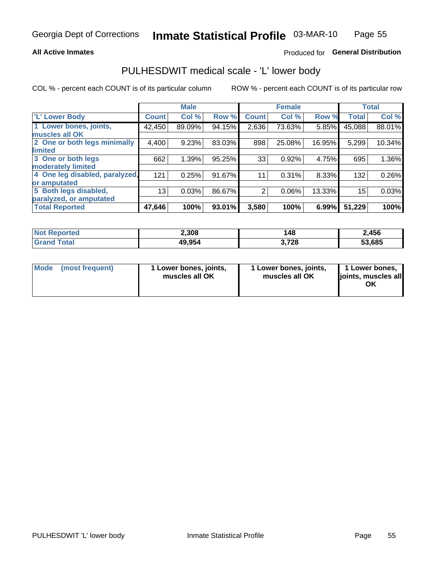#### **All Active Inmates**

### Produced for General Distribution

## PULHESDWIT medical scale - 'L' lower body

COL % - percent each COUNT is of its particular column

|                                |              | <b>Male</b> |        |              | <b>Female</b> |        |              | <b>Total</b> |
|--------------------------------|--------------|-------------|--------|--------------|---------------|--------|--------------|--------------|
| 'L' Lower Body                 | <b>Count</b> | Col %       | Row %  | <b>Count</b> | Col %         | Row %  | <b>Total</b> | Col %        |
| 1 Lower bones, joints,         | 42,450       | 89.09%      | 94.15% | 2,636        | 73.63%        | 5.85%  | 45,088       | 88.01%       |
| muscles all OK                 |              |             |        |              |               |        |              |              |
| 2 One or both legs minimally   | 4,400        | 9.23%       | 83.03% | 898          | 25.08%        | 16.95% | 5,299        | 10.34%       |
| limited                        |              |             |        |              |               |        |              |              |
| 3 One or both legs             | 662          | 1.39%       | 95.25% | 33           | 0.92%         | 4.75%  | 695          | 1.36%        |
| moderately limited             |              |             |        |              |               |        |              |              |
| 4 One leg disabled, paralyzed, | 121          | 0.25%       | 91.67% | 11           | 0.31%         | 8.33%  | 132          | 0.26%        |
| or amputated                   |              |             |        |              |               |        |              |              |
| 5 Both legs disabled,          | 13           | 0.03%       | 86.67% | 2            | 0.06%         | 13.33% | 15           | 0.03%        |
| paralyzed, or amputated        |              |             |        |              |               |        |              |              |
| <b>Total Reported</b>          | 47,646       | 100%        | 93.01% | 3,580        | 100%          | 6.99%  | 51,229       | 100%         |

| <b>Not Reported</b>   | 2,308  | 148   | 2,456  |
|-----------------------|--------|-------|--------|
| <b>Total</b><br>Grand | 49,954 | 3,728 | 53,685 |

| Mode | (most frequent) | 1 Lower bones, joints,<br>muscles all OK | 1 Lower bones, joints,<br>muscles all OK | 1 Lower bones,<br>joints, muscles all<br>ΟK |
|------|-----------------|------------------------------------------|------------------------------------------|---------------------------------------------|
|------|-----------------|------------------------------------------|------------------------------------------|---------------------------------------------|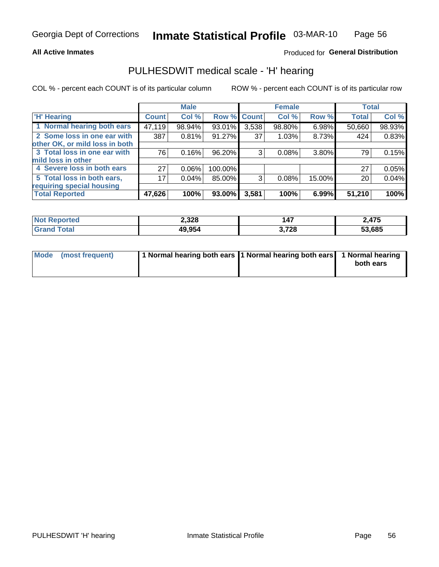#### **All Active Inmates**

### Produced for General Distribution

## PULHESDWIT medical scale - 'H' hearing

COL % - percent each COUNT is of its particular column

|                                |              | <b>Male</b> |                    |       | <b>Female</b> |        | <b>Total</b> |        |
|--------------------------------|--------------|-------------|--------------------|-------|---------------|--------|--------------|--------|
| <b>'H' Hearing</b>             | <b>Count</b> | Col %       | <b>Row % Count</b> |       | Col %         | Row %  | <b>Total</b> | Col %  |
| 1 Normal hearing both ears     | 47,119       | 98.94%      | 93.01%             | 3,538 | 98.80%        | 6.98%  | 50,660       | 98.93% |
| 2 Some loss in one ear with    | 387          | 0.81%       | 91.27%             | 37    | 1.03%         | 8.73%  | 424          | 0.83%  |
| other OK, or mild loss in both |              |             |                    |       |               |        |              |        |
| 3 Total loss in one ear with   | 76           | 0.16%       | 96.20%             | 3     | 0.08%         | 3.80%  | 79           | 0.15%  |
| mild loss in other             |              |             |                    |       |               |        |              |        |
| 4 Severe loss in both ears     | 27           | 0.06%       | 100.00%            |       |               |        | 27           | 0.05%  |
| 5 Total loss in both ears,     | 17           | 0.04%       | 85.00%             | 3     | 0.08%         | 15.00% | 20           | 0.04%  |
| requiring special housing      |              |             |                    |       |               |        |              |        |
| <b>Total Reported</b>          | 47,626       | 100%        | 93.00%             | 3,581 | 100%          | 6.99%  | 51,210       | 100%   |

| <b>Not Reno</b><br>ాorted | 2,328  | 147   | ∠,475  |
|---------------------------|--------|-------|--------|
| Total                     | 49,954 | 3,728 | 53,685 |

| Mode (most frequent) | 1 Normal hearing both ears 1 Normal hearing both ears 1 Normal hearing | both ears |
|----------------------|------------------------------------------------------------------------|-----------|
|                      |                                                                        |           |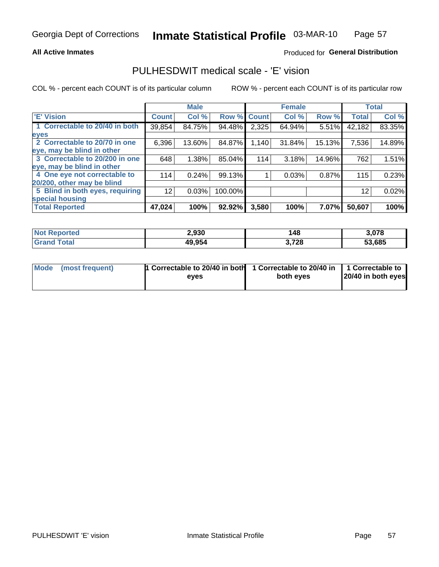#### **All Active Inmates**

### Produced for General Distribution

## PULHESDWIT medical scale - 'E' vision

COL % - percent each COUNT is of its particular column

|                                 |                 | <b>Male</b> |         |              | <b>Female</b> |        |              | <b>Total</b> |
|---------------------------------|-----------------|-------------|---------|--------------|---------------|--------|--------------|--------------|
| 'E' Vision                      | <b>Count</b>    | Col %       | Row %   | <b>Count</b> | Col %         | Row %  | <b>Total</b> | Col %        |
| 1 Correctable to 20/40 in both  | 39,854          | 84.75%      | 94.48%  | 2,325        | 64.94%        | 5.51%  | 42,182       | 83.35%       |
| eyes                            |                 |             |         |              |               |        |              |              |
| 2 Correctable to 20/70 in one   | 6,396           | 13.60%      | 84.87%  | 1,140        | 31.84%        | 15.13% | 7,536        | 14.89%       |
| eye, may be blind in other      |                 |             |         |              |               |        |              |              |
| 3 Correctable to 20/200 in one  | 648             | 1.38%       | 85.04%  | 114          | 3.18%         | 14.96% | 762          | 1.51%        |
| leye, may be blind in other     |                 |             |         |              |               |        |              |              |
| 4 One eye not correctable to    | 114             | 0.24%       | 99.13%  |              | 0.03%         | 0.87%  | 115          | 0.23%        |
| 20/200, other may be blind      |                 |             |         |              |               |        |              |              |
| 5 Blind in both eyes, requiring | 12 <sup>2</sup> | 0.03%       | 100.00% |              |               |        | 12           | 0.02%        |
| special housing                 |                 |             |         |              |               |        |              |              |
| <b>Total Reported</b>           | 47,024          | 100%        | 92.92%  | 3,580        | 100%          | 7.07%  | 50,607       | 100%         |

| <b>Not Reported</b> | 2,930  | 148   | 3,078  |
|---------------------|--------|-------|--------|
| <b>Total</b>        | 49,954 | 3,728 | 53,685 |

| Mode (most frequent) | 1 Correctable to 20/40 in both<br>eves | 1 Correctable to 20/40 in   1 Correctable to  <br>both eves | 20/40 in both eyes |
|----------------------|----------------------------------------|-------------------------------------------------------------|--------------------|
|                      |                                        |                                                             |                    |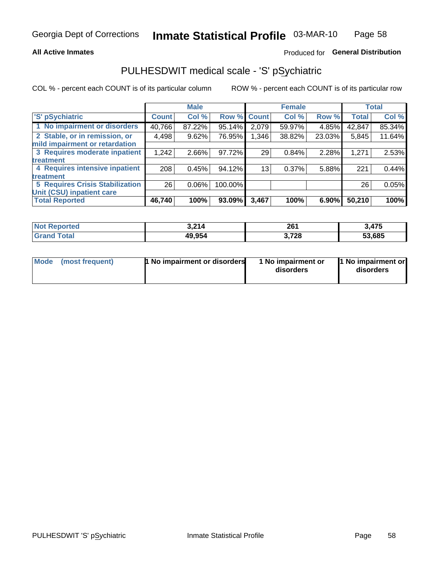#### **All Active Inmates**

### Produced for General Distribution

## PULHESDWIT medical scale - 'S' pSychiatric

COL % - percent each COUNT is of its particular column

|                                        |              | <b>Male</b> |         |                 | <b>Female</b> |        |              | <b>Total</b> |
|----------------------------------------|--------------|-------------|---------|-----------------|---------------|--------|--------------|--------------|
| 'S' pSychiatric                        | <b>Count</b> | Col %       |         | Row % Count     | Col %         | Row %  | <b>Total</b> | Col %        |
| 1 No impairment or disorders           | 40,766       | 87.22%      | 95.14%  | 2,079           | 59.97%        | 4.85%  | 42,847       | 85.34%       |
| 2 Stable, or in remission, or          | 4,498        | 9.62%       | 76.95%  | 1,346           | 38.82%        | 23.03% | 5,845        | 11.64%       |
| mild impairment or retardation         |              |             |         |                 |               |        |              |              |
| 3 Requires moderate inpatient          | 1,242        | 2.66%       | 97.72%  | 29              | 0.84%         | 2.28%  | 1,271        | 2.53%        |
| treatment                              |              |             |         |                 |               |        |              |              |
| 4 Requires intensive inpatient         | 208          | 0.45%       | 94.12%  | 13 <sub>1</sub> | 0.37%         | 5.88%  | 221          | 0.44%        |
| treatment                              |              |             |         |                 |               |        |              |              |
| <b>5 Requires Crisis Stabilization</b> | 26           | $0.06\%$    | 100.00% |                 |               |        | 26           | 0.05%        |
| Unit (CSU) inpatient care              |              |             |         |                 |               |        |              |              |
| <b>Total Reported</b>                  | 46,740       | 100%        | 93.09%  | 3,467           | 100%          | 6.90%  | 50,210       | 100%         |

| <b>Not Reported</b> | 3,214  | 261   | 3,475  |
|---------------------|--------|-------|--------|
| Total<br>Gran       | 49,954 | 3,728 | 53,685 |

| Mode            | <b>1 No impairment or disorders</b> | 1 No impairment or | 1 No impairment or |
|-----------------|-------------------------------------|--------------------|--------------------|
| (most frequent) |                                     | disorders          | disorders          |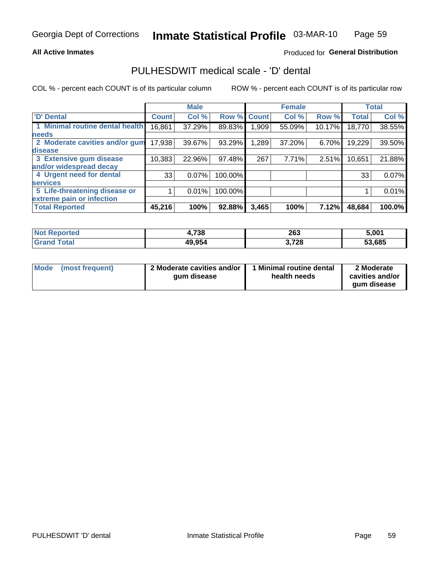#### **All Active Inmates**

### **Produced for General Distribution**

## PULHESDWIT medical scale - 'D' dental

COL % - percent each COUNT is of its particular column

|                                 |              | <b>Male</b> |         |              | <b>Female</b> |        |              | <b>Total</b> |
|---------------------------------|--------------|-------------|---------|--------------|---------------|--------|--------------|--------------|
| <b>D'</b> Dental                | <b>Count</b> | Col %       | Row %   | <b>Count</b> | Col %         | Row %  | <b>Total</b> | Col %        |
| 1 Minimal routine dental health | 16,861       | 37.29%      | 89.83%  | 909.         | 55.09%        | 10.17% | 18,770       | 38.55%       |
| <b>needs</b>                    |              |             |         |              |               |        |              |              |
| 2 Moderate cavities and/or gum  | 17,938       | 39.67%      | 93.29%  | 1,289        | 37.20%        | 6.70%  | 19,229       | 39.50%       |
| disease                         |              |             |         |              |               |        |              |              |
| 3 Extensive gum disease         | 10,383       | 22.96%      | 97.48%  | 267          | 7.71%         | 2.51%  | 10,651       | 21.88%       |
| and/or widespread decay         |              |             |         |              |               |        |              |              |
| 4 Urgent need for dental        | 33           | 0.07%       | 100.00% |              |               |        | 33           | 0.07%        |
| <b>services</b>                 |              |             |         |              |               |        |              |              |
| 5 Life-threatening disease or   |              | 0.01%       | 100.00% |              |               |        |              | 0.01%        |
| extreme pain or infection       |              |             |         |              |               |        |              |              |
| <b>Total Reported</b>           | 45,216       | 100%        | 92.88%  | 3,465        | 100%          | 7.12%  | 48,684       | 100.0%       |

| <b>Not Reported</b> | ,738   | 263   | 5,001  |
|---------------------|--------|-------|--------|
| Total<br>' Grand    | 49,954 | 3,728 | 53,685 |

| 2 Moderate cavities and/or<br>Mode<br>(most frequent)<br>qum disease | 1 Minimal routine dental<br>health needs | 2 Moderate<br>cavities and/or<br>gum disease |
|----------------------------------------------------------------------|------------------------------------------|----------------------------------------------|
|----------------------------------------------------------------------|------------------------------------------|----------------------------------------------|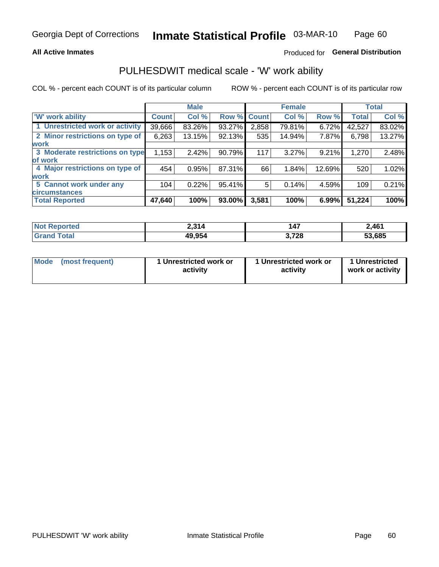#### **All Active Inmates**

### Produced for General Distribution

# PULHESDWIT medical scale - 'W' work ability

COL % - percent each COUNT is of its particular column

|                                 |              | <b>Male</b> |        |             | <b>Female</b> |        |              | <b>Total</b> |
|---------------------------------|--------------|-------------|--------|-------------|---------------|--------|--------------|--------------|
| 'W' work ability                | <b>Count</b> | Col %       |        | Row % Count | Col %         | Row %  | <b>Total</b> | Col %        |
| 1 Unrestricted work or activity | 39,666       | 83.26%      | 93.27% | 2,858       | 79.81%        | 6.72%  | 42,527       | 83.02%       |
| 2 Minor restrictions on type of | 6,263        | 13.15%      | 92.13% | 535         | 14.94%        | 7.87%  | 6,798        | 13.27%       |
| <b>work</b>                     |              |             |        |             |               |        |              |              |
| 3 Moderate restrictions on type | 1,153        | 2.42%       | 90.79% | 117         | 3.27%         | 9.21%  | 1,270        | 2.48%        |
| lof work                        |              |             |        |             |               |        |              |              |
| 4 Major restrictions on type of | 454          | 0.95%       | 87.31% | 66          | 1.84%         | 12.69% | 520          | 1.02%        |
| <b>work</b>                     |              |             |        |             |               |        |              |              |
| 5 Cannot work under any         | 104          | 0.22%       | 95.41% | 5           | 0.14%         | 4.59%  | 109          | 0.21%        |
| <b>circumstances</b>            |              |             |        |             |               |        |              |              |
| <b>Total Reported</b>           | 47,640       | 100%        | 93.00% | 3,581       | 100%          | 6.99%  | 51,224       | 100%         |

| <b>Emorted</b> | ) 21 <i>1</i> | 147   | 2,461  |
|----------------|---------------|-------|--------|
| NO1            | <u>.</u>      |       |        |
| <b>Total</b>   | 49,954        | 3,728 | 53,685 |

| Mode            | 1 Unrestricted work or | 1 Unrestricted work or | 1 Unrestricted   |
|-----------------|------------------------|------------------------|------------------|
| (most frequent) | activity               | activity               | work or activity |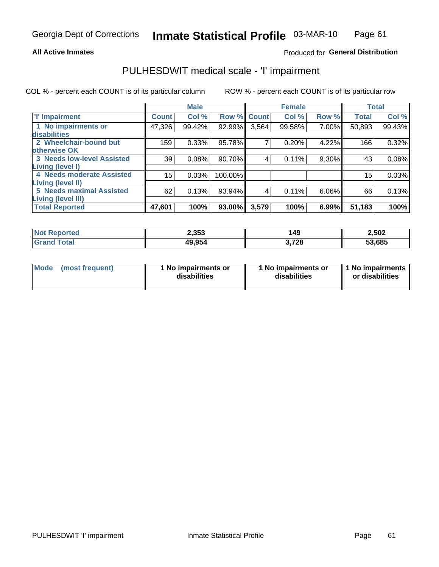#### **All Active Inmates**

### Produced for General Distribution

## PULHESDWIT medical scale - 'I' impairment

COL % - percent each COUNT is of its particular column

|                                   |              | <b>Male</b> |             |       | <b>Female</b> |       |              | <b>Total</b> |
|-----------------------------------|--------------|-------------|-------------|-------|---------------|-------|--------------|--------------|
| <b>T' Impairment</b>              | <b>Count</b> | Col %       | Row % Count |       | Col %         | Row % | <b>Total</b> | Col %        |
| 1 No impairments or               | 47,326       | 99.42%      | 92.99%      | 3,564 | 99.58%        | 7.00% | 50,893       | 99.43%       |
| disabilities                      |              |             |             |       |               |       |              |              |
| 2 Wheelchair-bound but            | 159          | 0.33%       | 95.78%      | 7     | 0.20%         | 4.22% | 166          | 0.32%        |
| otherwise OK                      |              |             |             |       |               |       |              |              |
| <b>3 Needs low-level Assisted</b> | 39           | 0.08%       | 90.70%      | 4     | 0.11%         | 9.30% | 43           | 0.08%        |
| Living (level I)                  |              |             |             |       |               |       |              |              |
| 4 Needs moderate Assisted         | 15           | 0.03%       | 100.00%     |       |               |       | 15           | 0.03%        |
| <b>Living (level II)</b>          |              |             |             |       |               |       |              |              |
| <b>5 Needs maximal Assisted</b>   | 62           | 0.13%       | 93.94%      | 4     | 0.11%         | 6.06% | 66           | 0.13%        |
| <b>Living (level III)</b>         |              |             |             |       |               |       |              |              |
| <b>Total Reported</b>             | 47,601       | 100%        | 93.00%      | 3,579 | 100%          | 6.99% | 51,183       | 100%         |

| <b>Not</b><br>Reported | 2,353  | 149        | 2,502  |
|------------------------|--------|------------|--------|
| Total                  | 49,954 | ,728<br>v. | 53,685 |

| Mode | (most frequent) | 1 No impairments or<br>disabilities | 1 No impairments or<br>disabilities | 1 No impairments<br>or disabilities |
|------|-----------------|-------------------------------------|-------------------------------------|-------------------------------------|
|------|-----------------|-------------------------------------|-------------------------------------|-------------------------------------|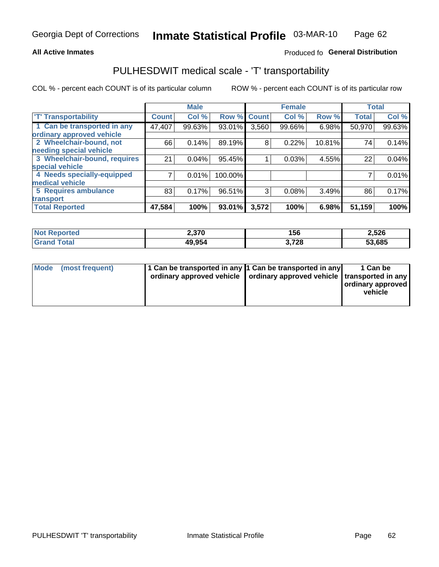#### **All Active Inmates**

### Produced fo General Distribution

## PULHESDWIT medical scale - 'T' transportability

COL % - percent each COUNT is of its particular column

|                              |              | <b>Male</b> |         |              | <b>Female</b> |        |              | <b>Total</b> |
|------------------------------|--------------|-------------|---------|--------------|---------------|--------|--------------|--------------|
| <b>T' Transportability</b>   | <b>Count</b> | Col %       | Row %   | <b>Count</b> | Col %         | Row %  | <b>Total</b> | Col %        |
| 1 Can be transported in any  | 47,407       | 99.63%      | 93.01%  | 3,560        | 99.66%        | 6.98%  | 50,970       | 99.63%       |
| ordinary approved vehicle    |              |             |         |              |               |        |              |              |
| 2 Wheelchair-bound, not      | 66           | 0.14%       | 89.19%  | 8            | 0.22%         | 10.81% | 74           | 0.14%        |
| needing special vehicle      |              |             |         |              |               |        |              |              |
| 3 Wheelchair-bound, requires | 21           | 0.04%       | 95.45%  |              | 0.03%         | 4.55%  | 22           | 0.04%        |
| special vehicle              |              |             |         |              |               |        |              |              |
| 4 Needs specially-equipped   |              | 0.01%       | 100.00% |              |               |        |              | 0.01%        |
| medical vehicle              |              |             |         |              |               |        |              |              |
| <b>5 Requires ambulance</b>  | 83           | 0.17%       | 96.51%  | 3            | 0.08%         | 3.49%  | 86           | 0.17%        |
| transport                    |              |             |         |              |               |        |              |              |
| <b>Total Reported</b>        | 47,584       | 100%        | 93.01%  | 3,572        | 100%          | 6.98%  | 51,159       | 100%         |

| ported      | 2,370  | 156            | 2,526  |
|-------------|--------|----------------|--------|
| <b>otal</b> | 49,954 | 700<br>J, 1 ZO | 53,685 |

|  | Mode (most frequent) | 1 Can be transported in any 1 Can be transported in any<br>ordinary approved vehicle   ordinary approved vehicle   transported in any |  | 1 Can be<br>  ordinary approved  <br>vehicle |
|--|----------------------|---------------------------------------------------------------------------------------------------------------------------------------|--|----------------------------------------------|
|--|----------------------|---------------------------------------------------------------------------------------------------------------------------------------|--|----------------------------------------------|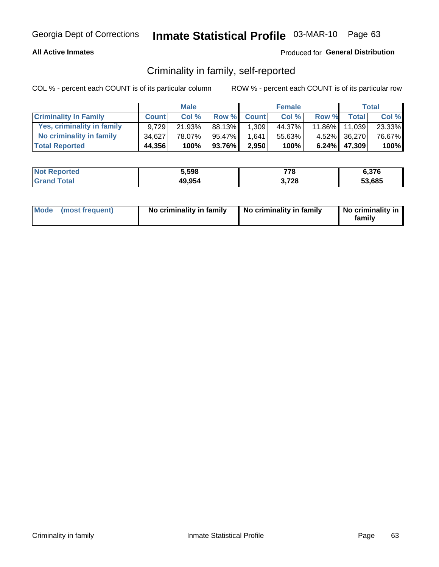#### **All Active Inmates**

### Produced for General Distribution

## Criminality in family, self-reported

COL % - percent each COUNT is of its particular column

|                              |              | <b>Male</b> |        |             | <b>Female</b> |           |                 | Total   |
|------------------------------|--------------|-------------|--------|-------------|---------------|-----------|-----------------|---------|
| <b>Criminality In Family</b> | <b>Count</b> | Col %       |        | Row % Count | Col %         | Row %     | <b>Total</b>    | Col %   |
| Yes, criminality in family   | 9.729        | 21.93%      | 88.13% | 1,309       | 44.37%        | $11.86\%$ | 11,039          | 23.33%  |
| No criminality in family     | 34.627       | 78.07%      | 95.47% | 1,641       | 55.63%        |           | 4.52% 36,270    | 76.67%  |
| <b>Total Reported</b>        | 44,356       | 100%        | 93.76% | 2,950       | 100%          |           | $6.24\%$ 47,309 | $100\%$ |

| <b>Not</b><br>Reported | 5,598  | 778        | 6,376  |
|------------------------|--------|------------|--------|
| <b>ota</b>             | 49,954 | ,728<br>v, | 53.685 |

|  | Mode (most frequent) | No criminality in family | No criminality in family | No criminality in<br>family |
|--|----------------------|--------------------------|--------------------------|-----------------------------|
|--|----------------------|--------------------------|--------------------------|-----------------------------|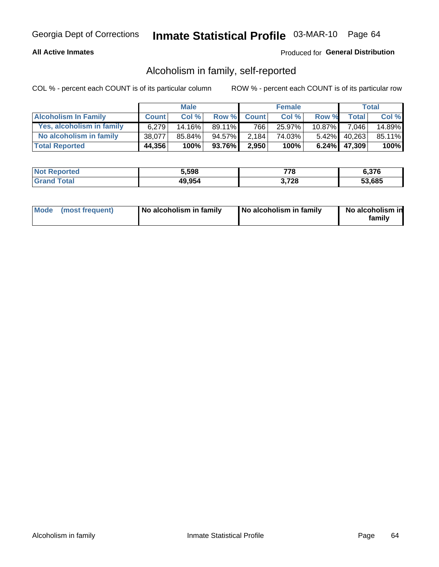#### **All Active Inmates**

### Produced for General Distribution

## Alcoholism in family, self-reported

COL % - percent each COUNT is of its particular column

|                             |              | <b>Male</b> |              |              | <b>Female</b> |           |                 | Total   |
|-----------------------------|--------------|-------------|--------------|--------------|---------------|-----------|-----------------|---------|
| <b>Alcoholism In Family</b> | <b>Count</b> | Col %       | <b>Row %</b> | <b>Count</b> | Col %         | Row %     | <b>Total</b>    | Col %   |
| Yes, alcoholism in family   | 6.279        | 14.16%      | 89.11%       | 766          | 25.97%        | $10.87\%$ | 7,046           | 14.89%  |
| No alcoholism in family     | 38.077       | 85.84%      | 94.57%       | 2,184        | 74.03%        |           | 5.42% 40,263    | 85.11%  |
| <b>Total Reported</b>       | 44,356       | 100%        | 93.76%       | 2,950        | 100%          |           | $6.24\%$ 47,309 | $100\%$ |

| <b>Not</b><br>Reported | 5,598  | 778        | 6,376  |
|------------------------|--------|------------|--------|
| <b>ota</b>             | 49,954 | ,728<br>v, | 53.685 |

|  | Mode (most frequent) | No alcoholism in family | No alcoholism in family | No alcoholism in<br>family |
|--|----------------------|-------------------------|-------------------------|----------------------------|
|--|----------------------|-------------------------|-------------------------|----------------------------|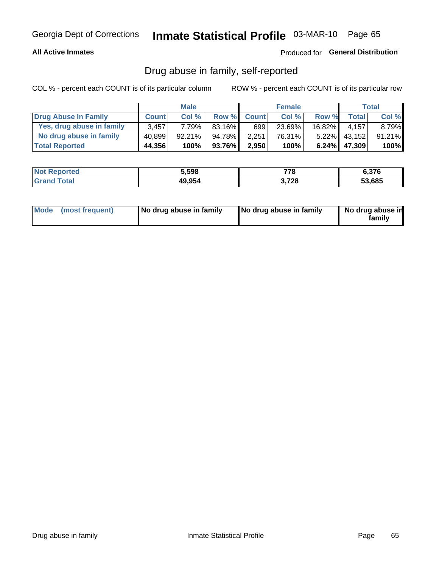#### **All Active Inmates**

### Produced for General Distribution

## Drug abuse in family, self-reported

COL % - percent each COUNT is of its particular column

|                           |              | <b>Male</b> |        |              | <b>Female</b> |           |        | <b>Total</b> |
|---------------------------|--------------|-------------|--------|--------------|---------------|-----------|--------|--------------|
| Drug Abuse In Family      | <b>Count</b> | Col%        | Row %  | <b>Count</b> | Col %         | Row %     | Total  | Col %        |
| Yes, drug abuse in family | 3.457        | 7.79%l      | 83.16% | 699          | 23.69%        | $16.82\%$ | 4.157  | 8.79%        |
| No drug abuse in family   | 40.899       | $92.21\%$   | 94.78% | 2,251        | 76.31%        | $5.22\%$  | 43,152 | 91.21%       |
| <b>Total Reported</b>     | 44,356       | 100%        | 93.76% | 2,950        | 100%          | 6.24%     | 47,309 | 100%         |

| <b>Not Reported</b>   | 5,598  | 770<br>1 C | 6,376  |
|-----------------------|--------|------------|--------|
| Total<br><b>Grand</b> | 49,954 | 3,728      | 53.685 |

|  | Mode (most frequent) | No drug abuse in family | No drug abuse in family | No drug abuse in<br>familv |
|--|----------------------|-------------------------|-------------------------|----------------------------|
|--|----------------------|-------------------------|-------------------------|----------------------------|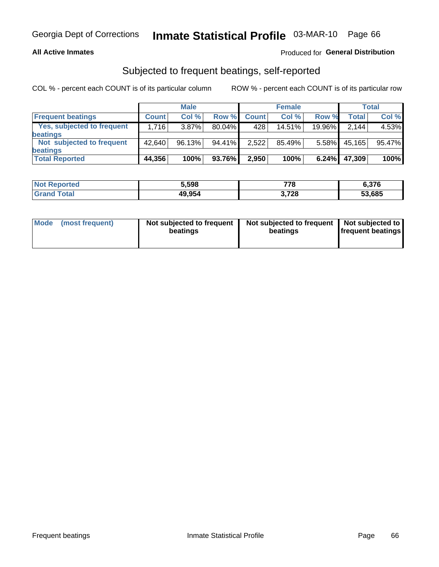#### **All Active Inmates**

### Produced for General Distribution

## Subjected to frequent beatings, self-reported

COL % - percent each COUNT is of its particular column

|                                   |              | <b>Male</b> |        |              | <b>Female</b> |          |        | Total  |
|-----------------------------------|--------------|-------------|--------|--------------|---------------|----------|--------|--------|
| <b>Frequent beatings</b>          | <b>Count</b> | Col %       | Row %  | <b>Count</b> | Col %         | Row %    | Total  | Col %  |
| <b>Yes, subjected to frequent</b> | 1,716        | $3.87\%$    | 80.04% | 428          | 14.51%        | 19.96%   | 2.144  | 4.53%  |
| <b>beatings</b>                   |              |             |        |              |               |          |        |        |
| Not subjected to frequent         | 42.640       | 96.13%      | 94.41% | 2,522        | 85.49%        | $5.58\%$ | 45,165 | 95.47% |
| <b>beatings</b>                   |              |             |        |              |               |          |        |        |
| <b>Total Reported</b>             | 44,356       | 100%        | 93.76% | 2,950        | 100%          | 6.24%    | 47,309 | 100%   |

| <b>Not</b><br>Reported | 5.598  | 778   | 6,376  |
|------------------------|--------|-------|--------|
| <b>Total</b>           | 49,954 | 3,728 | 53,685 |

| Mode (most frequent) | Not subjected to frequent<br>beatings | Not subjected to frequent<br>beatings | Not subjected to<br><b>frequent beatings</b> |
|----------------------|---------------------------------------|---------------------------------------|----------------------------------------------|
|                      |                                       |                                       |                                              |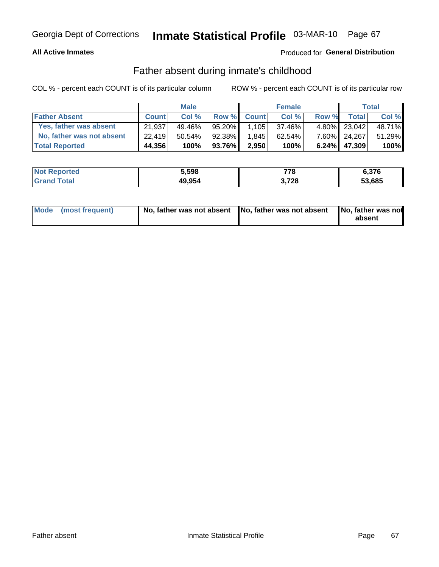#### **All Active Inmates**

### Produced for General Distribution

## Father absent during inmate's childhood

COL % - percent each COUNT is of its particular column

|                           |              | <b>Male</b> |        |              | <b>Female</b> |          |              | <b>Total</b> |
|---------------------------|--------------|-------------|--------|--------------|---------------|----------|--------------|--------------|
| <b>Father Absent</b>      | <b>Count</b> | Col %       | Row %  | <b>Count</b> | Col %         | Row %    | <b>Total</b> | Col %        |
| Yes, father was absent    | 21.937       | 49.46%      | 95.20% | 1,105        | 37.46%        |          | 4.80% 23,042 | 48.71%       |
| No, father was not absent | 22.419       | $50.54\%$   | 92.38% | 1.845        | $62.54\%$     |          | 7.60% 24,267 | 51.29%       |
| <b>Total Reported</b>     | 44,356       | 100%        | 93.76% | 2,950        | 100%          | $6.24\%$ | 47,309       | $100\%$      |

| <b>Not Reported</b> | 5,598  | 778        | 6,376  |
|---------------------|--------|------------|--------|
| <b>Grand Total</b>  | 49,954 | ,728<br>J. | 53,685 |

|  | Mode (most frequent) | No, father was not absent No, father was not absent |  | No, father was not<br>absent |
|--|----------------------|-----------------------------------------------------|--|------------------------------|
|--|----------------------|-----------------------------------------------------|--|------------------------------|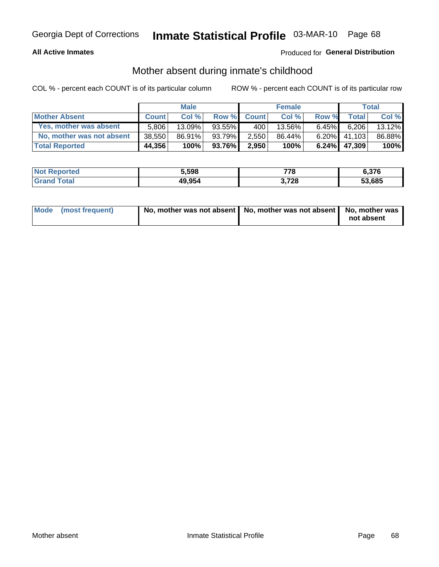#### **All Active Inmates**

### Produced for General Distribution

## Mother absent during inmate's childhood

COL % - percent each COUNT is of its particular column

|                           |              | <b>Male</b> |          |              | <b>Female</b> |          |              | <b>Total</b> |
|---------------------------|--------------|-------------|----------|--------------|---------------|----------|--------------|--------------|
| <b>Mother Absent</b>      | <b>Count</b> | Col%        | Row %    | <b>Count</b> | Col %         | Row %    | <b>Total</b> | Col %        |
| Yes, mother was absent    | 5.806        | $13.09\%$   | 93.55%   | 400          | 13.56%        | $6.45\%$ | 6.206        | 13.12%       |
| No, mother was not absent | 38,550       | 86.91%      | 93.79%   | 2,550        | 86.44%        | $6.20\%$ | 41.103       | 86.88%       |
| <b>Total Reported</b>     | 44,356       | 100%        | 93.76% I | 2,950        | 100%          | $6.24\%$ | 47,309       | 100%         |

| <b>Not</b><br>Reported | 5,598  | 778        | 6,376  |
|------------------------|--------|------------|--------|
| <b>ota</b>             | 49,954 | ,728<br>v, | 53.685 |

| Mode (most frequent) | No, mother was not absent   No, mother was not absent   No, mother was | not absent |
|----------------------|------------------------------------------------------------------------|------------|
|                      |                                                                        |            |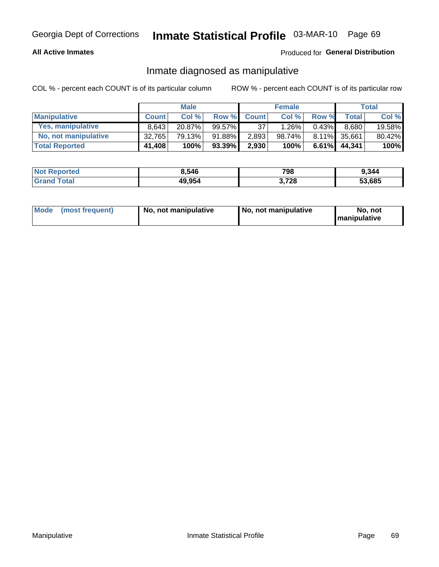#### **All Active Inmates**

### Produced for General Distribution

## Inmate diagnosed as manipulative

COL % - percent each COUNT is of its particular column

|                       |              | <b>Male</b> |           |              | <b>Female</b> |          |              | Total  |
|-----------------------|--------------|-------------|-----------|--------------|---------------|----------|--------------|--------|
| <b>Manipulative</b>   | <b>Count</b> | Col %       | Row %     | <b>Count</b> | Col%          | Row %    | <b>Total</b> | Col %  |
| Yes, manipulative     | 8.643        | $20.87\%$   | $99.57\%$ | 37           | 1.26%         | 0.43%    | 8.680        | 19.58% |
| No, not manipulative  | 32,765       | 79.13%      | 91.88%    | 2,893        | 98.74%」       |          | 8.11% 35,661 | 80.42% |
| <b>Total Reported</b> | 41,408       | 100%        | 93.39%    | 2,930        | 100%          | $6.61\%$ | 44.341       | 100%   |

| <b>Not Reported</b>   | 8,546  | 798   | 9,344  |
|-----------------------|--------|-------|--------|
| Гоtal<br><b>Grand</b> | 49,954 | 3,728 | 53,685 |

| Mode | (most frequent) | No, not manipulative | No, not manipulative | No. not<br><b>I</b> manipulative |
|------|-----------------|----------------------|----------------------|----------------------------------|
|------|-----------------|----------------------|----------------------|----------------------------------|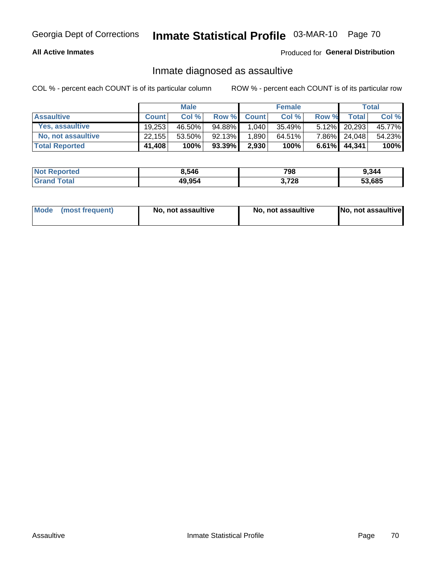#### **All Active Inmates**

Produced for General Distribution

## Inmate diagnosed as assaultive

COL % - percent each COUNT is of its particular column

|                           |              | <b>Male</b> |           |              | <b>Female</b> |       |                 | Total  |
|---------------------------|--------------|-------------|-----------|--------------|---------------|-------|-----------------|--------|
| <b>Assaultive</b>         | <b>Count</b> | Col%        | Row %     | <b>Count</b> | Col %         | Row % | <b>Total</b>    | Col %  |
| Yes, assaultive           | 19.253       | 46.50%      | 94.88%    | 1,040        | 35.49%        |       | 5.12% 20,293    | 45.77% |
| <b>No, not assaultive</b> | 22,155       | 53.50%      | 92.13%    | 1,890        | 64.51%        |       | 7.86% 24,048    | 54.23% |
| <b>Total Reported</b>     | 41,408       | 100%        | $93.39\%$ | 2,930        | 100%          |       | $6.61\%$ 44,341 | 100%   |

| <b>Not Reported</b> | 8,546  | 798        | 9.344  |
|---------------------|--------|------------|--------|
| <b>Tota</b>         | 49,954 | ,728<br>v. | 53.685 |

| Mode (most frequent) | No, not assaultive | No, not assaultive | No, not assaultive |
|----------------------|--------------------|--------------------|--------------------|
|----------------------|--------------------|--------------------|--------------------|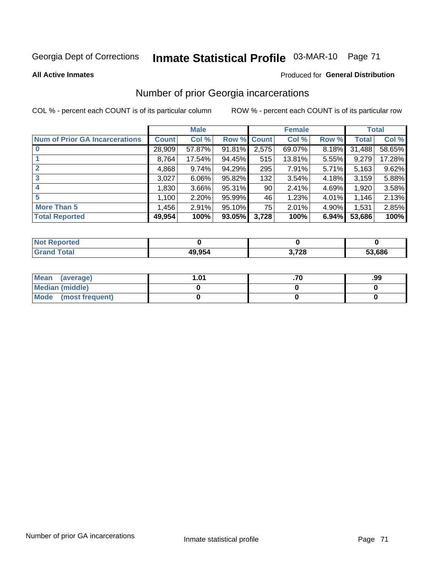# Inmate Statistical Profile 03-MAR-10 Page 71

#### **All Active Inmates**

#### **Produced for General Distribution**

## Number of prior Georgia incarcerations

COL % - percent each COUNT is of its particular column

|                                       |              | <b>Male</b> |             |       | <b>Female</b> |       |        | <b>Total</b> |
|---------------------------------------|--------------|-------------|-------------|-------|---------------|-------|--------|--------------|
| <b>Num of Prior GA Incarcerations</b> | <b>Count</b> | Col %       | Row % Count |       | Col %         | Row % | Total  | Col %        |
|                                       | 28,909       | 57.87%      | 91.81%      | 2,575 | 69.07%        | 8.18% | 31,488 | 58.65%       |
|                                       | 8,764        | 17.54%      | 94.45%      | 515   | 13.81%        | 5.55% | 9,279  | 17.28%       |
| $\overline{2}$                        | 4,868        | 9.74%       | 94.29%      | 295   | 7.91%         | 5.71% | 5,163  | 9.62%        |
| 3                                     | 3,027        | $6.06\%$    | $95.82\%$   | 132   | 3.54%         | 4.18% | 3,159  | 5.88%        |
| $\boldsymbol{4}$                      | 1,830        | 3.66%       | 95.31%      | 90    | 2.41%         | 4.69% | 1,920  | 3.58%        |
| 5                                     | 1,100        | 2.20%       | 95.99%      | 46    | 1.23%         | 4.01% | 1,146  | 2.13%        |
| <b>More Than 5</b>                    | 1,456        | 2.91%       | $95.10\%$   | 75    | 2.01%         | 4.90% | 1,531  | 2.85%        |
| <b>Total Reported</b>                 | 49,954       | 100%        | $93.05\%$   | 3,728 | 100%          | 6.94% | 53,686 | 100%         |

| orted<br>NO. |        |      |        |
|--------------|--------|------|--------|
| 'ota.<br>Gr  | 49.954 | ,728 | 53,686 |

| Mean (average)       | l.01 | .99 |
|----------------------|------|-----|
| Median (middle)      |      |     |
| Mode (most frequent) |      |     |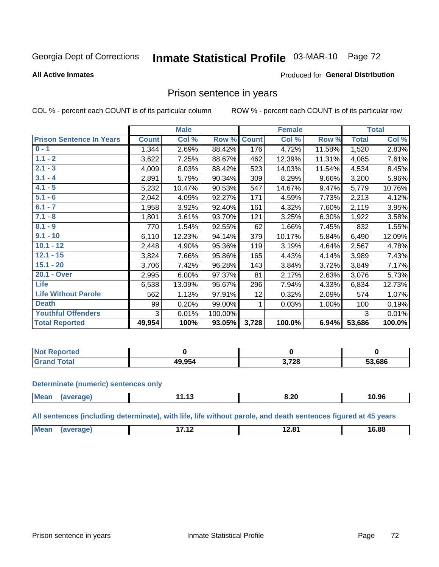# Inmate Statistical Profile 03-MAR-10 Page 72

**All Active Inmates** 

#### Produced for General Distribution

### Prison sentence in years

COL % - percent each COUNT is of its particular column

ROW % - percent each COUNT is of its particular row

|                                 |              | <b>Male</b> |         |              | <b>Female</b> |        |              | <b>Total</b> |
|---------------------------------|--------------|-------------|---------|--------------|---------------|--------|--------------|--------------|
| <b>Prison Sentence In Years</b> | <b>Count</b> | Col %       | Row %   | <b>Count</b> | Col %         | Row %  | <b>Total</b> | Col %        |
| $0 - 1$                         | 1,344        | 2.69%       | 88.42%  | 176          | 4.72%         | 11.58% | 1,520        | 2.83%        |
| $1.1 - 2$                       | 3,622        | 7.25%       | 88.67%  | 462          | 12.39%        | 11.31% | 4,085        | 7.61%        |
| $2.1 - 3$                       | 4,009        | 8.03%       | 88.42%  | 523          | 14.03%        | 11.54% | 4,534        | 8.45%        |
| $3.1 - 4$                       | 2,891        | 5.79%       | 90.34%  | 309          | 8.29%         | 9.66%  | 3,200        | 5.96%        |
| $4.1 - 5$                       | 5,232        | 10.47%      | 90.53%  | 547          | 14.67%        | 9.47%  | 5,779        | 10.76%       |
| $5.1 - 6$                       | 2,042        | 4.09%       | 92.27%  | 171          | 4.59%         | 7.73%  | 2,213        | 4.12%        |
| $6.1 - 7$                       | 1,958        | 3.92%       | 92.40%  | 161          | 4.32%         | 7.60%  | 2,119        | 3.95%        |
| $7.1 - 8$                       | 1,801        | 3.61%       | 93.70%  | 121          | 3.25%         | 6.30%  | 1,922        | 3.58%        |
| $8.1 - 9$                       | 770          | 1.54%       | 92.55%  | 62           | 1.66%         | 7.45%  | 832          | 1.55%        |
| $9.1 - 10$                      | 6,110        | 12.23%      | 94.14%  | 379          | 10.17%        | 5.84%  | 6,490        | 12.09%       |
| $10.1 - 12$                     | 2,448        | 4.90%       | 95.36%  | 119          | 3.19%         | 4.64%  | 2,567        | 4.78%        |
| $12.1 - 15$                     | 3,824        | 7.66%       | 95.86%  | 165          | 4.43%         | 4.14%  | 3,989        | 7.43%        |
| $15.1 - 20$                     | 3,706        | 7.42%       | 96.28%  | 143          | 3.84%         | 3.72%  | 3,849        | 7.17%        |
| 20.1 - Over                     | 2,995        | 6.00%       | 97.37%  | 81           | 2.17%         | 2.63%  | 3,076        | 5.73%        |
| <b>Life</b>                     | 6,538        | 13.09%      | 95.67%  | 296          | 7.94%         | 4.33%  | 6,834        | 12.73%       |
| <b>Life Without Parole</b>      | 562          | 1.13%       | 97.91%  | 12           | 0.32%         | 2.09%  | 574          | 1.07%        |
| <b>Death</b>                    | 99           | 0.20%       | 99.00%  |              | 0.03%         | 1.00%  | 100          | 0.19%        |
| <b>Youthful Offenders</b>       | 3            | 0.01%       | 100.00% |              |               |        | 3            | 0.01%        |
| <b>Total Reported</b>           | 49,954       | 100%        | 93.05%  | 3,728        | 100.0%        | 6.94%  | 53,686       | 100.0%       |

| <b>Not Reported</b> |        |     |        |
|---------------------|--------|-----|--------|
| $\sim$<br>. Caro    | 49.954 | 700 | 53,686 |

#### **Determinate (numeric) sentences only**

| <b>Mear</b><br>1119311 | ,,,, | o.zu<br>__ | 10.96 |
|------------------------|------|------------|-------|
|                        |      |            |       |

All sentences (including determinate), with life, life without parole, and death sentences figured at 45 years

| <b>M</b> c<br>$\sim$<br>6.88<br>--<br>.<br>______ |  |  |  |
|---------------------------------------------------|--|--|--|
|                                                   |  |  |  |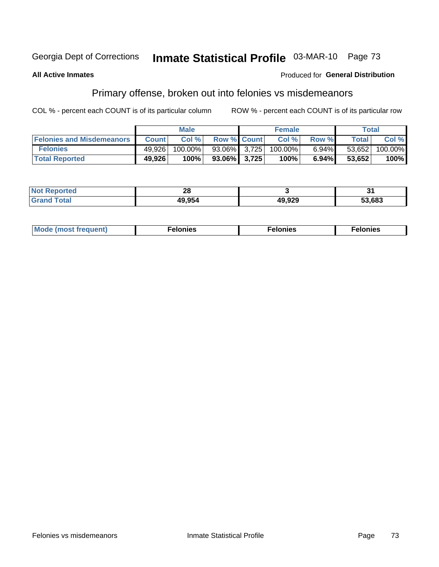#### Inmate Statistical Profile 03-MAR-10 Page 73 Georgia Dept of Corrections

#### **All Active Inmates**

#### **Produced for General Distribution**

## Primary offense, broken out into felonies vs misdemeanors

COL % - percent each COUNT is of its particular column

|                                  |              | <b>Male</b> |                    | <b>Female</b> |          |              | Total   |
|----------------------------------|--------------|-------------|--------------------|---------------|----------|--------------|---------|
| <b>Felonies and Misdemeanors</b> | <b>Count</b> | Col%        | <b>Row % Count</b> | Col %         | Row %    | <b>Total</b> | Col %   |
| <b>Felonies</b>                  | 49,926       | 100.00%     | 93.06% 3.725       | 100.00%       | $6.94\%$ | 53,652       | 100.00% |
| <b>Total Reported</b>            | 49,926       | 100%        | $93.06\%$ 3,725    | 100%          | $6.94\%$ | 53.652       | 100%    |

| <b>Not</b><br><b>ported</b> | റ<br>ZO |                |        |
|-----------------------------|---------|----------------|--------|
| <b>Grand</b>                | 49,954  | 19,929<br>11 W | 53,683 |

| <b>Mode</b><br>frequent)<br>nies<br>≧ (most tr.<br>. | onies<br>. | lonies<br>ею<br>____ |
|------------------------------------------------------|------------|----------------------|
|------------------------------------------------------|------------|----------------------|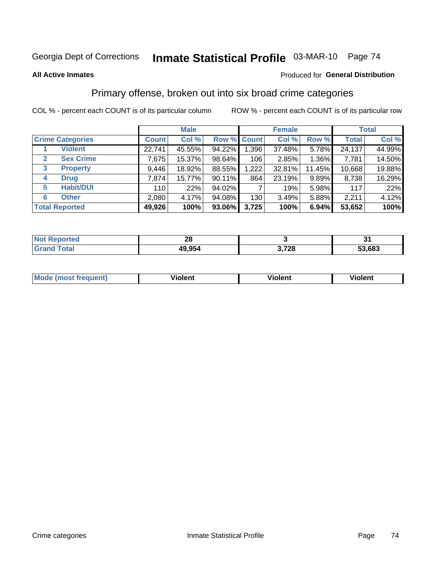# Inmate Statistical Profile 03-MAR-10 Page 74

#### **All Active Inmates**

### Produced for General Distribution

### Primary offense, broken out into six broad crime categories

COL % - percent each COUNT is of its particular column

|                                  |              | <b>Male</b> |        |             | <b>Female</b> |          |              | <b>Total</b> |
|----------------------------------|--------------|-------------|--------|-------------|---------------|----------|--------------|--------------|
| <b>Crime Categories</b>          | <b>Count</b> | Col %       |        | Row % Count | Col %         | Row %    | <b>Total</b> | Col %        |
| <b>Violent</b>                   | 22,741       | 45.55%      | 94.22% | 1,396       | 37.48%        | 5.78%    | 24,137       | 44.99%       |
| <b>Sex Crime</b><br>$\mathbf{2}$ | 7,675        | 15.37%      | 98.64% | 106         | 2.85%         | $1.36\%$ | 7,781        | 14.50%       |
| 3<br><b>Property</b>             | 9,446        | 18.92%      | 88.55% | 1,222       | 32.81%        | 11.45%   | 10,668       | 19.88%       |
| <b>Drug</b><br>4                 | 7,874        | 15.77%      | 90.11% | 864         | 23.19%        | $9.89\%$ | 8,738        | 16.29%       |
| <b>Habit/DUI</b><br>5            | 110          | .22%        | 94.02% |             | $.19\%$       | 5.98%    | 117          | .22%         |
| <b>Other</b><br>6                | 2,080        | 4.17%       | 94.08% | 130         | 3.49%         | 5.88%    | 2,211        | 4.12%        |
| <b>Total Reported</b>            | 49,926       | 100%        | 93.06% | 3,725       | 100%          | 6.94%    | 53,652       | 100%         |

| <b>eported</b><br>NO: | - 6    |       |        |
|-----------------------|--------|-------|--------|
| <b>Total</b>          | 49,954 | 3,728 | 53,683 |

| M | - --<br>1010111 | .<br><b>VIOIGIIL</b> | 1.91311 |
|---|-----------------|----------------------|---------|
|   |                 |                      |         |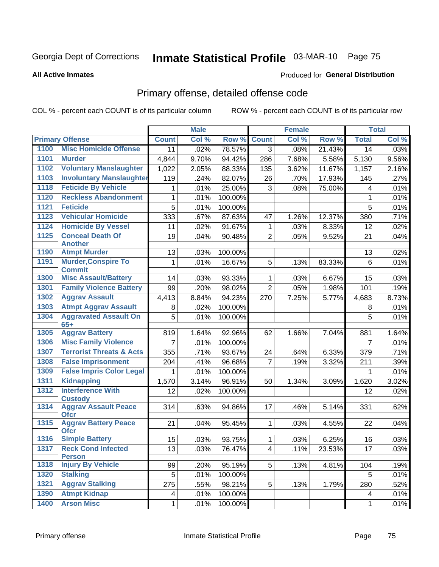# Inmate Statistical Profile 03-MAR-10 Page 75

#### **All Active Inmates**

### **Produced for General Distribution**

# Primary offense, detailed offense code

COL % - percent each COUNT is of its particular column

|              |                                            |              | <b>Male</b> |         |                 | <b>Female</b> |        |                | <b>Total</b> |
|--------------|--------------------------------------------|--------------|-------------|---------|-----------------|---------------|--------|----------------|--------------|
|              | <b>Primary Offense</b>                     | <b>Count</b> | Col %       | Row %   | <b>Count</b>    | Col %         | Row %  | <b>Total</b>   | Col %        |
| 1100         | <b>Misc Homicide Offense</b>               | 11           | .02%        | 78.57%  | $\overline{3}$  | .08%          | 21.43% | 14             | .03%         |
| 1101         | <b>Murder</b>                              | 4,844        | 9.70%       | 94.42%  | 286             | 7.68%         | 5.58%  | 5,130          | 9.56%        |
| 1102         | <b>Voluntary Manslaughter</b>              | 1,022        | 2.05%       | 88.33%  | 135             | 3.62%         | 11.67% | 1,157          | 2.16%        |
| 1103         | <b>Involuntary Manslaughter</b>            | 119          | .24%        | 82.07%  | 26              | .70%          | 17.93% | 145            | .27%         |
| 1118         | <b>Feticide By Vehicle</b>                 | 1            | .01%        | 25.00%  | 3               | .08%          | 75.00% | 4              | .01%         |
| 1120         | <b>Reckless Abandonment</b>                | 1            | .01%        | 100.00% |                 |               |        | 1              | .01%         |
| 1121         | <b>Feticide</b>                            | 5            | .01%        | 100.00% |                 |               |        | 5              | .01%         |
| 1123         | <b>Vehicular Homicide</b>                  | 333          | .67%        | 87.63%  | 47              | 1.26%         | 12.37% | 380            | .71%         |
| 1124         | <b>Homicide By Vessel</b>                  | 11           | .02%        | 91.67%  | 1               | .03%          | 8.33%  | 12             | .02%         |
| 1125         | <b>Conceal Death Of</b>                    | 19           | .04%        | 90.48%  | $\overline{2}$  | .05%          | 9.52%  | 21             | .04%         |
|              | <b>Another</b><br><b>Atmpt Murder</b>      |              |             |         |                 |               |        |                |              |
| 1190<br>1191 | <b>Murder, Conspire To</b>                 | 13           | .03%        | 100.00% |                 |               |        | 13             | .02%         |
|              | <b>Commit</b>                              | 1            | .01%        | 16.67%  | 5               | .13%          | 83.33% | 6              | .01%         |
| 1300         | <b>Misc Assault/Battery</b>                | 14           | .03%        | 93.33%  | 1               | .03%          | 6.67%  | 15             | .03%         |
| 1301         | <b>Family Violence Battery</b>             | 99           | .20%        | 98.02%  | $\overline{2}$  | .05%          | 1.98%  | 101            | .19%         |
| 1302         | <b>Aggrav Assault</b>                      | 4,413        | 8.84%       | 94.23%  | 270             | 7.25%         | 5.77%  | 4,683          | 8.73%        |
| 1303         | <b>Atmpt Aggrav Assault</b>                | 8            | .02%        | 100.00% |                 |               |        | 8              | .01%         |
| 1304         | <b>Aggravated Assault On</b>               | 5            | .01%        | 100.00% |                 |               |        | 5              | .01%         |
|              | $65+$                                      |              |             |         |                 |               |        |                |              |
| 1305         | <b>Aggrav Battery</b>                      | 819          | 1.64%       | 92.96%  | 62              | 1.66%         | 7.04%  | 881            | 1.64%        |
| 1306         | <b>Misc Family Violence</b>                | 7            | .01%        | 100.00% |                 |               |        | $\overline{7}$ | .01%         |
| 1307         | <b>Terrorist Threats &amp; Acts</b>        | 355          | .71%        | 93.67%  | 24              | .64%          | 6.33%  | 379            | .71%         |
| 1308         | <b>False Imprisonment</b>                  | 204          | .41%        | 96.68%  | 7               | .19%          | 3.32%  | 211            | .39%         |
| 1309         | <b>False Impris Color Legal</b>            | 1            | .01%        | 100.00% |                 |               |        | 1              | .01%         |
| 1311         | <b>Kidnapping</b>                          | 1,570        | 3.14%       | 96.91%  | 50              | 1.34%         | 3.09%  | 1,620          | 3.02%        |
| 1312         | <b>Interference With</b><br><b>Custody</b> | 12           | .02%        | 100.00% |                 |               |        | 12             | .02%         |
| 1314         | <b>Aggrav Assault Peace</b><br><b>Ofcr</b> | 314          | .63%        | 94.86%  | 17              | .46%          | 5.14%  | 331            | .62%         |
| 1315         | <b>Aggrav Battery Peace</b><br><b>Ofcr</b> | 21           | .04%        | 95.45%  | $\mathbf{1}$    | .03%          | 4.55%  | 22             | .04%         |
| 1316         | <b>Simple Battery</b>                      | 15           | .03%        | 93.75%  | 1               | .03%          | 6.25%  | 16             | .03%         |
| 1317         | <b>Reck Cond Infected</b><br><b>Person</b> | 13           | .03%        | 76.47%  | $\vert 4 \vert$ | .11%          | 23.53% | 17             | .03%         |
| 1318         | <b>Injury By Vehicle</b>                   | 99           | .20%        | 95.19%  | 5 <sup>1</sup>  | .13%          | 4.81%  | 104            | .19%         |
| 1320         | <b>Stalking</b>                            | 5            | .01%        | 100.00% |                 |               |        | 5              | .01%         |
| 1321         | <b>Aggrav Stalking</b>                     | 275          | .55%        | 98.21%  | 5 <sup>1</sup>  | .13%          | 1.79%  | 280            | .52%         |
| 1390         | <b>Atmpt Kidnap</b>                        | 4            | .01%        | 100.00% |                 |               |        | 4              | .01%         |
| 1400         | <b>Arson Misc</b>                          | 1            | .01%        | 100.00% |                 |               |        | 1              | .01%         |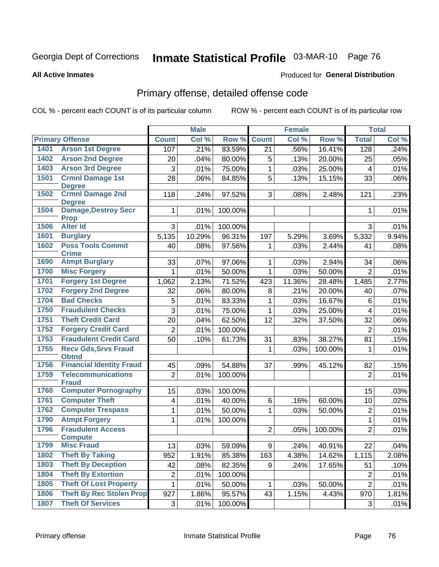# Inmate Statistical Profile 03-MAR-10 Page 76

**Produced for General Distribution** 

#### **All Active Inmates**

# Primary offense, detailed offense code

COL % - percent each COUNT is of its particular column

|      |                                                 |                 | <b>Male</b> |         |                | <b>Female</b> |         |                 | <b>Total</b> |
|------|-------------------------------------------------|-----------------|-------------|---------|----------------|---------------|---------|-----------------|--------------|
|      | <b>Primary Offense</b>                          | <b>Count</b>    | Col %       | Row %   | <b>Count</b>   | Col %         | Row %   | <b>Total</b>    | Col %        |
| 1401 | <b>Arson 1st Degree</b>                         | 107             | .21%        | 83.59%  | 21             | .56%          | 16.41%  | 128             | .24%         |
| 1402 | <b>Arson 2nd Degree</b>                         | 20              | .04%        | 80.00%  | 5              | .13%          | 20.00%  | 25              | .05%         |
| 1403 | <b>Arson 3rd Degree</b>                         | 3               | .01%        | 75.00%  | $\mathbf{1}$   | .03%          | 25.00%  | 4               | .01%         |
| 1501 | <b>Crmnl Damage 1st</b>                         | 28              | .06%        | 84.85%  | 5              | .13%          | 15.15%  | 33              | .06%         |
|      | <b>Degree</b>                                   |                 |             |         |                |               |         |                 |              |
| 1502 | <b>Crmnl Damage 2nd</b><br><b>Degree</b>        | 118             | .24%        | 97.52%  | 3 <sup>1</sup> | .08%          | 2.48%   | 121             | .23%         |
| 1504 | <b>Damage, Destroy Secr</b>                     | $\mathbf{1}$    | .01%        | 100.00% |                |               |         | 1               | .01%         |
|      | <b>Prop</b>                                     |                 |             |         |                |               |         |                 |              |
| 1506 | <b>Alter Id</b>                                 | 3               | .01%        | 100.00% |                |               |         | 3               | .01%         |
| 1601 | <b>Burglary</b>                                 | 5,135           | 10.29%      | 96.31%  | 197            | 5.29%         | 3.69%   | 5,332           | 9.94%        |
| 1602 | <b>Poss Tools Commit</b>                        | 40              | .08%        | 97.56%  | $\mathbf 1$    | .03%          | 2.44%   | 41              | .08%         |
|      | <b>Crime</b>                                    |                 |             |         |                |               |         |                 |              |
| 1690 | <b>Atmpt Burglary</b>                           | 33              | .07%        | 97.06%  | 1              | .03%          | 2.94%   | 34              | .06%         |
| 1700 | <b>Misc Forgery</b>                             | 1               | .01%        | 50.00%  | $\mathbf{1}$   | .03%          | 50.00%  | $\overline{2}$  | .01%         |
| 1701 | <b>Forgery 1st Degree</b>                       | 1,062           | 2.13%       | 71.52%  | 423            | 11.36%        | 28.48%  | 1,485           | 2.77%        |
| 1702 | <b>Forgery 2nd Degree</b>                       | 32              | .06%        | 80.00%  | 8              | .21%          | 20.00%  | 40              | .07%         |
| 1704 | <b>Bad Checks</b>                               | 5               | .01%        | 83.33%  | 1              | .03%          | 16.67%  | 6               | .01%         |
| 1750 | <b>Fraudulent Checks</b>                        | $\overline{3}$  | .01%        | 75.00%  | $\mathbf{1}$   | .03%          | 25.00%  | 4               | .01%         |
| 1751 | <b>Theft Credit Card</b>                        | 20              | .04%        | 62.50%  | 12             | .32%          | 37.50%  | 32              | .06%         |
| 1752 | <b>Forgery Credit Card</b>                      | $\overline{2}$  | .01%        | 100.00% |                |               |         | $\overline{2}$  | .01%         |
| 1753 | <b>Fraudulent Credit Card</b>                   | 50              | .10%        | 61.73%  | 31             | .83%          | 38.27%  | 81              | .15%         |
| 1755 | <b>Recv Gds, Srvs Fraud</b>                     |                 |             |         | 1              | .03%          | 100.00% | 1               | .01%         |
| 1756 | <b>Obtnd</b><br><b>Financial Identity Fraud</b> | 45              | .09%        | 54.88%  | 37             | .99%          | 45.12%  | 82              | .15%         |
| 1759 | <b>Telecommunications</b>                       | $\overline{2}$  | .01%        | 100.00% |                |               |         | $\overline{2}$  | .01%         |
|      | <b>Fraud</b>                                    |                 |             |         |                |               |         |                 |              |
| 1760 | <b>Computer Pornography</b>                     | 15              | .03%        | 100.00% |                |               |         | 15              | .03%         |
| 1761 | <b>Computer Theft</b>                           | 4               | .01%        | 40.00%  | 6              | .16%          | 60.00%  | 10              | .02%         |
| 1762 | <b>Computer Trespass</b>                        | 1               | .01%        | 50.00%  | $\mathbf 1$    | .03%          | 50.00%  | $\overline{2}$  | .01%         |
| 1790 | <b>Atmpt Forgery</b>                            | 1               | .01%        | 100.00% |                |               |         | 1               | .01%         |
| 1796 | <b>Fraudulent Access</b>                        |                 |             |         | $\overline{2}$ | .05%          | 100.00% | $\overline{2}$  | .01%         |
|      | <b>Compute</b>                                  |                 |             |         |                |               |         |                 |              |
| 1799 | <b>Misc Fraud</b>                               | $\overline{13}$ | .03%        | 59.09%  | 9              | .24%          | 40.91%  | $\overline{22}$ | .04%         |
| 1802 | <b>Theft By Taking</b>                          | 952             | 1.91%       | 85.38%  | 163            | 4.38%         | 14.62%  | 1,115           | 2.08%        |
| 1803 | <b>Theft By Deception</b>                       | 42              | .08%        | 82.35%  | 9              | .24%          | 17.65%  | 51              | .10%         |
| 1804 | <b>Theft By Extortion</b>                       | 2               | .01%        | 100.00% |                |               |         | $\overline{2}$  | .01%         |
| 1805 | <b>Theft Of Lost Property</b>                   | 1               | .01%        | 50.00%  | $\mathbf{1}$   | .03%          | 50.00%  | $\overline{2}$  | .01%         |
| 1806 | <b>Theft By Rec Stolen Prop</b>                 | 927             | 1.86%       | 95.57%  | 43             | 1.15%         | 4.43%   | 970             | 1.81%        |
| 1807 | <b>Theft Of Services</b>                        | 3 <sup>1</sup>  | .01%        | 100.00% |                |               |         | 3               | .01%         |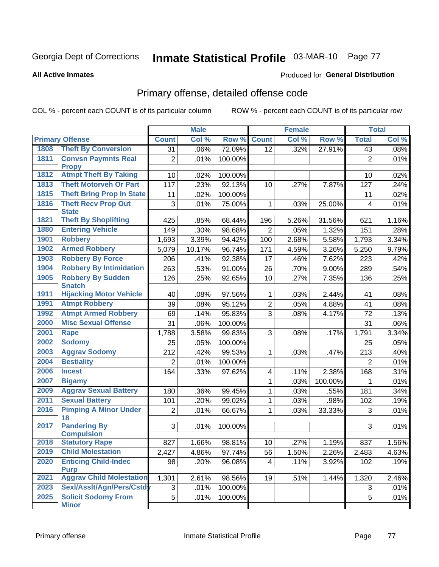# Inmate Statistical Profile 03-MAR-10 Page 77

#### **All Active Inmates**

### **Produced for General Distribution**

# Primary offense, detailed offense code

COL % - percent each COUNT is of its particular column

|      |                                            |                | <b>Male</b> |         |                 | <b>Female</b> |         | <b>Total</b>            |       |
|------|--------------------------------------------|----------------|-------------|---------|-----------------|---------------|---------|-------------------------|-------|
|      | <b>Primary Offense</b>                     | <b>Count</b>   | Col %       | Row %   | <b>Count</b>    | Col %         | Row %   | <b>Total</b>            | Col % |
| 1808 | <b>Theft By Conversion</b>                 | 31             | .06%        | 72.09%  | 12              | .32%          | 27.91%  | 43                      | .08%  |
| 1811 | <b>Convsn Paymnts Real</b><br><b>Propy</b> | $\overline{2}$ | .01%        | 100.00% |                 |               |         | $\overline{2}$          | .01%  |
| 1812 | <b>Atmpt Theft By Taking</b>               | 10             | .02%        | 100.00% |                 |               |         | 10                      | .02%  |
| 1813 | <b>Theft Motorveh Or Part</b>              | 117            | .23%        | 92.13%  | 10              | .27%          | 7.87%   | 127                     | .24%  |
| 1815 | <b>Theft Bring Prop In State</b>           | 11             | .02%        | 100.00% |                 |               |         | 11                      | .02%  |
| 1816 | <b>Theft Recv Prop Out</b><br><b>State</b> | 3              | .01%        | 75.00%  | 1               | .03%          | 25.00%  | $\overline{\mathbf{4}}$ | .01%  |
| 1821 | <b>Theft By Shoplifting</b>                | 425            | .85%        | 68.44%  | 196             | 5.26%         | 31.56%  | 621                     | 1.16% |
| 1880 | <b>Entering Vehicle</b>                    | 149            | .30%        | 98.68%  | $\overline{2}$  | .05%          | 1.32%   | 151                     | .28%  |
| 1901 | <b>Robbery</b>                             | 1,693          | 3.39%       | 94.42%  | 100             | 2.68%         | 5.58%   | 1,793                   | 3.34% |
| 1902 | <b>Armed Robbery</b>                       | 5,079          | 10.17%      | 96.74%  | 171             | 4.59%         | 3.26%   | 5,250                   | 9.79% |
| 1903 | <b>Robbery By Force</b>                    | 206            | .41%        | 92.38%  | 17              | .46%          | 7.62%   | 223                     | .42%  |
| 1904 | <b>Robbery By Intimidation</b>             | 263            | .53%        | 91.00%  | 26              | .70%          | 9.00%   | 289                     | .54%  |
| 1905 | <b>Robbery By Sudden</b><br><b>Snatch</b>  | 126            | .25%        | 92.65%  | 10              | .27%          | 7.35%   | 136                     | .25%  |
| 1911 | <b>Hijacking Motor Vehicle</b>             | 40             | .08%        | 97.56%  | 1               | .03%          | 2.44%   | 41                      | .08%  |
| 1991 | <b>Atmpt Robbery</b>                       | 39             | .08%        | 95.12%  | $\overline{2}$  | .05%          | 4.88%   | 41                      | .08%  |
| 1992 | <b>Atmpt Armed Robbery</b>                 | 69             | .14%        | 95.83%  | 3               | .08%          | 4.17%   | 72                      | .13%  |
| 2000 | <b>Misc Sexual Offense</b>                 | 31             | .06%        | 100.00% |                 |               |         | 31                      | .06%  |
| 2001 | Rape                                       | 1,788          | 3.58%       | 99.83%  | 3               | .08%          | .17%    | 1,791                   | 3.34% |
| 2002 | <b>Sodomy</b>                              | 25             | .05%        | 100.00% |                 |               |         | 25                      | .05%  |
| 2003 | <b>Aggrav Sodomy</b>                       | 212            | .42%        | 99.53%  | 1               | .03%          | .47%    | 213                     | .40%  |
| 2004 | <b>Bestiality</b>                          | $\overline{2}$ | .01%        | 100.00% |                 |               |         | $\overline{2}$          | .01%  |
| 2006 | <b>Incest</b>                              | 164            | .33%        | 97.62%  | 4               | .11%          | 2.38%   | 168                     | .31%  |
| 2007 | <b>Bigamy</b>                              |                |             |         | $\mathbf{1}$    | .03%          | 100.00% | 1                       | .01%  |
| 2009 | <b>Aggrav Sexual Battery</b>               | 180            | .36%        | 99.45%  | 1               | .03%          | .55%    | 181                     | .34%  |
| 2011 | <b>Sexual Battery</b>                      | 101            | .20%        | 99.02%  | 1               | .03%          | .98%    | 102                     | .19%  |
| 2016 | <b>Pimping A Minor Under</b><br>18         | $\overline{2}$ | .01%        | 66.67%  | 1               | .03%          | 33.33%  | 3                       | .01%  |
| 2017 | <b>Pandering By</b><br><b>Compulsion</b>   | 3              | .01%        | 100.00% |                 |               |         | 3                       | .01%  |
| 2018 | <b>Statutory Rape</b>                      | 827            | 1.66%       | 98.81%  | 10 <sup>1</sup> | $.27\%$       | 1.19%   | 837                     | 1.56% |
| 2019 | <b>Child Molestation</b>                   | 2,427          | 4.86%       | 97.74%  | 56              | 1.50%         | 2.26%   | 2,483                   | 4.63% |
| 2020 | <b>Enticing Child-Indec</b><br><b>Purp</b> | 98             | .20%        | 96.08%  | $\overline{4}$  | .11%          | 3.92%   | 102                     | .19%  |
| 2021 | <b>Aggrav Child Molestation</b>            | 1,301          | 2.61%       | 98.56%  | 19              | .51%          | 1.44%   | 1,320                   | 2.46% |
| 2023 | Sexl/Asslt/Agn/Pers/Cstd                   | 3              | .01%        | 100.00% |                 |               |         | 3                       | .01%  |
| 2025 | <b>Solicit Sodomy From</b><br><b>Minor</b> | 5              | .01%        | 100.00% |                 |               |         | 5                       | .01%  |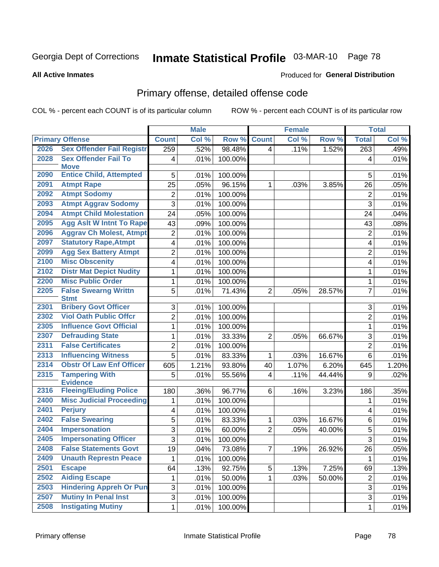# Inmate Statistical Profile 03-MAR-10 Page 78

**Produced for General Distribution** 

#### **All Active Inmates**

# Primary offense, detailed offense code

COL % - percent each COUNT is of its particular column

|      |                                            |                         | <b>Male</b> |         |                | <b>Female</b> |        |                  | <b>Total</b> |
|------|--------------------------------------------|-------------------------|-------------|---------|----------------|---------------|--------|------------------|--------------|
|      | <b>Primary Offense</b>                     | <b>Count</b>            | Col %       | Row %   | <b>Count</b>   | Col %         | Row %  | <b>Total</b>     | Col %        |
| 2026 | <b>Sex Offender Fail Registr</b>           | 259                     | .52%        | 98.48%  | 4              | .11%          | 1.52%  | $\overline{263}$ | .49%         |
| 2028 | <b>Sex Offender Fail To</b><br><b>Move</b> | $\overline{\mathbf{4}}$ | .01%        | 100.00% |                |               |        | 4                | .01%         |
| 2090 | <b>Entice Child, Attempted</b>             | 5                       | .01%        | 100.00% |                |               |        | 5                | .01%         |
| 2091 | <b>Atmpt Rape</b>                          | 25                      | .05%        | 96.15%  | 1              | .03%          | 3.85%  | 26               | .05%         |
| 2092 | <b>Atmpt Sodomy</b>                        | $\overline{2}$          | .01%        | 100.00% |                |               |        | $\overline{2}$   | .01%         |
| 2093 | <b>Atmpt Aggrav Sodomy</b>                 | 3                       | .01%        | 100.00% |                |               |        | 3                | .01%         |
| 2094 | <b>Atmpt Child Molestation</b>             | 24                      | .05%        | 100.00% |                |               |        | 24               | .04%         |
| 2095 | <b>Agg Aslt W Intnt To Rape</b>            | 43                      | .09%        | 100.00% |                |               |        | 43               | .08%         |
| 2096 | <b>Aggrav Ch Molest, Atmpt</b>             | $\overline{2}$          | .01%        | 100.00% |                |               |        | $\overline{2}$   | .01%         |
| 2097 | <b>Statutory Rape, Atmpt</b>               | $\overline{\mathbf{4}}$ | .01%        | 100.00% |                |               |        | 4                | .01%         |
| 2099 | <b>Agg Sex Battery Atmpt</b>               | $\overline{2}$          | .01%        | 100.00% |                |               |        | $\overline{2}$   | .01%         |
| 2100 | <b>Misc Obscenity</b>                      | 4                       | .01%        | 100.00% |                |               |        | 4                | .01%         |
| 2102 | <b>Distr Mat Depict Nudity</b>             | 1                       | .01%        | 100.00% |                |               |        | 1                | .01%         |
| 2200 | <b>Misc Public Order</b>                   | $\mathbf{1}$            | .01%        | 100.00% |                |               |        | 1                | .01%         |
| 2205 | <b>False Swearng Writtn</b><br><b>Stmt</b> | 5                       | .01%        | 71.43%  | $\overline{2}$ | .05%          | 28.57% | $\overline{7}$   | .01%         |
| 2301 | <b>Bribery Govt Officer</b>                | 3                       | .01%        | 100.00% |                |               |        | 3                | .01%         |
| 2302 | <b>Viol Oath Public Offcr</b>              | $\overline{2}$          | .01%        | 100.00% |                |               |        | $\overline{2}$   | .01%         |
| 2305 | <b>Influence Govt Official</b>             | $\mathbf{1}$            | .01%        | 100.00% |                |               |        | $\mathbf{1}$     | .01%         |
| 2307 | <b>Defrauding State</b>                    | $\mathbf{1}$            | .01%        | 33.33%  | $\overline{2}$ | .05%          | 66.67% | 3                | .01%         |
| 2311 | <b>False Certificates</b>                  | $\overline{2}$          | .01%        | 100.00% |                |               |        | $\overline{2}$   | .01%         |
| 2313 | <b>Influencing Witness</b>                 | $\overline{5}$          | .01%        | 83.33%  | 1              | .03%          | 16.67% | 6                | .01%         |
| 2314 | <b>Obstr Of Law Enf Officer</b>            | 605                     | 1.21%       | 93.80%  | 40             | 1.07%         | 6.20%  | 645              | 1.20%        |
| 2315 | <b>Tampering With</b><br><b>Evidence</b>   | 5                       | .01%        | 55.56%  | 4              | .11%          | 44.44% | 9                | .02%         |
| 2316 | <b>Fleeing/Eluding Police</b>              | 180                     | .36%        | 96.77%  | 6              | .16%          | 3.23%  | 186              | .35%         |
| 2400 | <b>Misc Judicial Proceeding</b>            | 1                       | .01%        | 100.00% |                |               |        | 1                | .01%         |
| 2401 | <b>Perjury</b>                             | $\overline{\mathbf{4}}$ | .01%        | 100.00% |                |               |        | 4                | .01%         |
| 2402 | <b>False Swearing</b>                      | 5                       | .01%        | 83.33%  | $\mathbf 1$    | .03%          | 16.67% | 6                | .01%         |
| 2404 | <b>Impersonation</b>                       | $\overline{3}$          | .01%        | 60.00%  | $\overline{2}$ | .05%          | 40.00% | 5                | .01%         |
| 2405 | <b>Impersonating Officer</b>               | $\overline{3}$          | .01%        | 100.00% |                |               |        | $\overline{3}$   | .01%         |
| 2408 | <b>False Statements Govt</b>               | 19                      | .04%        | 73.08%  | 7              | .19%          | 26.92% | 26               | .05%         |
| 2409 | <b>Unauth Represtn Peace</b>               | 1                       | .01%        | 100.00% |                |               |        | 1                | .01%         |
| 2501 | <b>Escape</b>                              | 64                      | .13%        | 92.75%  | 5              | .13%          | 7.25%  | 69               | .13%         |
| 2502 | <b>Aiding Escape</b>                       | 1                       | .01%        | 50.00%  | $\mathbf{1}$   | .03%          | 50.00% | $\boldsymbol{2}$ | .01%         |
| 2503 | <b>Hindering Appreh Or Pun</b>             | 3                       | .01%        | 100.00% |                |               |        | 3                | .01%         |
| 2507 | <b>Mutiny In Penal Inst</b>                | $\overline{\omega}$     | .01%        | 100.00% |                |               |        | 3                | .01%         |
| 2508 | <b>Instigating Mutiny</b>                  | $\mathbf{1}$            | .01%        | 100.00% |                |               |        | 1                | .01%         |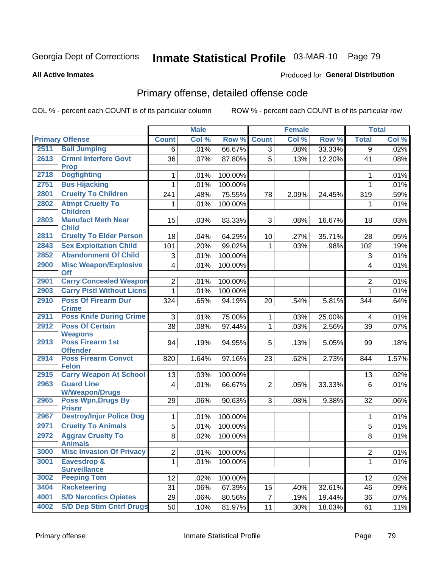# Inmate Statistical Profile 03-MAR-10 Page 79

**Produced for General Distribution** 

#### **All Active Inmates**

# Primary offense, detailed offense code

COL % - percent each COUNT is of its particular column

|      |                                                     |                 | <b>Male</b> |         |                | <b>Female</b> |        |                | <b>Total</b> |
|------|-----------------------------------------------------|-----------------|-------------|---------|----------------|---------------|--------|----------------|--------------|
|      | <b>Primary Offense</b>                              | <b>Count</b>    | Col %       | Row %   | <b>Count</b>   | Col %         | Row %  | <b>Total</b>   | Col %        |
| 2511 | <b>Bail Jumping</b>                                 | 6               | .01%        | 66.67%  | 3 <sup>1</sup> | .08%          | 33.33% | 9              | .02%         |
| 2613 | <b>Crmnl Interfere Govt</b><br><b>Prop</b>          | 36              | .07%        | 87.80%  | $\overline{5}$ | .13%          | 12.20% | 41             | .08%         |
| 2718 | <b>Dogfighting</b>                                  | 1               | .01%        | 100.00% |                |               |        | 1              | .01%         |
| 2751 | <b>Bus Hijacking</b>                                | 1               | .01%        | 100.00% |                |               |        | $\mathbf{1}$   | .01%         |
| 2801 | <b>Cruelty To Children</b>                          | 241             | .48%        | 75.55%  | 78             | 2.09%         | 24.45% | 319            | .59%         |
| 2802 | <b>Atmpt Cruelty To</b>                             | 1               | .01%        | 100.00% |                |               |        | 1              | .01%         |
|      | <b>Children</b>                                     |                 |             |         |                |               |        |                |              |
| 2803 | <b>Manufact Meth Near</b><br><b>Child</b>           | 15              | .03%        | 83.33%  | 3 <sup>1</sup> | .08%          | 16.67% | 18             | .03%         |
| 2811 | <b>Cruelty To Elder Person</b>                      | 18              | .04%        | 64.29%  | 10             | .27%          | 35.71% | 28             | .05%         |
| 2843 | <b>Sex Exploitation Child</b>                       | 101             | .20%        | 99.02%  | 1              | .03%          | .98%   | 102            | .19%         |
| 2852 | <b>Abandonment Of Child</b>                         | 3               | .01%        | 100.00% |                |               |        | 3              | .01%         |
| 2900 | <b>Misc Weapon/Explosive</b>                        | 4               | .01%        | 100.00% |                |               |        | 4              | .01%         |
|      | <b>Off</b>                                          |                 |             |         |                |               |        |                |              |
| 2901 | <b>Carry Concealed Weapon</b>                       | $\overline{2}$  | .01%        | 100.00% |                |               |        | $\overline{2}$ | .01%         |
| 2903 | <b>Carry Pistl Without Licns</b>                    | 1               | .01%        | 100.00% |                |               |        | $\mathbf{1}$   | .01%         |
| 2910 | <b>Poss Of Firearm Dur</b>                          | 324             | .65%        | 94.19%  | 20             | .54%          | 5.81%  | 344            | .64%         |
| 2911 | <b>Crime</b><br><b>Poss Knife During Crime</b>      | 3               | .01%        | 75.00%  | $\mathbf{1}$   | .03%          | 25.00% | $\overline{4}$ | .01%         |
| 2912 | <b>Poss Of Certain</b>                              | $\overline{38}$ | .08%        | 97.44%  | $\mathbf 1$    | .03%          | 2.56%  | 39             | .07%         |
|      | <b>Weapons</b>                                      |                 |             |         |                |               |        |                |              |
| 2913 | Poss Firearm 1st                                    | 94              | .19%        | 94.95%  | 5              | .13%          | 5.05%  | 99             | .18%         |
|      | <b>Offender</b>                                     |                 |             |         |                |               |        |                |              |
| 2914 | <b>Poss Firearm Convct</b><br><b>Felon</b>          | 820             | 1.64%       | 97.16%  | 23             | .62%          | 2.73%  | 844            | 1.57%        |
| 2915 | <b>Carry Weapon At School</b>                       | 13              | .03%        | 100.00% |                |               |        | 13             | .02%         |
| 2963 | <b>Guard Line</b>                                   | 4               | .01%        | 66.67%  | $\overline{2}$ | .05%          | 33.33% | $6\phantom{1}$ | .01%         |
|      | <b>W/Weapon/Drugs</b>                               |                 |             |         |                |               |        |                |              |
| 2965 | <b>Poss Wpn, Drugs By</b>                           | 29              | .06%        | 90.63%  | 3 <sup>1</sup> | .08%          | 9.38%  | 32             | .06%         |
| 2967 | <b>Prisnr</b><br><b>Destroy/Injur Police Dog</b>    | 1               | .01%        | 100.00% |                |               |        | 1              | .01%         |
| 2971 | <b>Cruelty To Animals</b>                           | 5               | .01%        | 100.00% |                |               |        | $\sqrt{5}$     | .01%         |
| 2972 | <b>Aggrav Cruelty To</b>                            | 8               | .02%        | 100.00% |                |               |        | 8              | .01%         |
|      | <b>Animals</b>                                      |                 |             |         |                |               |        |                |              |
| 3000 | <b>Misc Invasion Of Privacy</b>                     | $\overline{2}$  | .01%        | 100.00% |                |               |        | $\overline{2}$ | .01%         |
| 3001 | <b>Eavesdrop &amp;</b>                              | 1               | .01%        | 100.00% |                |               |        | $\mathbf 1$    | .01%         |
|      | <b>Surveillance</b>                                 |                 |             |         |                |               |        |                |              |
| 3002 | <b>Peeping Tom</b>                                  | 12              | .02%        | 100.00% |                |               |        | 12             | .02%         |
| 3404 | <b>Racketeering</b><br><b>S/D Narcotics Opiates</b> | 31              | .06%        | 67.39%  | 15             | .40%          | 32.61% | 46             | .09%         |
| 4001 |                                                     | 29              | .06%        | 80.56%  | $\overline{7}$ | .19%          | 19.44% | 36             | .07%         |
| 4002 | <b>S/D Dep Stim Cntrf Drugs</b>                     | 50              | .10%        | 81.97%  | 11             | .30%          | 18.03% | 61             | .11%         |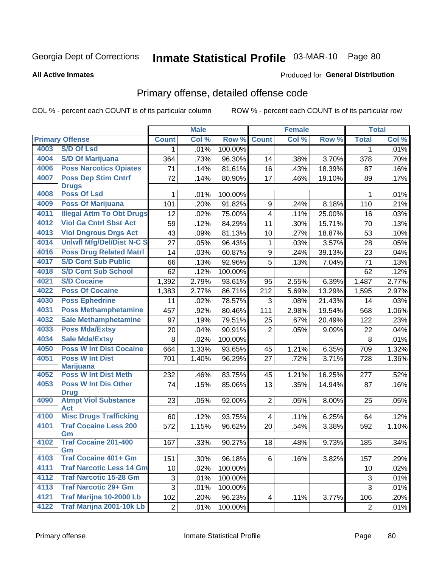# Inmate Statistical Profile 03-MAR-10 Page 80

#### **All Active Inmates**

### **Produced for General Distribution**

# Primary offense, detailed offense code

COL % - percent each COUNT is of its particular column

|      |                                            |                | <b>Male</b> |         |                         | <b>Female</b>       |        |              | <b>Total</b> |
|------|--------------------------------------------|----------------|-------------|---------|-------------------------|---------------------|--------|--------------|--------------|
|      | <b>Primary Offense</b>                     | <b>Count</b>   | Col %       | Row %   | <b>Count</b>            | Col %               | Row %  | <b>Total</b> | Col %        |
| 4003 | <b>S/D Of Lsd</b>                          | $\mathbf 1$    | .01%        | 100.00% |                         |                     |        | 1            | .01%         |
| 4004 | <b>S/D Of Marijuana</b>                    | 364            | .73%        | 96.30%  | 14                      | .38%                | 3.70%  | 378          | .70%         |
| 4006 | <b>Poss Narcotics Opiates</b>              | 71             | .14%        | 81.61%  | 16                      | .43%                | 18.39% | 87           | .16%         |
| 4007 | <b>Poss Dep Stim Cntrf</b>                 | 72             | .14%        | 80.90%  | 17                      | .46%                | 19.10% | 89           | .17%         |
|      | <b>Drugs</b>                               |                |             |         |                         |                     |        |              |              |
| 4008 | <b>Poss Of Lsd</b>                         | 1              | .01%        | 100.00% |                         |                     |        | 1            | .01%         |
| 4009 | <b>Poss Of Marijuana</b>                   | 101            | .20%        | 91.82%  | 9                       | .24%                | 8.18%  | 110          | .21%         |
| 4011 | <b>Illegal Attm To Obt Drugs</b>           | 12             | .02%        | 75.00%  | $\overline{\mathbf{4}}$ | .11%                | 25.00% | 16           | .03%         |
| 4012 | <b>Viol Ga Cntrl Sbst Act</b>              | 59             | .12%        | 84.29%  | 11                      | .30%                | 15.71% | 70           | .13%         |
| 4013 | <b>Viol Dngrous Drgs Act</b>               | 43             | .09%        | 81.13%  | 10                      | .27%                | 18.87% | 53           | .10%         |
| 4014 | <b>Uniwfl Mfg/Del/Dist N-C S</b>           | 27             | .05%        | 96.43%  | 1                       | .03%                | 3.57%  | 28           | .05%         |
| 4016 | <b>Poss Drug Related Matri</b>             | 14             | .03%        | 60.87%  | 9                       | .24%                | 39.13% | 23           | .04%         |
| 4017 | <b>S/D Cont Sub Public</b>                 | 66             | .13%        | 92.96%  | 5                       | .13%                | 7.04%  | 71           | .13%         |
| 4018 | <b>S/D Cont Sub School</b>                 | 62             | .12%        | 100.00% |                         |                     |        | 62           | .12%         |
| 4021 | <b>S/D Cocaine</b>                         | 1,392          | 2.79%       | 93.61%  | 95                      | 2.55%               | 6.39%  | 1,487        | 2.77%        |
| 4022 | <b>Poss Of Cocaine</b>                     | 1,383          | 2.77%       | 86.71%  | 212                     | 5.69%               | 13.29% | 1,595        | 2.97%        |
| 4030 | <b>Poss Ephedrine</b>                      | 11             | .02%        | 78.57%  | 3                       | .08%                | 21.43% | 14           | .03%         |
| 4031 | <b>Poss Methamphetamine</b>                | 457            | .92%        | 80.46%  | 111                     | 2.98%               | 19.54% | 568          | 1.06%        |
| 4032 | <b>Sale Methamphetamine</b>                | 97             | .19%        | 79.51%  | 25                      | .67%                | 20.49% | 122          | .23%         |
| 4033 | <b>Poss Mda/Extsy</b>                      | 20             | .04%        | 90.91%  | $\overline{2}$          | .05%                | 9.09%  | 22           | .04%         |
| 4034 | <b>Sale Mda/Extsy</b>                      | 8              | .02%        | 100.00% |                         |                     |        | 8            | .01%         |
| 4050 | <b>Poss W Int Dist Cocaine</b>             | 664            | 1.33%       | 93.65%  | 45                      | 1.21%               | 6.35%  | 709          | 1.32%        |
| 4051 | <b>Poss W Int Dist</b>                     | 701            | 1.40%       | 96.29%  | 27                      | .72%                | 3.71%  | 728          | 1.36%        |
|      | <b>Marijuana</b>                           |                |             |         |                         |                     |        |              |              |
| 4052 | <b>Poss W Int Dist Meth</b>                | 232            | .46%        | 83.75%  | 45                      | $\overline{1.21\%}$ | 16.25% | 277          | .52%         |
| 4053 | <b>Poss W Int Dis Other</b>                | 74             | .15%        | 85.06%  | 13                      | .35%                | 14.94% | 87           | .16%         |
| 4090 | <b>Drug</b><br><b>Atmpt Viol Substance</b> | 23             | .05%        | 92.00%  | 2                       | .05%                | 8.00%  | 25           | .05%         |
|      | <b>Act</b>                                 |                |             |         |                         |                     |        |              |              |
| 4100 | <b>Misc Drugs Trafficking</b>              | 60             | .12%        | 93.75%  | 4                       | .11%                | 6.25%  | 64           | .12%         |
| 4101 | <b>Traf Cocaine Less 200</b><br>Gm         | 572            | 1.15%       | 96.62%  | 20                      | .54%                | 3.38%  | 592          | 1.10%        |
| 4102 | <b>Traf Cocaine 201-400</b>                | 167            | .33%        | 90.27%  | 18                      | .48%                | 9.73%  | 185          | .34%         |
|      | Gm                                         |                |             |         |                         |                     |        |              |              |
| 4103 | <b>Traf Cocaine 401+ Gm</b>                | 151            | .30%        | 96.18%  | 6                       | .16%                | 3.82%  | 157          | .29%         |
| 4111 | <b>Traf Narcotic Less 14 Gm</b>            | 10             | .02%        | 100.00% |                         |                     |        | 10           | .02%         |
| 4112 | <b>Traf Narcotic 15-28 Gm</b>              | 3              | .01%        | 100.00% |                         |                     |        | 3            | .01%         |
| 4113 | <b>Traf Narcotic 29+ Gm</b>                | 3              | .01%        | 100.00% |                         |                     |        | 3            | .01%         |
| 4121 | Traf Marijna 10-2000 Lb                    | 102            | .20%        | 96.23%  | 4                       | .11%                | 3.77%  | 106          | .20%         |
| 4122 | Traf Marijna 2001-10k Lb                   | $\overline{2}$ | .01%        | 100.00% |                         |                     |        | $\mathbf{2}$ | .01%         |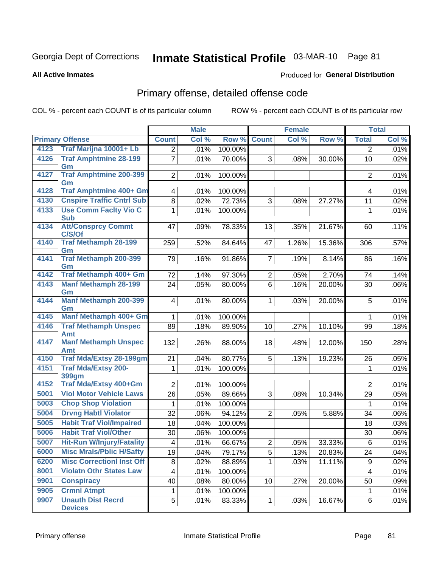# Inmate Statistical Profile 03-MAR-10 Page 81

**Produced for General Distribution** 

#### **All Active Inmates**

Primary offense, detailed offense code

COL % - percent each COUNT is of its particular column

|      |                                            |                         | <b>Male</b> |         | <b>Female</b>  |       | <b>Total</b> |                |         |
|------|--------------------------------------------|-------------------------|-------------|---------|----------------|-------|--------------|----------------|---------|
|      | <b>Primary Offense</b>                     | <b>Count</b>            | Col %       | Row %   | <b>Count</b>   | Col % | Row %        | <b>Total</b>   | Col %   |
| 4123 | Traf Marijna 10001+ Lb                     | 2 <sup>1</sup>          | .01%        | 100.00% |                |       |              | $\overline{2}$ | .01%    |
| 4126 | <b>Traf Amphtmine 28-199</b><br>Gm         | $\overline{7}$          | .01%        | 70.00%  | 3              | .08%  | 30.00%       | 10             | .02%    |
| 4127 | <b>Traf Amphtmine 200-399</b><br>Gm        | 2                       | .01%        | 100.00% |                |       |              | $\overline{2}$ | .01%    |
| 4128 | Traf Amphtmine 400+ Gm                     | 4                       | .01%        | 100.00% |                |       |              | 4              | .01%    |
| 4130 | <b>Cnspire Traffic Cntrl Sub</b>           | 8                       | .02%        | 72.73%  | 3              | .08%  | 27.27%       | 11             | .02%    |
| 4133 | <b>Use Comm Facity Vio C</b><br><b>Sub</b> | 1                       | .01%        | 100.00% |                |       |              | 1              | .01%    |
| 4134 | <b>Att/Consprcy Commt</b><br>C/S/Of        | 47                      | .09%        | 78.33%  | 13             | .35%  | 21.67%       | 60             | .11%    |
| 4140 | <b>Traf Methamph 28-199</b><br>Gm          | 259                     | .52%        | 84.64%  | 47             | 1.26% | 15.36%       | 306            | .57%    |
| 4141 | <b>Traf Methamph 200-399</b><br>Gm         | 79                      | .16%        | 91.86%  | $\overline{7}$ | .19%  | 8.14%        | 86             | .16%    |
| 4142 | Traf Methamph 400+ Gm                      | 72                      | .14%        | 97.30%  | $\mathbf{2}$   | .05%  | 2.70%        | 74             | .14%    |
| 4143 | <b>Manf Methamph 28-199</b><br>Gm          | 24                      | .05%        | 80.00%  | $6\phantom{a}$ | .16%  | 20.00%       | 30             | .06%    |
| 4144 | Manf Methamph 200-399<br>Gm                | 4 <sup>1</sup>          | .01%        | 80.00%  | 1.             | .03%  | 20.00%       | 5              | .01%    |
| 4145 | Manf Methamph 400+ Gm                      | $\mathbf{1}$            | .01%        | 100.00% |                |       |              | $\mathbf 1$    | .01%    |
| 4146 | <b>Traf Methamph Unspec</b><br><b>Amt</b>  | 89                      | .18%        | 89.90%  | 10             | .27%  | 10.10%       | 99             | .18%    |
| 4147 | <b>Manf Methamph Unspec</b><br><b>Amt</b>  | 132                     | .26%        | 88.00%  | 18             | .48%  | 12.00%       | 150            | .28%    |
| 4150 | <b>Traf Mda/Extsy 28-199gm</b>             | 21                      | .04%        | 80.77%  | 5              | .13%  | 19.23%       | 26             | .05%    |
| 4151 | <b>Traf Mda/Extsy 200-</b><br><b>399gm</b> | $\mathbf{1}$            | .01%        | 100.00% |                |       |              | 1              | .01%    |
| 4152 | Traf Mda/Extsy 400+Gm                      | $\overline{2}$          | .01%        | 100.00% |                |       |              | $\overline{2}$ | .01%    |
| 5001 | <b>Viol Motor Vehicle Laws</b>             | 26                      | .05%        | 89.66%  | 3              | .08%  | 10.34%       | 29             | .05%    |
| 5003 | <b>Chop Shop Violation</b>                 | $\mathbf{1}$            | .01%        | 100.00% |                |       |              | 1              | .01%    |
| 5004 | <b>Drvng Habtl Violator</b>                | 32                      | .06%        | 94.12%  | $\overline{2}$ | .05%  | 5.88%        | 34             | $.06\%$ |
| 5005 | <b>Habit Traf Viol/Impaired</b>            | 18                      | .04%        | 100.00% |                |       |              | 18             | .03%    |
| 5006 | <b>Habit Traf Viol/Other</b>               | 30                      | .06%        | 100.00% |                |       |              | 30             | $.06\%$ |
| 5007 | <b>Hit-Run W/Injury/Fatality</b>           | 4                       | .01%        | 66.67%  | $\overline{2}$ | .05%  | 33.33%       | 6              | .01%    |
| 6000 | <b>Misc Mrals/Pblic H/Safty</b>            | 19                      | .04%        | 79.17%  | 5              | .13%  | 20.83%       | 24             | .04%    |
| 6200 | <b>Misc Correctionl Inst Off</b>           | 8                       | .02%        | 88.89%  | 1              | .03%  | 11.11%       | 9              | .02%    |
| 8001 | <b>Violatn Othr States Law</b>             | $\overline{\mathbf{4}}$ | .01%        | 100.00% |                |       |              | $\overline{4}$ | .01%    |
| 9901 | <b>Conspiracy</b>                          | 40                      | .08%        | 80.00%  | 10             | .27%  | 20.00%       | 50             | .09%    |
| 9905 | <b>Crmnl Atmpt</b>                         | 1                       | .01%        | 100.00% |                |       |              | 1              | .01%    |
| 9907 | <b>Unauth Dist Recrd</b><br><b>Devices</b> | 5 <sup>1</sup>          | .01%        | 83.33%  | 1              | .03%  | 16.67%       | 6              | .01%    |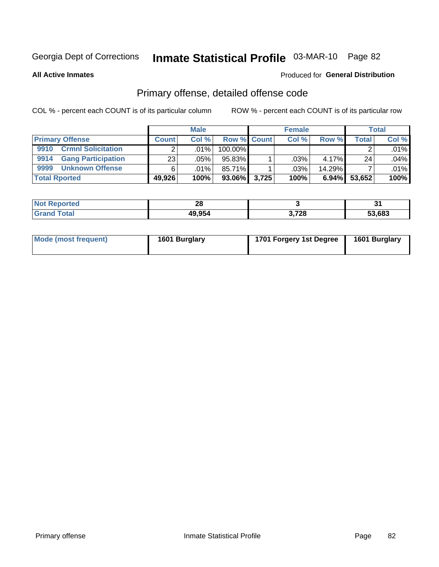# Inmate Statistical Profile 03-MAR-10 Page 82

**All Active Inmates** 

### **Produced for General Distribution**

# Primary offense, detailed offense code

COL % - percent each COUNT is of its particular column

|                                   |              | <b>Male</b> |                    |       | <b>Female</b> |           |        | <b>Total</b> |
|-----------------------------------|--------------|-------------|--------------------|-------|---------------|-----------|--------|--------------|
| <b>Primary Offense</b>            | <b>Count</b> | Col%        | <b>Row % Count</b> |       | Col %         | Row %     | Total  | Col %        |
| <b>Crmnl Solicitation</b><br>9910 |              | ا %01.      | 100.00%            |       |               |           |        | .01%         |
| <b>Gang Participation</b><br>9914 | 23           | .05%        | 95.83%             |       | .03%          | 4.17%     | 24     | .04%         |
| 9999<br><b>Unknown Offense</b>    |              | $.01\%$     | 85.71%             |       | .03%          | $14.29\%$ |        | .01%         |
| <b>Total Rported</b>              | 49,926       | 100%        | $93.06\%$          | 3.725 | 100%          | $6.94\%$  | 53,652 | 100%         |

| ported      | n.<br>ZO |       | $\mathbf{v}$ |
|-------------|----------|-------|--------------|
| <b>otal</b> | 49.954   | 3,728 | 53.683       |

| Mode (most frequent) | 1601 Burglary | 1701 Forgery 1st Degree | 1601 Burglary |
|----------------------|---------------|-------------------------|---------------|
|----------------------|---------------|-------------------------|---------------|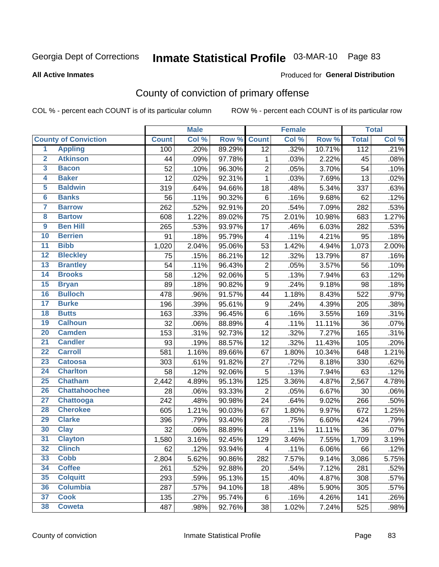# Inmate Statistical Profile 03-MAR-10 Page 83

#### **All Active Inmates**

### Produced for General Distribution

# County of conviction of primary offense

COL % - percent each COUNT is of its particular column

|                         |                             |              | <b>Male</b> |        |                  | <b>Female</b> |        |                  | <b>Total</b> |
|-------------------------|-----------------------------|--------------|-------------|--------|------------------|---------------|--------|------------------|--------------|
|                         | <b>County of Conviction</b> | <b>Count</b> | Col %       | Row %  | <b>Count</b>     | Col %         | Row %  | <b>Total</b>     | Col %        |
| $\overline{1}$          | <b>Appling</b>              | 100          | .20%        | 89.29% | $\overline{12}$  | .32%          | 10.71% | $\overline{112}$ | .21%         |
| $\overline{2}$          | <b>Atkinson</b>             | 44           | .09%        | 97.78% | 1                | .03%          | 2.22%  | 45               | .08%         |
| $\overline{\mathbf{3}}$ | <b>Bacon</b>                | 52           | .10%        | 96.30% | $\overline{2}$   | .05%          | 3.70%  | 54               | .10%         |
| 4                       | <b>Baker</b>                | 12           | .02%        | 92.31% | $\mathbf{1}$     | .03%          | 7.69%  | 13               | .02%         |
| 5                       | <b>Baldwin</b>              | 319          | .64%        | 94.66% | 18               | .48%          | 5.34%  | 337              | .63%         |
| $6\overline{6}$         | <b>Banks</b>                | 56           | .11%        | 90.32% | 6                | .16%          | 9.68%  | 62               | .12%         |
| 7                       | <b>Barrow</b>               | 262          | .52%        | 92.91% | 20               | .54%          | 7.09%  | 282              | .53%         |
| 8                       | <b>Bartow</b>               | 608          | 1.22%       | 89.02% | 75               | 2.01%         | 10.98% | 683              | 1.27%        |
| $\overline{9}$          | <b>Ben Hill</b>             | 265          | .53%        | 93.97% | 17               | .46%          | 6.03%  | 282              | .53%         |
| 10                      | <b>Berrien</b>              | 91           | .18%        | 95.79% | 4                | .11%          | 4.21%  | 95               | .18%         |
| $\overline{11}$         | <b>Bibb</b>                 | 1,020        | 2.04%       | 95.06% | 53               | 1.42%         | 4.94%  | 1,073            | 2.00%        |
| $\overline{12}$         | <b>Bleckley</b>             | 75           | .15%        | 86.21% | 12               | .32%          | 13.79% | 87               | .16%         |
| 13                      | <b>Brantley</b>             | 54           | .11%        | 96.43% | $\boldsymbol{2}$ | .05%          | 3.57%  | 56               | .10%         |
| $\overline{14}$         | <b>Brooks</b>               | 58           | .12%        | 92.06% | $\overline{5}$   | .13%          | 7.94%  | 63               | .12%         |
| $\overline{15}$         | <b>Bryan</b>                | 89           | .18%        | 90.82% | 9                | .24%          | 9.18%  | 98               | .18%         |
| 16                      | <b>Bulloch</b>              | 478          | .96%        | 91.57% | 44               | 1.18%         | 8.43%  | 522              | .97%         |
| $\overline{17}$         | <b>Burke</b>                | 196          | .39%        | 95.61% | 9                | .24%          | 4.39%  | 205              | .38%         |
| 18                      | <b>Butts</b>                | 163          | .33%        | 96.45% | 6                | .16%          | 3.55%  | 169              | .31%         |
| 19                      | <b>Calhoun</b>              | 32           | .06%        | 88.89% | 4                | .11%          | 11.11% | 36               | .07%         |
| 20                      | <b>Camden</b>               | 153          | .31%        | 92.73% | 12               | .32%          | 7.27%  | 165              | .31%         |
| $\overline{21}$         | <b>Candler</b>              | 93           | .19%        | 88.57% | 12               | .32%          | 11.43% | 105              | .20%         |
| $\overline{22}$         | <b>Carroll</b>              | 581          | 1.16%       | 89.66% | 67               | 1.80%         | 10.34% | 648              | 1.21%        |
| $\overline{23}$         | <b>Catoosa</b>              | 303          | .61%        | 91.82% | 27               | .72%          | 8.18%  | 330              | .62%         |
| 24                      | <b>Charlton</b>             | 58           | .12%        | 92.06% | $\sqrt{5}$       | .13%          | 7.94%  | 63               | .12%         |
| 25                      | <b>Chatham</b>              | 2,442        | 4.89%       | 95.13% | 125              | 3.36%         | 4.87%  | 2,567            | 4.78%        |
| 26                      | <b>Chattahoochee</b>        | 28           | .06%        | 93.33% | $\overline{2}$   | .05%          | 6.67%  | 30               | .06%         |
| $\overline{27}$         | <b>Chattooga</b>            | 242          | .48%        | 90.98% | 24               | .64%          | 9.02%  | 266              | .50%         |
| 28                      | <b>Cherokee</b>             | 605          | 1.21%       | 90.03% | 67               | 1.80%         | 9.97%  | 672              | 1.25%        |
| 29                      | <b>Clarke</b>               | 396          | .79%        | 93.40% | 28               | .75%          | 6.60%  | 424              | .79%         |
| 30                      | <b>Clay</b>                 | 32           | .06%        | 88.89% | 4                | .11%          | 11.11% | 36               | .07%         |
| $\overline{31}$         | <b>Clayton</b>              | 1,580        | 3.16%       | 92.45% | 129              | 3.46%         | 7.55%  | 1,709            | 3.19%        |
| 32                      | <b>Clinch</b>               | 62           | .12%        | 93.94% | 4                | .11%          | 6.06%  | 66               | .12%         |
| 33                      | Cobb                        | 2,804        | 5.62%       | 90.86% | 282              | 7.57%         | 9.14%  | 3,086            | 5.75%        |
| 34                      | <b>Coffee</b>               | 261          | .52%        | 92.88% | 20               | .54%          | 7.12%  | 281              | .52%         |
| 35                      | <b>Colquitt</b>             | 293          | .59%        | 95.13% | 15               | .40%          | 4.87%  | 308              | .57%         |
| 36                      | <b>Columbia</b>             | 287          | .57%        | 94.10% | 18               | .48%          | 5.90%  | 305              | .57%         |
| 37                      | <b>Cook</b>                 | 135          | .27%        | 95.74% | $\,6\,$          | .16%          | 4.26%  | 141              | .26%         |
| 38                      | <b>Coweta</b>               | 487          | .98%        | 92.76% | 38               | 1.02%         | 7.24%  | 525              | .98%         |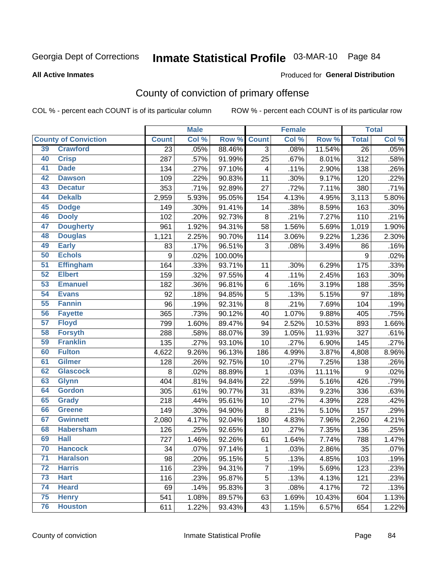# Inmate Statistical Profile 03-MAR-10 Page 84

#### **All Active Inmates**

### **Produced for General Distribution**

# County of conviction of primary offense

COL % - percent each COUNT is of its particular column

|                 |                             |                 | <b>Male</b> |         |                | <b>Female</b> |        |                    | <b>Total</b> |
|-----------------|-----------------------------|-----------------|-------------|---------|----------------|---------------|--------|--------------------|--------------|
|                 | <b>County of Conviction</b> | <b>Count</b>    | Col %       | Row %   | <b>Count</b>   | Col %         | Row %  | <b>Total</b>       | Col %        |
| 39              | <b>Crawford</b>             | $\overline{23}$ | .05%        | 88.46%  | 3              | .08%          | 11.54% | $\overline{26}$    | .05%         |
| 40              | <b>Crisp</b>                | 287             | .57%        | 91.99%  | 25             | .67%          | 8.01%  | 312                | .58%         |
| 41              | <b>Dade</b>                 | 134             | .27%        | 97.10%  | 4              | .11%          | 2.90%  | 138                | .26%         |
| 42              | <b>Dawson</b>               | 109             | .22%        | 90.83%  | 11             | .30%          | 9.17%  | 120                | .22%         |
| 43              | <b>Decatur</b>              | 353             | .71%        | 92.89%  | 27             | .72%          | 7.11%  | 380                | .71%         |
| 44              | <b>Dekalb</b>               | 2,959           | 5.93%       | 95.05%  | 154            | 4.13%         | 4.95%  | 3,113              | 5.80%        |
| 45              | <b>Dodge</b>                | 149             | .30%        | 91.41%  | 14             | .38%          | 8.59%  | 163                | .30%         |
| 46              | <b>Dooly</b>                | 102             | .20%        | 92.73%  | 8              | .21%          | 7.27%  | 110                | .21%         |
| 47              | <b>Dougherty</b>            | 961             | 1.92%       | 94.31%  | 58             | 1.56%         | 5.69%  | $\overline{1,019}$ | 1.90%        |
| 48              | <b>Douglas</b>              | 1,121           | 2.25%       | 90.70%  | 114            | 3.06%         | 9.22%  | 1,236              | 2.30%        |
| 49              | <b>Early</b>                | 83              | .17%        | 96.51%  | 3              | .08%          | 3.49%  | 86                 | .16%         |
| 50              | <b>Echols</b>               | 9               | .02%        | 100.00% |                |               |        | 9                  | .02%         |
| $\overline{51}$ | <b>Effingham</b>            | 164             | .33%        | 93.71%  | 11             | .30%          | 6.29%  | 175                | .33%         |
| 52              | <b>Elbert</b>               | 159             | .32%        | 97.55%  | 4              | .11%          | 2.45%  | 163                | .30%         |
| 53              | <b>Emanuel</b>              | 182             | .36%        | 96.81%  | 6              | .16%          | 3.19%  | 188                | .35%         |
| 54              | <b>Evans</b>                | 92              | .18%        | 94.85%  | 5              | .13%          | 5.15%  | 97                 | .18%         |
| 55              | <b>Fannin</b>               | 96              | .19%        | 92.31%  | 8              | .21%          | 7.69%  | 104                | .19%         |
| 56              | <b>Fayette</b>              | 365             | .73%        | 90.12%  | 40             | 1.07%         | 9.88%  | 405                | .75%         |
| 57              | <b>Floyd</b>                | 799             | 1.60%       | 89.47%  | 94             | 2.52%         | 10.53% | 893                | 1.66%        |
| 58              | <b>Forsyth</b>              | 288             | .58%        | 88.07%  | 39             | 1.05%         | 11.93% | 327                | .61%         |
| 59              | <b>Franklin</b>             | 135             | .27%        | 93.10%  | 10             | .27%          | 6.90%  | 145                | .27%         |
| 60              | <b>Fulton</b>               | 4,622           | 9.26%       | 96.13%  | 186            | 4.99%         | 3.87%  | 4,808              | 8.96%        |
| 61              | Gilmer                      | 128             | .26%        | 92.75%  | 10             | .27%          | 7.25%  | 138                | .26%         |
| 62              | <b>Glascock</b>             | 8               | .02%        | 88.89%  | $\mathbf{1}$   | .03%          | 11.11% | 9                  | .02%         |
| 63              | <b>Glynn</b>                | 404             | .81%        | 94.84%  | 22             | .59%          | 5.16%  | 426                | .79%         |
| 64              | <b>Gordon</b>               | 305             | .61%        | 90.77%  | 31             | .83%          | 9.23%  | 336                | .63%         |
| 65              | <b>Grady</b>                | 218             | .44%        | 95.61%  | 10             | .27%          | 4.39%  | 228                | .42%         |
| 66              | <b>Greene</b>               | 149             | .30%        | 94.90%  | 8              | .21%          | 5.10%  | 157                | .29%         |
| 67              | <b>Gwinnett</b>             | 2,080           | 4.17%       | 92.04%  | 180            | 4.83%         | 7.96%  | 2,260              | 4.21%        |
| 68              | <b>Habersham</b>            | 126             | .25%        | 92.65%  | 10             | .27%          | 7.35%  | 136                | .25%         |
| 69              | <b>Hall</b>                 | 727             | 1.46%       | 92.26%  | 61             | 1.64%         | 7.74%  | 788                | 1.47%        |
| 70              | <b>Hancock</b>              | 34              | $.07\%$     | 97.14%  | 1              | .03%          | 2.86%  | 35                 | .07%         |
| 71              | <b>Haralson</b>             | 98              | .20%        | 95.15%  | 5              | .13%          | 4.85%  | 103                | .19%         |
| 72              | <b>Harris</b>               | 116             | .23%        | 94.31%  | $\overline{7}$ | .19%          | 5.69%  | 123                | .23%         |
| 73              | <b>Hart</b>                 | 116             | .23%        | 95.87%  | 5              | .13%          | 4.13%  | 121                | .23%         |
| 74              | <b>Heard</b>                | 69              | .14%        | 95.83%  | 3              | .08%          | 4.17%  | 72                 | .13%         |
| 75              | <b>Henry</b>                | 541             | 1.08%       | 89.57%  | 63             | 1.69%         | 10.43% | 604                | 1.13%        |
| 76              | <b>Houston</b>              | 611             | 1.22%       | 93.43%  | 43             | 1.15%         | 6.57%  | 654                | 1.22%        |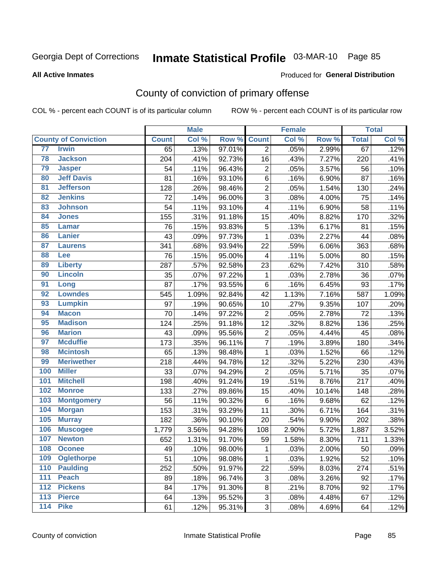# Inmate Statistical Profile 03-MAR-10 Page 85

#### **All Active Inmates**

#### Produced for General Distribution

# County of conviction of primary offense

COL % - percent each COUNT is of its particular column

|                   |                             |              | <b>Male</b> |        |                         | <b>Female</b> |        |              | <b>Total</b> |
|-------------------|-----------------------------|--------------|-------------|--------|-------------------------|---------------|--------|--------------|--------------|
|                   | <b>County of Conviction</b> | <b>Count</b> | Col %       | Row %  | <b>Count</b>            | Col %         | Row %  | <b>Total</b> | Col %        |
| 77                | <b>Irwin</b>                | 65           | .13%        | 97.01% | $\overline{2}$          | .05%          | 2.99%  | 67           | .12%         |
| 78                | <b>Jackson</b>              | 204          | .41%        | 92.73% | 16                      | .43%          | 7.27%  | 220          | .41%         |
| 79                | <b>Jasper</b>               | 54           | .11%        | 96.43% | $\overline{2}$          | .05%          | 3.57%  | 56           | .10%         |
| 80                | <b>Jeff Davis</b>           | 81           | .16%        | 93.10% | 6                       | .16%          | 6.90%  | 87           | .16%         |
| $\overline{81}$   | <b>Jefferson</b>            | 128          | .26%        | 98.46% | $\overline{c}$          | .05%          | 1.54%  | 130          | .24%         |
| 82                | <b>Jenkins</b>              | 72           | .14%        | 96.00% | 3                       | .08%          | 4.00%  | 75           | .14%         |
| 83                | <b>Johnson</b>              | 54           | .11%        | 93.10% | 4                       | .11%          | 6.90%  | 58           | .11%         |
| 84                | <b>Jones</b>                | 155          | .31%        | 91.18% | 15                      | .40%          | 8.82%  | 170          | .32%         |
| 85                | <b>Lamar</b>                | 76           | .15%        | 93.83% | 5                       | .13%          | 6.17%  | 81           | .15%         |
| 86                | <b>Lanier</b>               | 43           | .09%        | 97.73% | $\mathbf 1$             | .03%          | 2.27%  | 44           | .08%         |
| 87                | <b>Laurens</b>              | 341          | .68%        | 93.94% | 22                      | .59%          | 6.06%  | 363          | .68%         |
| 88                | Lee                         | 76           | .15%        | 95.00% | $\overline{\mathbf{4}}$ | .11%          | 5.00%  | 80           | .15%         |
| 89                | <b>Liberty</b>              | 287          | .57%        | 92.58% | 23                      | .62%          | 7.42%  | 310          | .58%         |
| 90                | <b>Lincoln</b>              | 35           | .07%        | 97.22% | $\mathbf 1$             | .03%          | 2.78%  | 36           | .07%         |
| 91                | Long                        | 87           | .17%        | 93.55% | 6                       | .16%          | 6.45%  | 93           | .17%         |
| 92                | <b>Lowndes</b>              | 545          | 1.09%       | 92.84% | 42                      | 1.13%         | 7.16%  | 587          | 1.09%        |
| 93                | <b>Lumpkin</b>              | 97           | .19%        | 90.65% | 10                      | .27%          | 9.35%  | 107          | .20%         |
| 94                | <b>Macon</b>                | 70           | .14%        | 97.22% | $\overline{2}$          | .05%          | 2.78%  | 72           | .13%         |
| 95                | <b>Madison</b>              | 124          | .25%        | 91.18% | 12                      | .32%          | 8.82%  | 136          | .25%         |
| 96                | <b>Marion</b>               | 43           | .09%        | 95.56% | $\overline{c}$          | .05%          | 4.44%  | 45           | .08%         |
| 97                | <b>Mcduffie</b>             | 173          | .35%        | 96.11% | $\overline{7}$          | .19%          | 3.89%  | 180          | .34%         |
| 98                | <b>Mcintosh</b>             | 65           | .13%        | 98.48% | $\mathbf{1}$            | .03%          | 1.52%  | 66           | .12%         |
| 99                | <b>Meriwether</b>           | 218          | .44%        | 94.78% | 12                      | .32%          | 5.22%  | 230          | .43%         |
| 100               | <b>Miller</b>               | 33           | .07%        | 94.29% | $\overline{2}$          | .05%          | 5.71%  | 35           | .07%         |
| 101               | <b>Mitchell</b>             | 198          | .40%        | 91.24% | 19                      | .51%          | 8.76%  | 217          | .40%         |
| 102               | <b>Monroe</b>               | 133          | .27%        | 89.86% | 15                      | .40%          | 10.14% | 148          | .28%         |
| 103               | <b>Montgomery</b>           | 56           | .11%        | 90.32% | 6                       | .16%          | 9.68%  | 62           | .12%         |
| 104               | <b>Morgan</b>               | 153          | .31%        | 93.29% | 11                      | .30%          | 6.71%  | 164          | .31%         |
| 105               | <b>Murray</b>               | 182          | .36%        | 90.10% | 20                      | .54%          | 9.90%  | 202          | .38%         |
| 106               | <b>Muscogee</b>             | 1,779        | 3.56%       | 94.28% | 108                     | 2.90%         | 5.72%  | 1,887        | 3.52%        |
| 107               | <b>Newton</b>               | 652          | 1.31%       | 91.70% | 59                      | 1.58%         | 8.30%  | 711          | 1.33%        |
| 108               | <b>Oconee</b>               | 49           | .10%        | 98.00% | 1                       | .03%          | 2.00%  | 50           | .09%         |
| 109               | <b>Oglethorpe</b>           | 51           | .10%        | 98.08% | $\mathbf{1}$            | .03%          | 1.92%  | 52           | .10%         |
| 110               | <b>Paulding</b>             | 252          | .50%        | 91.97% | 22                      | .59%          | 8.03%  | 274          | .51%         |
| 111               | <b>Peach</b>                | 89           | .18%        | 96.74% | 3                       | .08%          | 3.26%  | 92           | .17%         |
| 112               | <b>Pickens</b>              | 84           | .17%        | 91.30% | 8                       | .21%          | 8.70%  | 92           | .17%         |
| $\overline{113}$  | <b>Pierce</b>               | 64           | .13%        | 95.52% | 3                       | .08%          | 4.48%  | 67           | .12%         |
| $\frac{114}{114}$ | <b>Pike</b>                 | 61           | .12%        | 95.31% | 3                       | .08%          | 4.69%  | 64           | .12%         |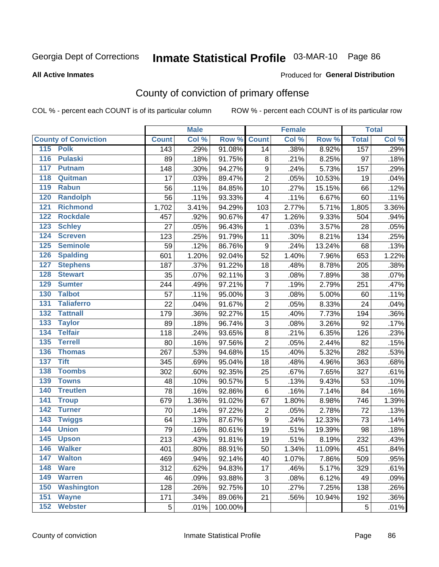# Inmate Statistical Profile 03-MAR-10 Page 86

**All Active Inmates** 

### Produced for General Distribution

# County of conviction of primary offense

COL % - percent each COUNT is of its particular column

|                                       |              | <b>Male</b> |                    |                  | <b>Female</b> |        |              | <b>Total</b> |
|---------------------------------------|--------------|-------------|--------------------|------------------|---------------|--------|--------------|--------------|
| <b>County of Conviction</b>           | <b>Count</b> | Col %       | <b>Row % Count</b> |                  | Col %         | Row %  | <b>Total</b> | Col %        |
| 115 Polk                              | 143          | .29%        | 91.08%             | 14               | .38%          | 8.92%  | 157          | .29%         |
| <b>Pulaski</b><br>116                 | 89           | .18%        | 91.75%             | 8                | .21%          | 8.25%  | 97           | .18%         |
| 117<br><b>Putnam</b>                  | 148          | .30%        | 94.27%             | $\boldsymbol{9}$ | .24%          | 5.73%  | 157          | .29%         |
| Quitman<br>118                        | 17           | .03%        | 89.47%             | $\overline{2}$   | .05%          | 10.53% | 19           | .04%         |
| 119<br><b>Rabun</b>                   | 56           | .11%        | 84.85%             | 10               | .27%          | 15.15% | 66           | .12%         |
| 120<br><b>Randolph</b>                | 56           | .11%        | 93.33%             | 4                | .11%          | 6.67%  | 60           | .11%         |
| <b>Richmond</b><br>121                | 1,702        | 3.41%       | 94.29%             | 103              | 2.77%         | 5.71%  | 1,805        | 3.36%        |
| 122<br><b>Rockdale</b>                | 457          | .92%        | 90.67%             | 47               | 1.26%         | 9.33%  | 504          | .94%         |
| 123<br><b>Schley</b>                  | 27           | .05%        | 96.43%             | $\mathbf 1$      | .03%          | 3.57%  | 28           | .05%         |
| 124<br><b>Screven</b>                 | 123          | .25%        | 91.79%             | 11               | .30%          | 8.21%  | 134          | .25%         |
| <b>Seminole</b><br>125                | 59           | .12%        | 86.76%             | 9                | .24%          | 13.24% | 68           | .13%         |
| 126<br><b>Spalding</b>                | 601          | 1.20%       | 92.04%             | 52               | 1.40%         | 7.96%  | 653          | 1.22%        |
| 127<br><b>Stephens</b>                | 187          | .37%        | 91.22%             | 18               | .48%          | 8.78%  | 205          | .38%         |
| <b>Stewart</b><br>128                 | 35           | .07%        | 92.11%             | 3                | .08%          | 7.89%  | 38           | .07%         |
| <b>Sumter</b><br>129                  | 244          | .49%        | 97.21%             | $\overline{7}$   | .19%          | 2.79%  | 251          | .47%         |
| <b>Talbot</b><br>130                  | 57           | .11%        | 95.00%             | 3                | .08%          | 5.00%  | 60           | .11%         |
| $\overline{131}$<br><b>Taliaferro</b> | 22           | .04%        | 91.67%             | $\overline{2}$   | .05%          | 8.33%  | 24           | .04%         |
| <b>Tattnall</b><br>132                | 179          | .36%        | 92.27%             | 15               | .40%          | 7.73%  | 194          | .36%         |
| 133<br><b>Taylor</b>                  | 89           | .18%        | 96.74%             | 3                | .08%          | 3.26%  | 92           | .17%         |
| <b>Telfair</b><br>134                 | 118          | .24%        | 93.65%             | $\bf 8$          | .21%          | 6.35%  | 126          | .23%         |
| 135<br><b>Terrell</b>                 | 80           | .16%        | 97.56%             | $\overline{2}$   | .05%          | 2.44%  | 82           | .15%         |
| 136<br><b>Thomas</b>                  | 267          | .53%        | 94.68%             | 15               | .40%          | 5.32%  | 282          | .53%         |
| $\overline{137}$<br><b>Tift</b>       | 345          | .69%        | 95.04%             | 18               | .48%          | 4.96%  | 363          | .68%         |
| <b>Toombs</b><br>138                  | 302          | .60%        | 92.35%             | 25               | .67%          | 7.65%  | 327          | .61%         |
| 139<br><b>Towns</b>                   | 48           | .10%        | 90.57%             | 5                | .13%          | 9.43%  | 53           | .10%         |
| <b>Treutlen</b><br>140                | 78           | .16%        | 92.86%             | 6                | .16%          | 7.14%  | 84           | .16%         |
| 141<br><b>Troup</b>                   | 679          | 1.36%       | 91.02%             | 67               | 1.80%         | 8.98%  | 746          | 1.39%        |
| <b>Turner</b><br>142                  | 70           | .14%        | 97.22%             | $\mathbf 2$      | .05%          | 2.78%  | 72           | .13%         |
| 143<br><b>Twiggs</b>                  | 64           | .13%        | 87.67%             | $\boldsymbol{9}$ | .24%          | 12.33% | 73           | .14%         |
| 144<br><b>Union</b>                   | 79           | .16%        | 80.61%             | 19               | .51%          | 19.39% | 98           | .18%         |
| 145<br><b>Upson</b>                   | 213          | .43%        | 91.81%             | 19               | .51%          | 8.19%  | 232          | .43%         |
| 146<br><b>Walker</b>                  | 401          | .80%        | 88.91%             | 50               | 1.34%         | 11.09% | 451          | .84%         |
| 147<br><b>Walton</b>                  | 469          | .94%        | 92.14%             | 40               | 1.07%         | 7.86%  | 509          | .95%         |
| 148<br><b>Ware</b>                    | 312          | .62%        | 94.83%             | 17               | .46%          | 5.17%  | 329          | .61%         |
| 149<br><b>Warren</b>                  | 46           | .09%        | 93.88%             | 3                | .08%          | 6.12%  | 49           | .09%         |
| 150<br><b>Washington</b>              | 128          | .26%        | 92.75%             | 10               | .27%          | 7.25%  | 138          | .26%         |
| 151<br><b>Wayne</b>                   | 171          | .34%        | 89.06%             | 21               | .56%          | 10.94% | 192          | .36%         |
| <b>Webster</b><br>152                 | 5            | .01%        | 100.00%            |                  |               |        | 5            | .01%         |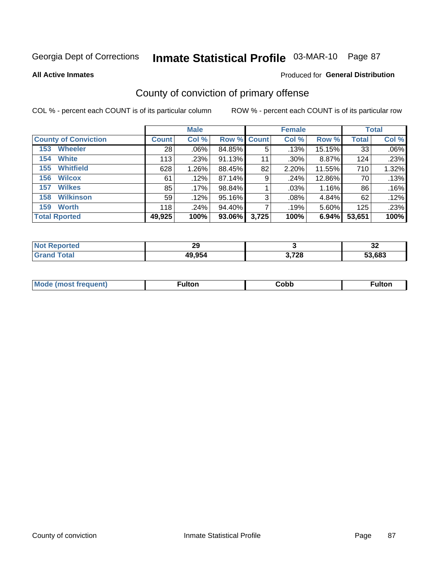# Inmate Statistical Profile 03-MAR-10 Page 87

**All Active Inmates** 

### Produced for General Distribution

# County of conviction of primary offense

COL % - percent each COUNT is of its particular column

|                             |              | <b>Male</b> |                    |       | <b>Female</b> |        |              | <b>Total</b> |
|-----------------------------|--------------|-------------|--------------------|-------|---------------|--------|--------------|--------------|
| <b>County of Conviction</b> | <b>Count</b> | Col %       | <b>Row % Count</b> |       | Col %         | Row %  | <b>Total</b> | Col %        |
| <b>Wheeler</b><br>153       | 28           | $.06\%$     | 84.85%             | 5     | .13%          | 15.15% | 33           | .06%         |
| <b>White</b><br>154         | 113          | .23%        | 91.13%             | 11    | .30%          | 8.87%  | 124          | .23%         |
| <b>Whitfield</b><br>155     | 628          | 1.26%       | 88.45%             | 82    | 2.20%         | 11.55% | 710          | 1.32%        |
| <b>Wilcox</b><br>156        | 61           | .12%        | 87.14%             | 9     | .24%          | 12.86% | 70           | .13%         |
| <b>Wilkes</b><br>157        | 85           | .17%        | 98.84%             |       | .03%          | 1.16%  | 86           | .16%         |
| <b>Wilkinson</b><br>158     | 59           | .12%        | 95.16%             | 3     | .08%          | 4.84%  | 62           | .12%         |
| <b>Worth</b><br>159         | 118          | .24%        | 94.40%             |       | .19%          | 5.60%  | 125          | .23%         |
| <b>Total Rported</b>        | 49,925       | 100%        | 93.06%             | 3,725 | 100%          | 6.94%  | 53,651       | 100%         |

| тео<br>N | າເ<br>LJ |                        | IJΔ    |
|----------|----------|------------------------|--------|
| otal     | 49,954   | <b>2.720</b><br>. . 20 | 53.683 |

| <b>Mode</b><br>---<br>uenn<br>most trea | ·ultor. | Cobb | ™ulton |
|-----------------------------------------|---------|------|--------|
|                                         |         |      |        |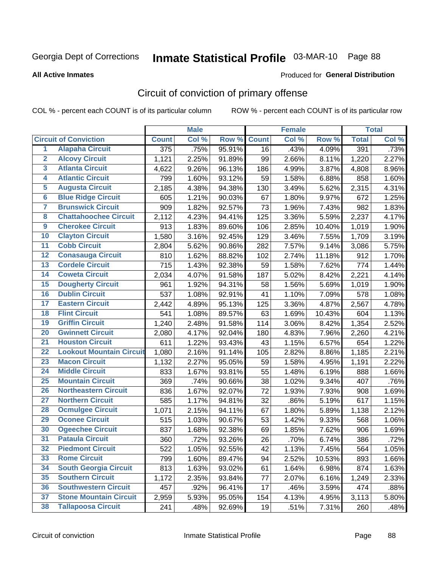# Inmate Statistical Profile 03-MAR-10 Page 88

Produced for General Distribution

#### **All Active Inmates**

# Circuit of conviction of primary offense

COL % - percent each COUNT is of its particular column

|                         |                                 |              | <b>Male</b> |        |              | <b>Female</b> |        |              | <b>Total</b> |
|-------------------------|---------------------------------|--------------|-------------|--------|--------------|---------------|--------|--------------|--------------|
|                         | <b>Circuit of Conviction</b>    | <b>Count</b> | Col %       | Row %  | <b>Count</b> | Col %         | Row %  | <b>Total</b> | Col %        |
| $\overline{1}$          | <b>Alapaha Circuit</b>          | 375          | .75%        | 95.91% | 16           | .43%          | 4.09%  | 391          | .73%         |
| $\overline{2}$          | <b>Alcovy Circuit</b>           | 1,121        | 2.25%       | 91.89% | 99           | 2.66%         | 8.11%  | 1,220        | 2.27%        |
| $\overline{\mathbf{3}}$ | <b>Atlanta Circuit</b>          | 4,622        | 9.26%       | 96.13% | 186          | 4.99%         | 3.87%  | 4,808        | 8.96%        |
| 4                       | <b>Atlantic Circuit</b>         | 799          | 1.60%       | 93.12% | 59           | 1.58%         | 6.88%  | 858          | 1.60%        |
| 5                       | <b>Augusta Circuit</b>          | 2,185        | 4.38%       | 94.38% | 130          | 3.49%         | 5.62%  | 2,315        | 4.31%        |
| $\overline{\mathbf{6}}$ | <b>Blue Ridge Circuit</b>       | 605          | 1.21%       | 90.03% | 67           | 1.80%         | 9.97%  | 672          | 1.25%        |
| $\overline{\mathbf{7}}$ | <b>Brunswick Circuit</b>        | 909          | 1.82%       | 92.57% | 73           | 1.96%         | 7.43%  | 982          | 1.83%        |
| 8                       | <b>Chattahoochee Circuit</b>    | 2,112        | 4.23%       | 94.41% | 125          | 3.36%         | 5.59%  | 2,237        | 4.17%        |
| $\overline{9}$          | <b>Cherokee Circuit</b>         | 913          | 1.83%       | 89.60% | 106          | 2.85%         | 10.40% | 1,019        | 1.90%        |
| 10                      | <b>Clayton Circuit</b>          | 1,580        | 3.16%       | 92.45% | 129          | 3.46%         | 7.55%  | 1,709        | 3.19%        |
| 11                      | <b>Cobb Circuit</b>             | 2,804        | 5.62%       | 90.86% | 282          | 7.57%         | 9.14%  | 3,086        | 5.75%        |
| 12                      | <b>Conasauga Circuit</b>        | 810          | 1.62%       | 88.82% | 102          | 2.74%         | 11.18% | 912          | 1.70%        |
| 13                      | <b>Cordele Circuit</b>          | 715          | 1.43%       | 92.38% | 59           | 1.58%         | 7.62%  | 774          | 1.44%        |
| 14                      | <b>Coweta Circuit</b>           | 2,034        | 4.07%       | 91.58% | 187          | 5.02%         | 8.42%  | 2,221        | 4.14%        |
| 15                      | <b>Dougherty Circuit</b>        | 961          | 1.92%       | 94.31% | 58           | 1.56%         | 5.69%  | 1,019        | 1.90%        |
| 16                      | <b>Dublin Circuit</b>           | 537          | 1.08%       | 92.91% | 41           | 1.10%         | 7.09%  | 578          | 1.08%        |
| 17                      | <b>Eastern Circuit</b>          | 2,442        | 4.89%       | 95.13% | 125          | 3.36%         | 4.87%  | 2,567        | 4.78%        |
| 18                      | <b>Flint Circuit</b>            | 541          | 1.08%       | 89.57% | 63           | 1.69%         | 10.43% | 604          | 1.13%        |
| 19                      | <b>Griffin Circuit</b>          | 1,240        | 2.48%       | 91.58% | 114          | 3.06%         | 8.42%  | 1,354        | 2.52%        |
| 20                      | <b>Gwinnett Circuit</b>         | 2,080        | 4.17%       | 92.04% | 180          | 4.83%         | 7.96%  | 2,260        | 4.21%        |
| $\overline{21}$         | <b>Houston Circuit</b>          | 611          | 1.22%       | 93.43% | 43           | 1.15%         | 6.57%  | 654          | 1.22%        |
| $\overline{22}$         | <b>Lookout Mountain Circuit</b> | 1,080        | 2.16%       | 91.14% | 105          | 2.82%         | 8.86%  | 1,185        | 2.21%        |
| 23                      | <b>Macon Circuit</b>            | 1,132        | 2.27%       | 95.05% | 59           | 1.58%         | 4.95%  | 1,191        | 2.22%        |
| 24                      | <b>Middle Circuit</b>           | 833          | 1.67%       | 93.81% | 55           | 1.48%         | 6.19%  | 888          | 1.66%        |
| 25                      | <b>Mountain Circuit</b>         | 369          | .74%        | 90.66% | 38           | 1.02%         | 9.34%  | 407          | .76%         |
| 26                      | <b>Northeastern Circuit</b>     | 836          | 1.67%       | 92.07% | 72           | 1.93%         | 7.93%  | 908          | 1.69%        |
| $\overline{27}$         | <b>Northern Circuit</b>         | 585          | 1.17%       | 94.81% | 32           | .86%          | 5.19%  | 617          | 1.15%        |
| 28                      | <b>Ocmulgee Circuit</b>         | 1,071        | 2.15%       | 94.11% | 67           | 1.80%         | 5.89%  | 1,138        | 2.12%        |
| 29                      | <b>Oconee Circuit</b>           | 515          | 1.03%       | 90.67% | 53           | 1.42%         | 9.33%  | 568          | 1.06%        |
| 30                      | <b>Ogeechee Circuit</b>         | 837          | 1.68%       | 92.38% | 69           | 1.85%         | 7.62%  | 906          | 1.69%        |
| $\overline{31}$         | <b>Pataula Circuit</b>          | 360          | .72%        | 93.26% | 26           | .70%          | 6.74%  | 386          | .72%         |
| 32                      | <b>Piedmont Circuit</b>         | 522          | 1.05%       | 92.55% | 42           | 1.13%         | 7.45%  | 564          | 1.05%        |
| 33                      | <b>Rome Circuit</b>             | 799          | 1.60%       | 89.47% | 94           | 2.52%         | 10.53% | 893          | 1.66%        |
| 34                      | <b>South Georgia Circuit</b>    | 813          | 1.63%       | 93.02% | 61           | 1.64%         | 6.98%  | 874          | 1.63%        |
| 35                      | <b>Southern Circuit</b>         | 1,172        | 2.35%       | 93.84% | 77           | 2.07%         | 6.16%  | 1,249        | 2.33%        |
| 36                      | <b>Southwestern Circuit</b>     | 457          | .92%        | 96.41% | 17           | .46%          | 3.59%  | 474          | .88%         |
| 37                      | <b>Stone Mountain Circuit</b>   | 2,959        | 5.93%       | 95.05% | 154          | 4.13%         | 4.95%  | 3,113        | 5.80%        |
| 38                      | <b>Tallapoosa Circuit</b>       | 241          | .48%        | 92.69% | 19           | .51%          | 7.31%  | 260          | .48%         |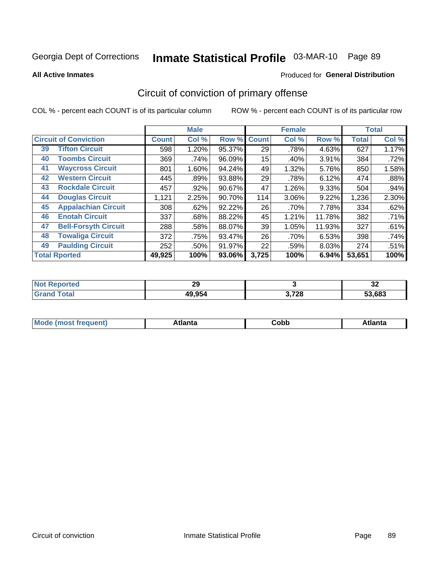# Inmate Statistical Profile 03-MAR-10 Page 89

Produced for General Distribution

#### **All Active Inmates**

# Circuit of conviction of primary offense

COL % - percent each COUNT is of its particular column

|                                   |              | <b>Male</b> |        |              | <b>Female</b> |        |              | <b>Total</b> |
|-----------------------------------|--------------|-------------|--------|--------------|---------------|--------|--------------|--------------|
| <b>Circuit of Conviction</b>      | <b>Count</b> | Col %       | Row %  | <b>Count</b> | Col %         | Row %  | <b>Total</b> | Col %        |
| <b>Tifton Circuit</b><br>39       | 598          | 1.20%       | 95.37% | 29           | .78%          | 4.63%  | 627          | 1.17%        |
| <b>Toombs Circuit</b><br>40       | 369          | .74%        | 96.09% | 15           | .40%          | 3.91%  | 384          | .72%         |
| <b>Waycross Circuit</b><br>41     | 801          | 1.60%       | 94.24% | 49           | 1.32%         | 5.76%  | 850          | 1.58%        |
| <b>Western Circuit</b><br>42      | 445          | .89%        | 93.88% | 29           | .78%          | 6.12%  | 474          | .88%         |
| <b>Rockdale Circuit</b><br>43     | 457          | .92%        | 90.67% | 47           | 1.26%         | 9.33%  | 504          | .94%         |
| <b>Douglas Circuit</b><br>44      | 1,121        | 2.25%       | 90.70% | 114          | 3.06%         | 9.22%  | 1,236        | 2.30%        |
| 45<br><b>Appalachian Circuit</b>  | 308          | .62%        | 92.22% | 26           | .70%          | 7.78%  | 334          | .62%         |
| <b>Enotah Circuit</b><br>46       | 337          | .68%        | 88.22% | 45           | 1.21%         | 11.78% | 382          | .71%         |
| <b>Bell-Forsyth Circuit</b><br>47 | 288          | .58%        | 88.07% | 39           | 1.05%         | 11.93% | 327          | .61%         |
| <b>Towaliga Circuit</b><br>48     | 372          | .75%        | 93.47% | 26           | .70%          | 6.53%  | 398          | .74%         |
| <b>Paulding Circuit</b><br>49     | 252          | .50%        | 91.97% | 22           | .59%          | 8.03%  | 274          | .51%         |
| <b>Total Rported</b>              | 49,925       | 100%        | 93.06% | 3,725        | 100%          | 6.94%  | 53,651       | 100%         |

| <b>orted</b> | $\mathcal{P}$ |                          | ^^     |
|--------------|---------------|--------------------------|--------|
| <b>Not</b>   | 23            |                          | ◡▵     |
| $\sim$       | 49,954        | 2 720<br>ວ. <i>ເ ∠</i> ໐ | 53,683 |

| M | . | -----<br>oг | ----<br>пLс |
|---|---|-------------|-------------|
|   |   | <b>OUNN</b> |             |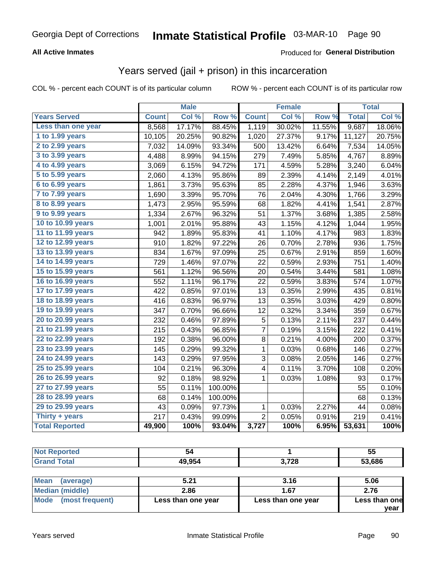# Inmate Statistical Profile 03-MAR-10 Page 90

### **All Active Inmates**

### Produced for General Distribution

### Years served (jail + prison) in this incarceration

COL % - percent each COUNT is of its particular column

|                              |              | <b>Male</b> |         |                | <b>Female</b> |        |              | <b>Total</b> |
|------------------------------|--------------|-------------|---------|----------------|---------------|--------|--------------|--------------|
| <b>Years Served</b>          | <b>Count</b> | Col %       | Row %   | <b>Count</b>   | Col %         | Row %  | <b>Total</b> | Col %        |
| Less than one year           | 8,568        | 17.17%      | 88.45%  | 1,119          | 30.02%        | 11.55% | 9,687        | 18.06%       |
| 1 to 1.99 years              | 10,105       | 20.25%      | 90.82%  | 1,020          | 27.37%        | 9.17%  | 11,127       | 20.75%       |
| 2 to 2.99 years              | 7,032        | 14.09%      | 93.34%  | 500            | 13.42%        | 6.64%  | 7,534        | 14.05%       |
| $3$ to $3.99$ years          | 4,488        | 8.99%       | 94.15%  | 279            | 7.49%         | 5.85%  | 4,767        | 8.89%        |
| $\overline{4}$ to 4.99 years | 3,069        | 6.15%       | 94.72%  | 171            | 4.59%         | 5.28%  | 3,240        | 6.04%        |
| $\overline{5}$ to 5.99 years | 2,060        | 4.13%       | 95.86%  | 89             | 2.39%         | 4.14%  | 2,149        | 4.01%        |
| $6$ to $6.99$ years          | 1,861        | 3.73%       | 95.63%  | 85             | 2.28%         | 4.37%  | 1,946        | 3.63%        |
| 7 to 7.99 years              | 1,690        | 3.39%       | 95.70%  | 76             | 2.04%         | 4.30%  | 1,766        | 3.29%        |
| 8 to 8.99 years              | 1,473        | 2.95%       | 95.59%  | 68             | 1.82%         | 4.41%  | 1,541        | 2.87%        |
| 9 to 9.99 years              | 1,334        | 2.67%       | 96.32%  | 51             | 1.37%         | 3.68%  | 1,385        | 2.58%        |
| 10 to 10.99 years            | 1,001        | 2.01%       | 95.88%  | 43             | 1.15%         | 4.12%  | 1,044        | 1.95%        |
| 11 to 11.99 years            | 942          | 1.89%       | 95.83%  | 41             | 1.10%         | 4.17%  | 983          | 1.83%        |
| 12 to 12.99 years            | 910          | 1.82%       | 97.22%  | 26             | 0.70%         | 2.78%  | 936          | 1.75%        |
| 13 to 13.99 years            | 834          | 1.67%       | 97.09%  | 25             | 0.67%         | 2.91%  | 859          | 1.60%        |
| 14 to 14.99 years            | 729          | 1.46%       | 97.07%  | 22             | 0.59%         | 2.93%  | 751          | 1.40%        |
| 15 to 15.99 years            | 561          | 1.12%       | 96.56%  | 20             | 0.54%         | 3.44%  | 581          | 1.08%        |
| 16 to 16.99 years            | 552          | 1.11%       | 96.17%  | 22             | 0.59%         | 3.83%  | 574          | 1.07%        |
| 17 to 17.99 years            | 422          | 0.85%       | 97.01%  | 13             | 0.35%         | 2.99%  | 435          | 0.81%        |
| 18 to 18.99 years            | 416          | 0.83%       | 96.97%  | 13             | 0.35%         | 3.03%  | 429          | 0.80%        |
| 19 to 19.99 years            | 347          | 0.70%       | 96.66%  | 12             | 0.32%         | 3.34%  | 359          | 0.67%        |
| 20 to 20.99 years            | 232          | 0.46%       | 97.89%  | 5              | 0.13%         | 2.11%  | 237          | 0.44%        |
| 21 to 21.99 years            | 215          | 0.43%       | 96.85%  | 7              | 0.19%         | 3.15%  | 222          | 0.41%        |
| 22 to 22.99 years            | 192          | 0.38%       | 96.00%  | 8              | 0.21%         | 4.00%  | 200          | 0.37%        |
| 23 to 23.99 years            | 145          | 0.29%       | 99.32%  | 1              | 0.03%         | 0.68%  | 146          | 0.27%        |
| 24 to 24.99 years            | 143          | 0.29%       | 97.95%  | 3              | 0.08%         | 2.05%  | 146          | 0.27%        |
| 25 to 25.99 years            | 104          | 0.21%       | 96.30%  | 4              | 0.11%         | 3.70%  | 108          | 0.20%        |
| 26 to 26.99 years            | 92           | 0.18%       | 98.92%  | 1              | 0.03%         | 1.08%  | 93           | 0.17%        |
| 27 to 27.99 years            | 55           | 0.11%       | 100.00% |                |               |        | 55           | 0.10%        |
| 28 to 28.99 years            | 68           | 0.14%       | 100.00% |                |               |        | 68           | 0.13%        |
| 29 to 29.99 years            | 43           | 0.09%       | 97.73%  | $\mathbf{1}$   | 0.03%         | 2.27%  | 44           | 0.08%        |
| Thirty + years               | 217          | 0.43%       | 99.09%  | $\overline{2}$ | 0.05%         | 0.91%  | 219          | 0.41%        |
| <b>Total Reported</b>        | 49,900       | 100%        | 93.04%  | 3,727          | 100%          | 6.95%  | 53,631       | 100%         |

| <b>2.720</b> |                         | 54     |        | 55  |
|--------------|-------------------------|--------|--------|-----|
|              | υιαι<br>$\mathsf{v}$ nu | 49,954 | J.I 40 | 686 |

| <b>Mean</b><br>(average) | 5.21               | 3.16               | 5.06          |
|--------------------------|--------------------|--------------------|---------------|
| Median (middle)          | 2.86               | 1.67               | 2.76          |
| Mode (most frequent)     | Less than one year | Less than one year | Less than one |
|                          |                    |                    | vear          |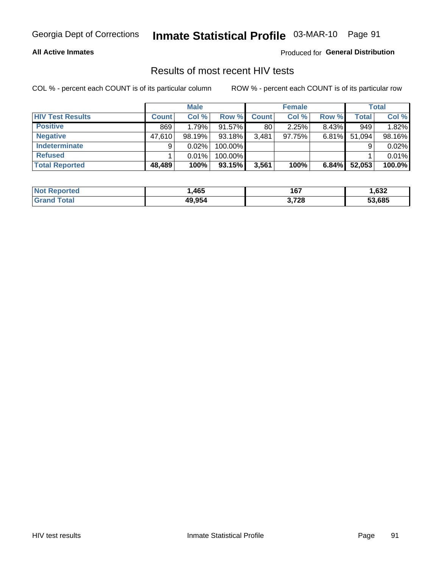# Inmate Statistical Profile 03-MAR-10 Page 91

### **All Active Inmates**

Produced for General Distribution

### Results of most recent HIV tests

COL % - percent each COUNT is of its particular column

|                         |              | <b>Male</b> |           |              | <b>Female</b> |       |        | <b>Total</b> |
|-------------------------|--------------|-------------|-----------|--------------|---------------|-------|--------|--------------|
| <b>HIV Test Results</b> | <b>Count</b> | Col %       | Row %I    | <b>Count</b> | Col %         | Row % | Total  | Col %        |
| <b>Positive</b>         | 869          | 1.79%       | 91.57%    | 80           | 2.25%         | 8.43% | 949    | 1.82%        |
| <b>Negative</b>         | 47,610       | 98.19%      | $93.18\%$ | 3,481        | 97.75%        | 6.81% | 51,094 | 98.16%       |
| Indeterminate           | 9            | 0.02%       | 100.00%   |              |               |       |        | 0.02%        |
| <b>Refused</b>          |              | 0.01%       | 100.00%   |              |               |       |        | 0.01%        |
| <b>Total Reported</b>   | 48,489       | 100%        | 93.15%    | 3,561        | 100%          | 6.84% | 52,053 | 100.0%       |

| <b>Not</b><br><b>Reported</b> | ,465   | 167   | ,632   |
|-------------------------------|--------|-------|--------|
| Total<br><b>Grand</b>         | 49,954 | 3,728 | 53.685 |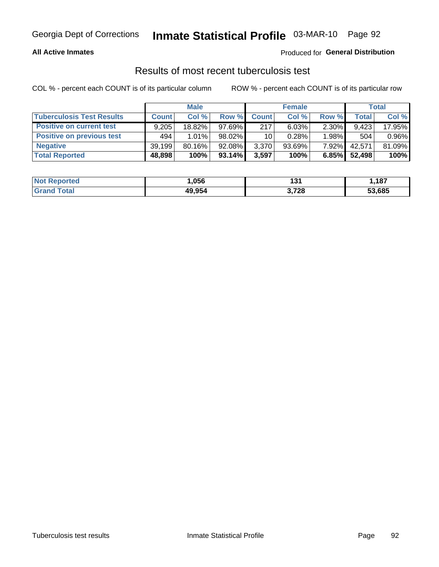# Inmate Statistical Profile 03-MAR-10 Page 92

### **All Active Inmates**

### Produced for General Distribution

### Results of most recent tuberculosis test

COL % - percent each COUNT is of its particular column

|                                  |              | <b>Male</b> |           |              | <b>Female</b> |          |        | Total  |
|----------------------------------|--------------|-------------|-----------|--------------|---------------|----------|--------|--------|
| <b>Tuberculosis Test Results</b> | <b>Count</b> | Col%        | Row %I    | <b>Count</b> | Col %         | Row %    | Total  | Col %  |
| <b>Positive on current test</b>  | 9.205        | $18.82\%$   | 97.69%    | 217          | 6.03%         | 2.30%    | 9.423  | 17.95% |
| <b>Positive on previous test</b> | 494          | 1.01%       | 98.02%    | 10           | 0.28%         | $1.98\%$ | 504    | 0.96%  |
| <b>Negative</b>                  | 39,199       | $80.16\%$   | 92.08%    | 3,370        | $93.69\%$     | 7.92%    | 42,571 | 81.09% |
| <b>Total Reported</b>            | 48,898       | 100%        | $93.14\%$ | 3,597        | 100%          | 6.85%    | 52,498 | 100%   |

| <b>Not Reported</b> | .056   | א פי<br>ו טו | ,187   |
|---------------------|--------|--------------|--------|
| Total               | 49,954 | 3,728        | 53,685 |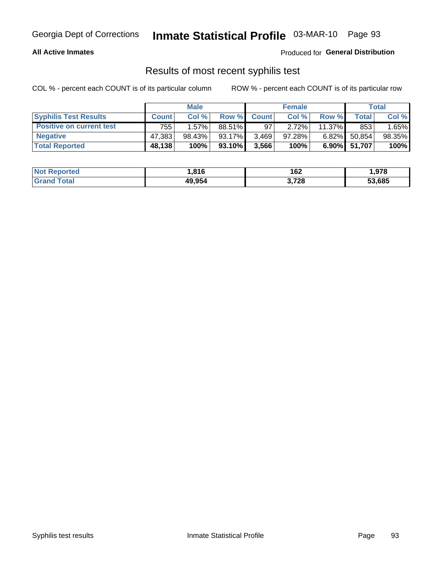# Georgia Dept of Corrections **Inmate Statistical Profile** 03-MAR-10 Page 93

### **All Active Inmates**

Produced for **General Distribution**

### Results of most recent syphilis test

COL % - percent each COUNT is of its particular column ROW % - percent each COUNT is of its particular row

|                                 |              | <b>Male</b> |         |              | <b>Female</b> |           |              | Total  |
|---------------------------------|--------------|-------------|---------|--------------|---------------|-----------|--------------|--------|
| <b>Syphilis Test Results</b>    | <b>Count</b> | Col%        | Row %   | <b>Count</b> | Col %         | Row %     | Total I      | Col %  |
| <b>Positive on current test</b> | 755          | $1.57\%$    | 88.51%  | 97           | 2.72%         | $11.37\%$ | 853          | 1.65%  |
| <b>Negative</b>                 | 47.383       | 98.43%      | 93.17%  | 3,469        | $97.28\%$     | $6.82\%$  | 50,854       | 98.35% |
| <b>Total Reported</b>           | 48,138       | 100%        | 93.10%I | 3,566        | 100%          |           | 6.90% 51,707 | 100%   |

| <b>Not Reported</b> | 816, ا | 162   | 1,978  |
|---------------------|--------|-------|--------|
| <b>Grand Total</b>  | 49,954 | 3,728 | 53,685 |